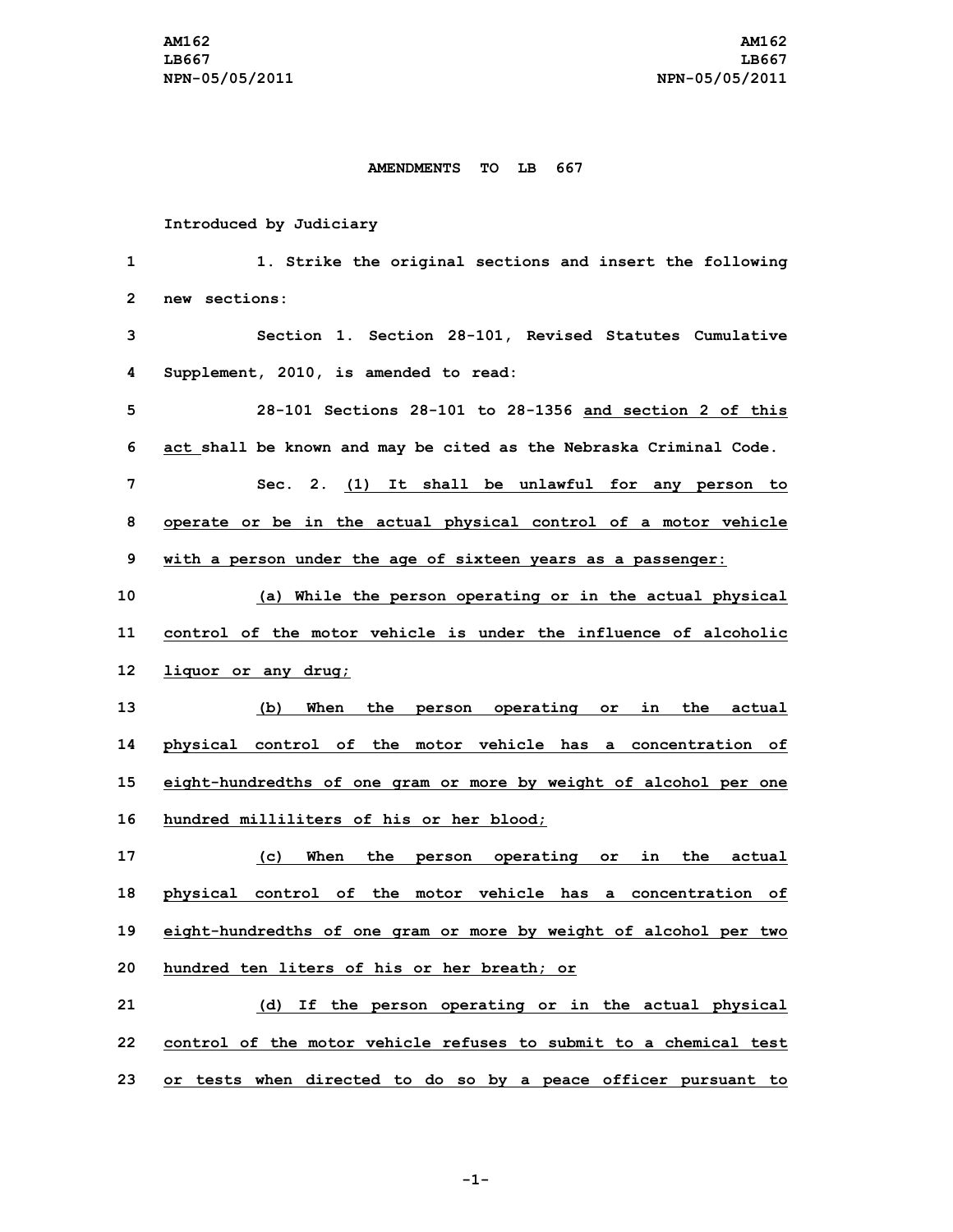#### **AMENDMENTS TO LB 667**

### **Introduced by Judiciary**

 **1. Strike the original sections and insert the following new sections: Section 1. Section 28-101, Revised Statutes Cumulative Supplement, 2010, is amended to read: 28-101 Sections 28-101 to 28-1356 and section 2 of this act shall be known and may be cited as the Nebraska Criminal Code. Sec. 2. (1) It shall be unlawful for any person to operate or be in the actual physical control of <sup>a</sup> motor vehicle with <sup>a</sup> person under the age of sixteen years as <sup>a</sup> passenger: (a) While the person operating or in the actual physical control of the motor vehicle is under the influence of alcoholic liquor or any drug; (b) When the person operating or in the actual physical control of the motor vehicle has <sup>a</sup> concentration of eight-hundredths of one gram or more by weight of alcohol per one hundred milliliters of his or her blood; (c) When the person operating or in the actual physical control of the motor vehicle has <sup>a</sup> concentration of eight-hundredths of one gram or more by weight of alcohol per two hundred ten liters of his or her breath; or (d) If the person operating or in the actual physical control of the motor vehicle refuses to submit to a chemical test or tests when directed to do so by <sup>a</sup> peace officer pursuant to**

**-1-**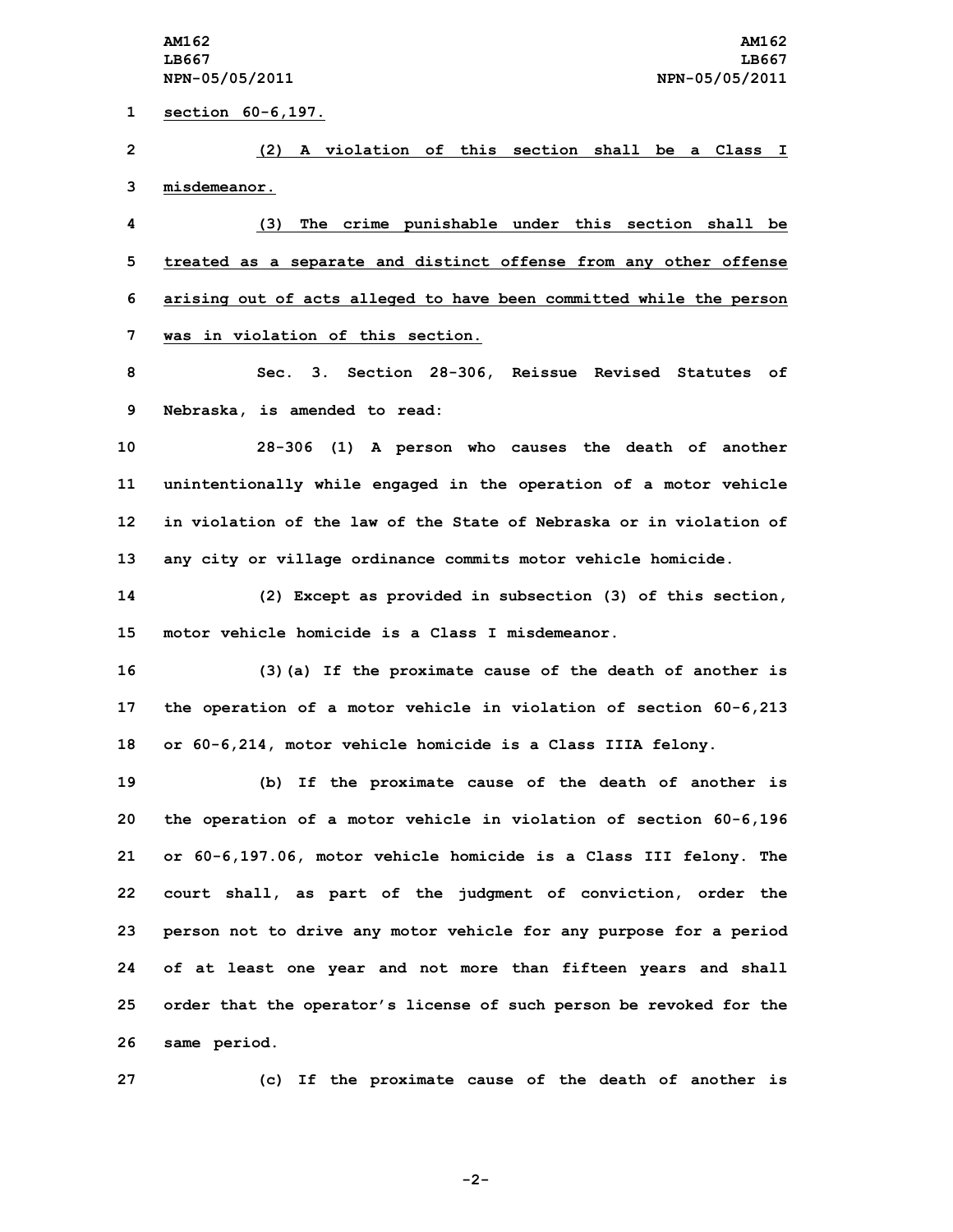**section 60-6,197. (2) A violation of this section shall be <sup>a</sup> Class I misdemeanor. (3) The crime punishable under this section shall be treated as <sup>a</sup> separate and distinct offense from any other offense arising out of acts alleged to have been committed while the person was in violation of this section. Sec. 3. Section 28-306, Reissue Revised Statutes of Nebraska, is amended to read: 28-306 (1) <sup>A</sup> person who causes the death of another unintentionally while engaged in the operation of <sup>a</sup> motor vehicle in violation of the law of the State of Nebraska or in violation of any city or village ordinance commits motor vehicle homicide. (2) Except as provided in subsection (3) of this section, motor vehicle homicide is a Class I misdemeanor. (3)(a) If the proximate cause of the death of another is the operation of <sup>a</sup> motor vehicle in violation of section 60-6,213 or 60-6,214, motor vehicle homicide is <sup>a</sup> Class IIIA felony. (b) If the proximate cause of the death of another is the operation of <sup>a</sup> motor vehicle in violation of section 60-6,196 or 60-6,197.06, motor vehicle homicide is <sup>a</sup> Class III felony. The court shall, as part of the judgment of conviction, order the person not to drive any motor vehicle for any purpose for <sup>a</sup> period of at least one year and not more than fifteen years and shall order that the operator's license of such person be revoked for the same period.**

**27 (c) If the proximate cause of the death of another is**

**-2-**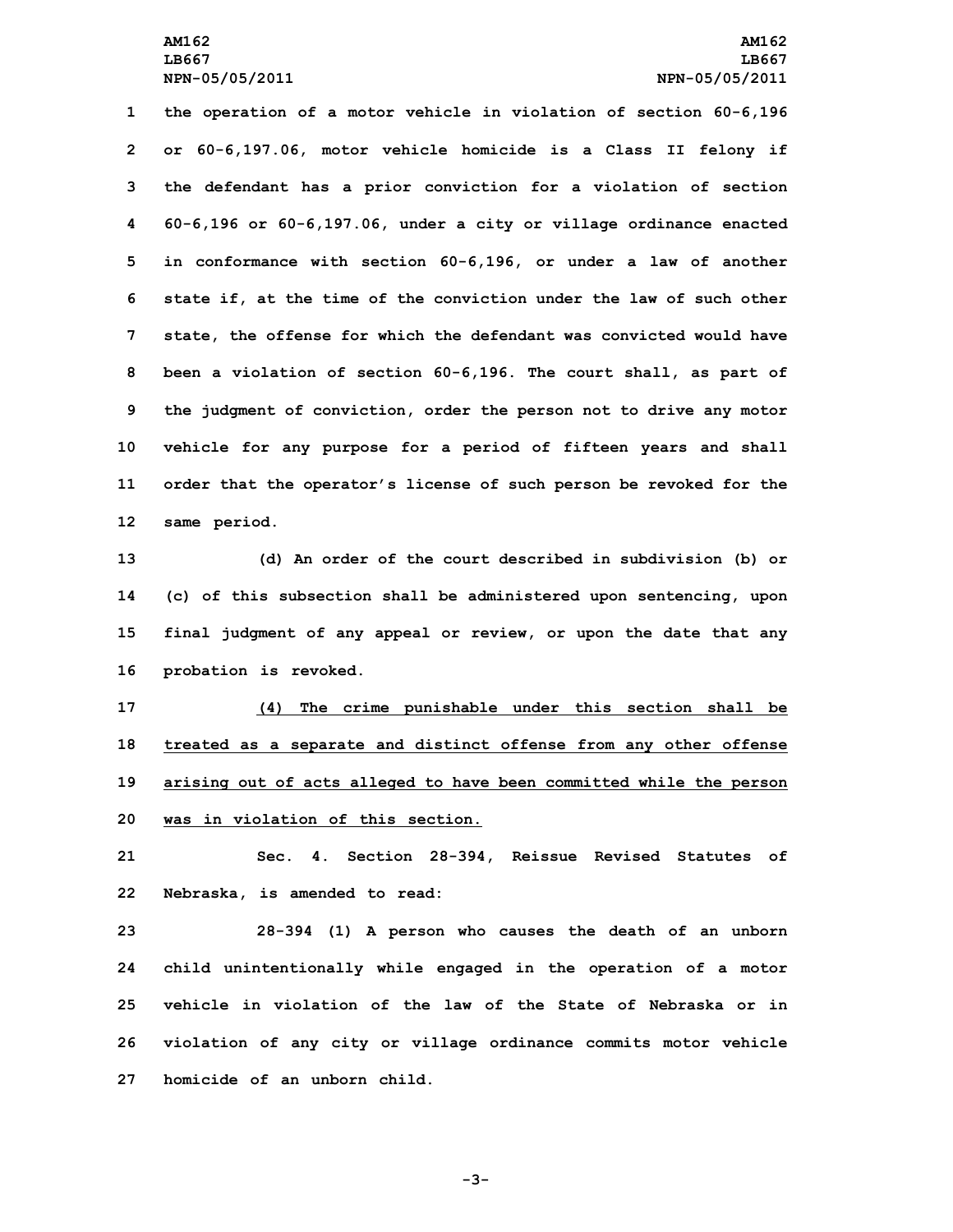# **AM162 AM162 LB667 LB667 NPN-05/05/2011 NPN-05/05/2011**

 **the operation of <sup>a</sup> motor vehicle in violation of section 60-6,196 or 60-6,197.06, motor vehicle homicide is <sup>a</sup> Class II felony if the defendant has <sup>a</sup> prior conviction for <sup>a</sup> violation of section 60-6,196 or 60-6,197.06, under <sup>a</sup> city or village ordinance enacted in conformance with section 60-6,196, or under <sup>a</sup> law of another state if, at the time of the conviction under the law of such other state, the offense for which the defendant was convicted would have been <sup>a</sup> violation of section 60-6,196. The court shall, as part of the judgment of conviction, order the person not to drive any motor vehicle for any purpose for <sup>a</sup> period of fifteen years and shall order that the operator's license of such person be revoked for the same period.**

 **(d) An order of the court described in subdivision (b) or (c) of this subsection shall be administered upon sentencing, upon final judgment of any appeal or review, or upon the date that any probation is revoked.**

 **(4) The crime punishable under this section shall be treated as <sup>a</sup> separate and distinct offense from any other offense arising out of acts alleged to have been committed while the person was in violation of this section.**

**21 Sec. 4. Section 28-394, Reissue Revised Statutes of 22 Nebraska, is amended to read:**

 **28-394 (1) <sup>A</sup> person who causes the death of an unborn child unintentionally while engaged in the operation of <sup>a</sup> motor vehicle in violation of the law of the State of Nebraska or in violation of any city or village ordinance commits motor vehicle homicide of an unborn child.**

**-3-**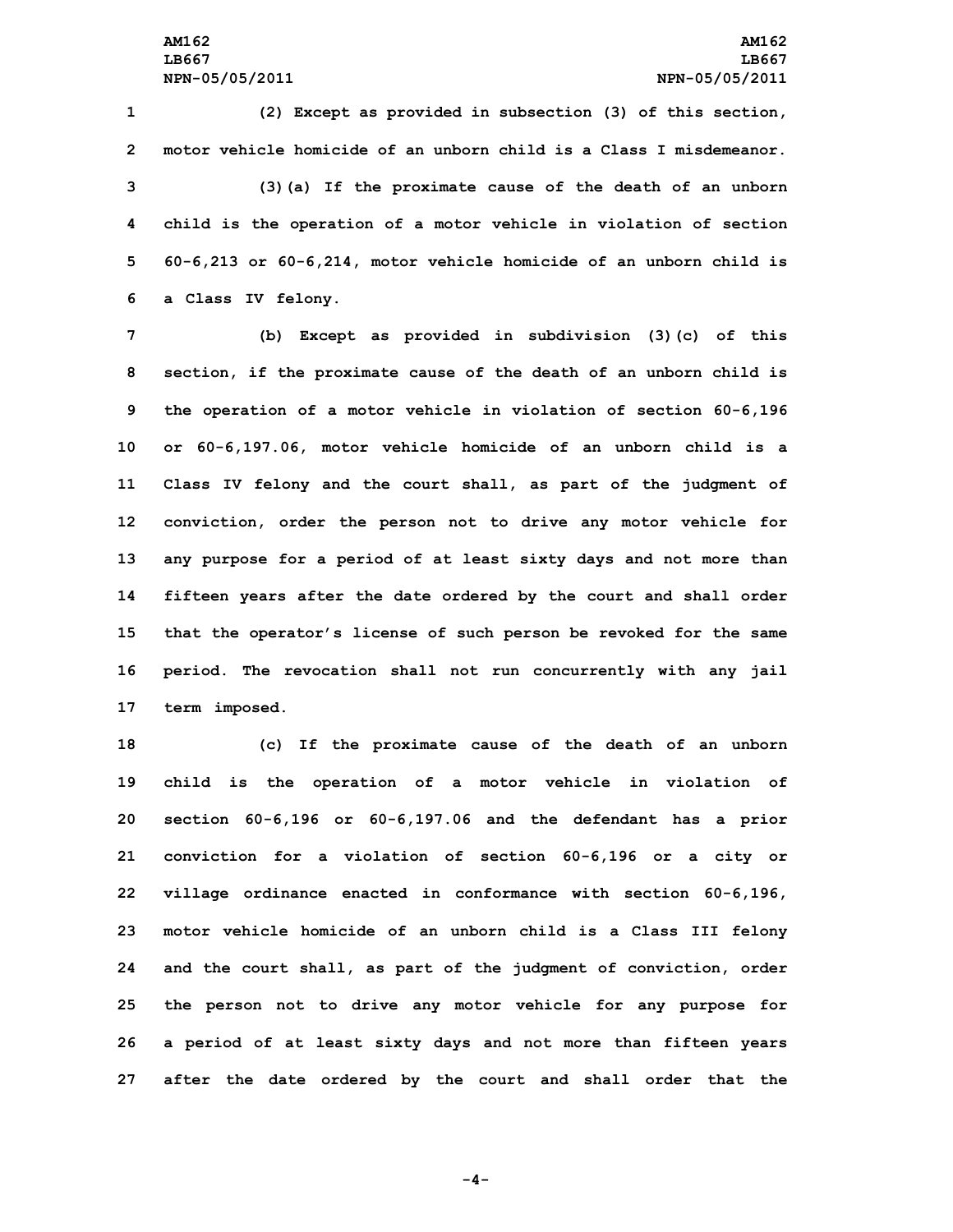**(2) Except as provided in subsection (3) of this section, motor vehicle homicide of an unborn child is a Class I misdemeanor. (3)(a) If the proximate cause of the death of an unborn child is the operation of <sup>a</sup> motor vehicle in violation of section 60-6,213 or 60-6,214, motor vehicle homicide of an unborn child is <sup>a</sup> Class IV felony.**

 **(b) Except as provided in subdivision (3)(c) of this section, if the proximate cause of the death of an unborn child is the operation of <sup>a</sup> motor vehicle in violation of section 60-6,196 or 60-6,197.06, motor vehicle homicide of an unborn child is <sup>a</sup> Class IV felony and the court shall, as part of the judgment of conviction, order the person not to drive any motor vehicle for any purpose for <sup>a</sup> period of at least sixty days and not more than fifteen years after the date ordered by the court and shall order that the operator's license of such person be revoked for the same period. The revocation shall not run concurrently with any jail term imposed.**

 **(c) If the proximate cause of the death of an unborn child is the operation of <sup>a</sup> motor vehicle in violation of section 60-6,196 or 60-6,197.06 and the defendant has <sup>a</sup> prior conviction for <sup>a</sup> violation of section 60-6,196 or <sup>a</sup> city or village ordinance enacted in conformance with section 60-6,196, motor vehicle homicide of an unborn child is <sup>a</sup> Class III felony and the court shall, as part of the judgment of conviction, order the person not to drive any motor vehicle for any purpose for <sup>a</sup> period of at least sixty days and not more than fifteen years after the date ordered by the court and shall order that the**

**-4-**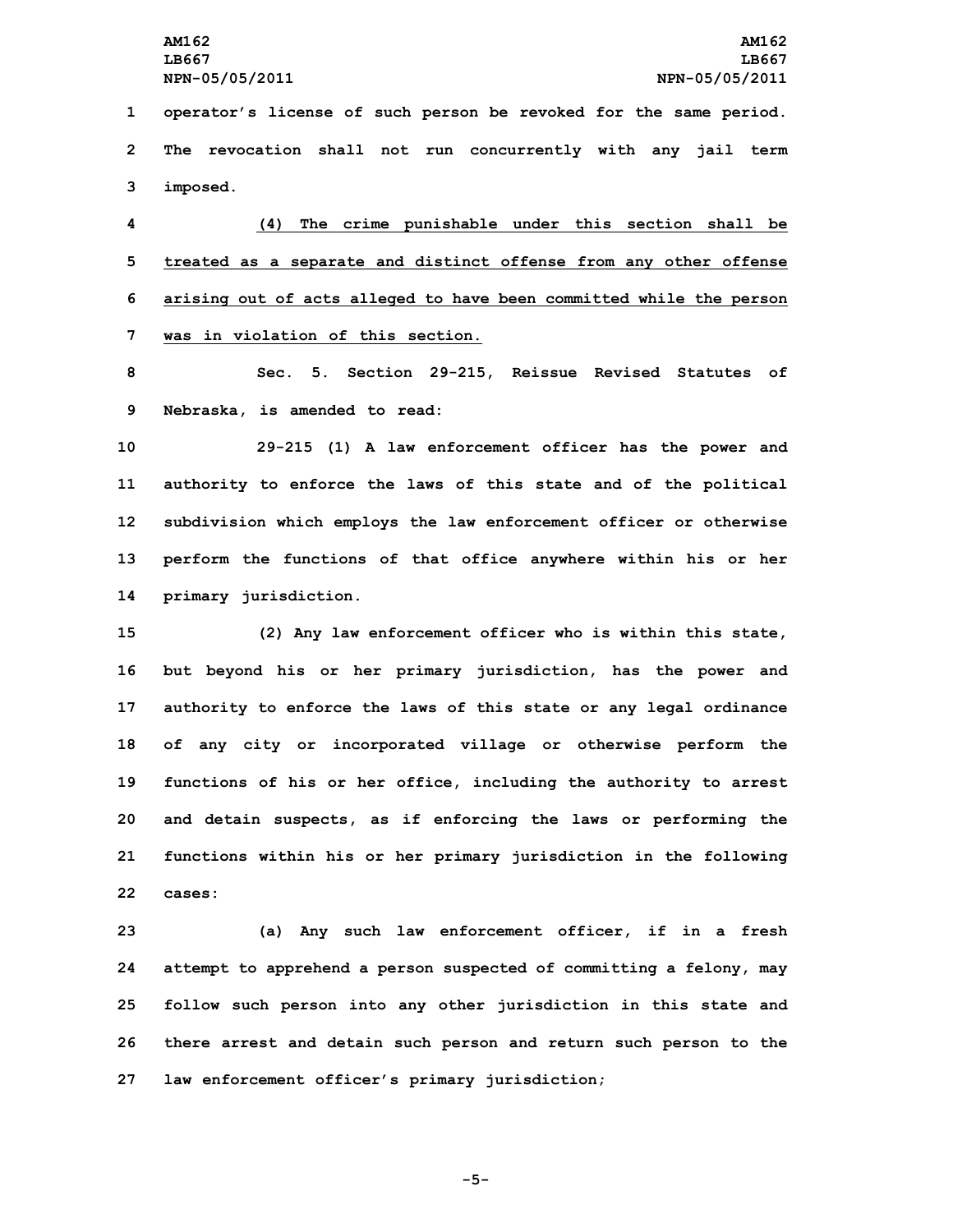**1 operator's license of such person be revoked for the same period. 2 The revocation shall not run concurrently with any jail term 3 imposed.**

 **(4) The crime punishable under this section shall be treated as <sup>a</sup> separate and distinct offense from any other offense arising out of acts alleged to have been committed while the person was in violation of this section.**

**8 Sec. 5. Section 29-215, Reissue Revised Statutes of 9 Nebraska, is amended to read:**

 **29-215 (1) <sup>A</sup> law enforcement officer has the power and authority to enforce the laws of this state and of the political subdivision which employs the law enforcement officer or otherwise perform the functions of that office anywhere within his or her primary jurisdiction.**

 **(2) Any law enforcement officer who is within this state, but beyond his or her primary jurisdiction, has the power and authority to enforce the laws of this state or any legal ordinance of any city or incorporated village or otherwise perform the functions of his or her office, including the authority to arrest and detain suspects, as if enforcing the laws or performing the functions within his or her primary jurisdiction in the following 22 cases:**

 **(a) Any such law enforcement officer, if in <sup>a</sup> fresh attempt to apprehend <sup>a</sup> person suspected of committing <sup>a</sup> felony, may follow such person into any other jurisdiction in this state and there arrest and detain such person and return such person to the law enforcement officer's primary jurisdiction;**

**-5-**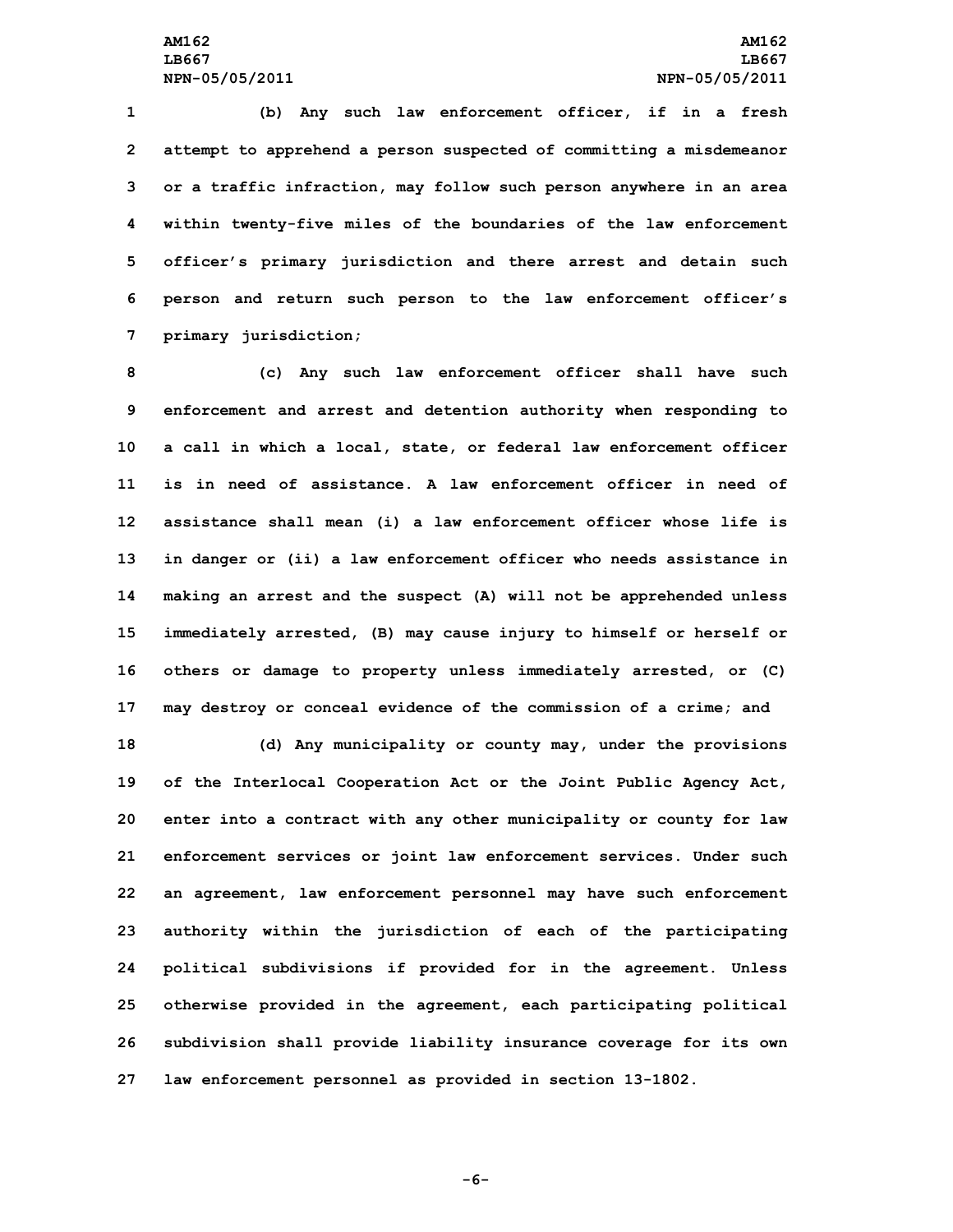**(b) Any such law enforcement officer, if in <sup>a</sup> fresh attempt to apprehend <sup>a</sup> person suspected of committing <sup>a</sup> misdemeanor or <sup>a</sup> traffic infraction, may follow such person anywhere in an area within twenty-five miles of the boundaries of the law enforcement officer's primary jurisdiction and there arrest and detain such person and return such person to the law enforcement officer's primary jurisdiction;**

 **(c) Any such law enforcement officer shall have such enforcement and arrest and detention authority when responding to <sup>a</sup> call in which <sup>a</sup> local, state, or federal law enforcement officer is in need of assistance. A law enforcement officer in need of assistance shall mean (i) <sup>a</sup> law enforcement officer whose life is in danger or (ii) <sup>a</sup> law enforcement officer who needs assistance in making an arrest and the suspect (A) will not be apprehended unless immediately arrested, (B) may cause injury to himself or herself or others or damage to property unless immediately arrested, or (C) may destroy or conceal evidence of the commission of <sup>a</sup> crime; and**

 **(d) Any municipality or county may, under the provisions of the Interlocal Cooperation Act or the Joint Public Agency Act, enter into <sup>a</sup> contract with any other municipality or county for law enforcement services or joint law enforcement services. Under such an agreement, law enforcement personnel may have such enforcement authority within the jurisdiction of each of the participating political subdivisions if provided for in the agreement. Unless otherwise provided in the agreement, each participating political subdivision shall provide liability insurance coverage for its own law enforcement personnel as provided in section 13-1802.**

**-6-**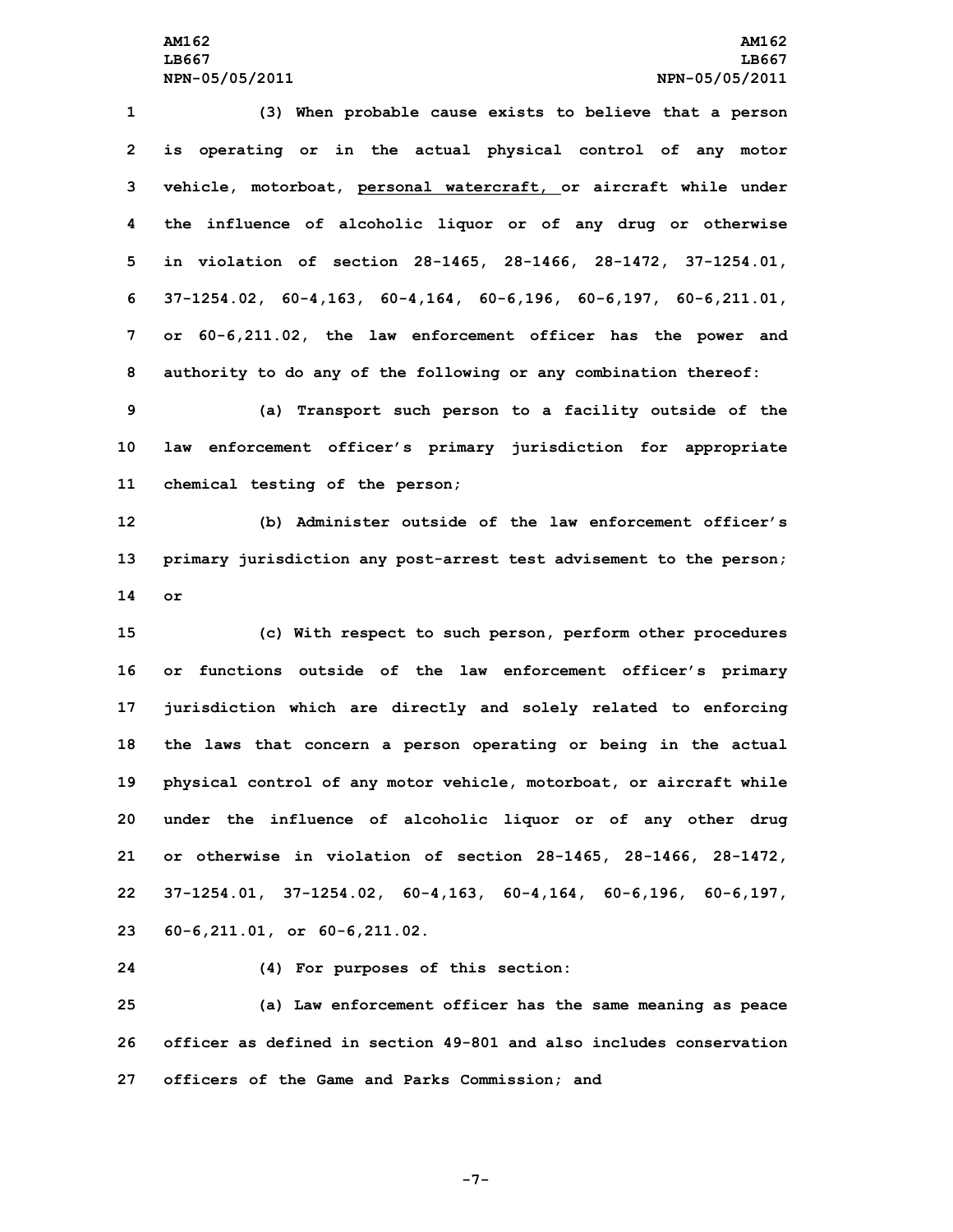**(3) When probable cause exists to believe that <sup>a</sup> person is operating or in the actual physical control of any motor vehicle, motorboat, personal watercraft, or aircraft while under the influence of alcoholic liquor or of any drug or otherwise in violation of section 28-1465, 28-1466, 28-1472, 37-1254.01, 37-1254.02, 60-4,163, 60-4,164, 60-6,196, 60-6,197, 60-6,211.01, or 60-6,211.02, the law enforcement officer has the power and authority to do any of the following or any combination thereof:**

**9 (a) Transport such person to <sup>a</sup> facility outside of the 10 law enforcement officer's primary jurisdiction for appropriate 11 chemical testing of the person;**

**12 (b) Administer outside of the law enforcement officer's 13 primary jurisdiction any post-arrest test advisement to the person; 14 or**

 **(c) With respect to such person, perform other procedures or functions outside of the law enforcement officer's primary jurisdiction which are directly and solely related to enforcing the laws that concern <sup>a</sup> person operating or being in the actual physical control of any motor vehicle, motorboat, or aircraft while under the influence of alcoholic liquor or of any other drug or otherwise in violation of section 28-1465, 28-1466, 28-1472, 37-1254.01, 37-1254.02, 60-4,163, 60-4,164, 60-6,196, 60-6,197, 60-6,211.01, or 60-6,211.02.**

**24 (4) For purposes of this section:**

**25 (a) Law enforcement officer has the same meaning as peace 26 officer as defined in section 49-801 and also includes conservation 27 officers of the Game and Parks Commission; and**

**-7-**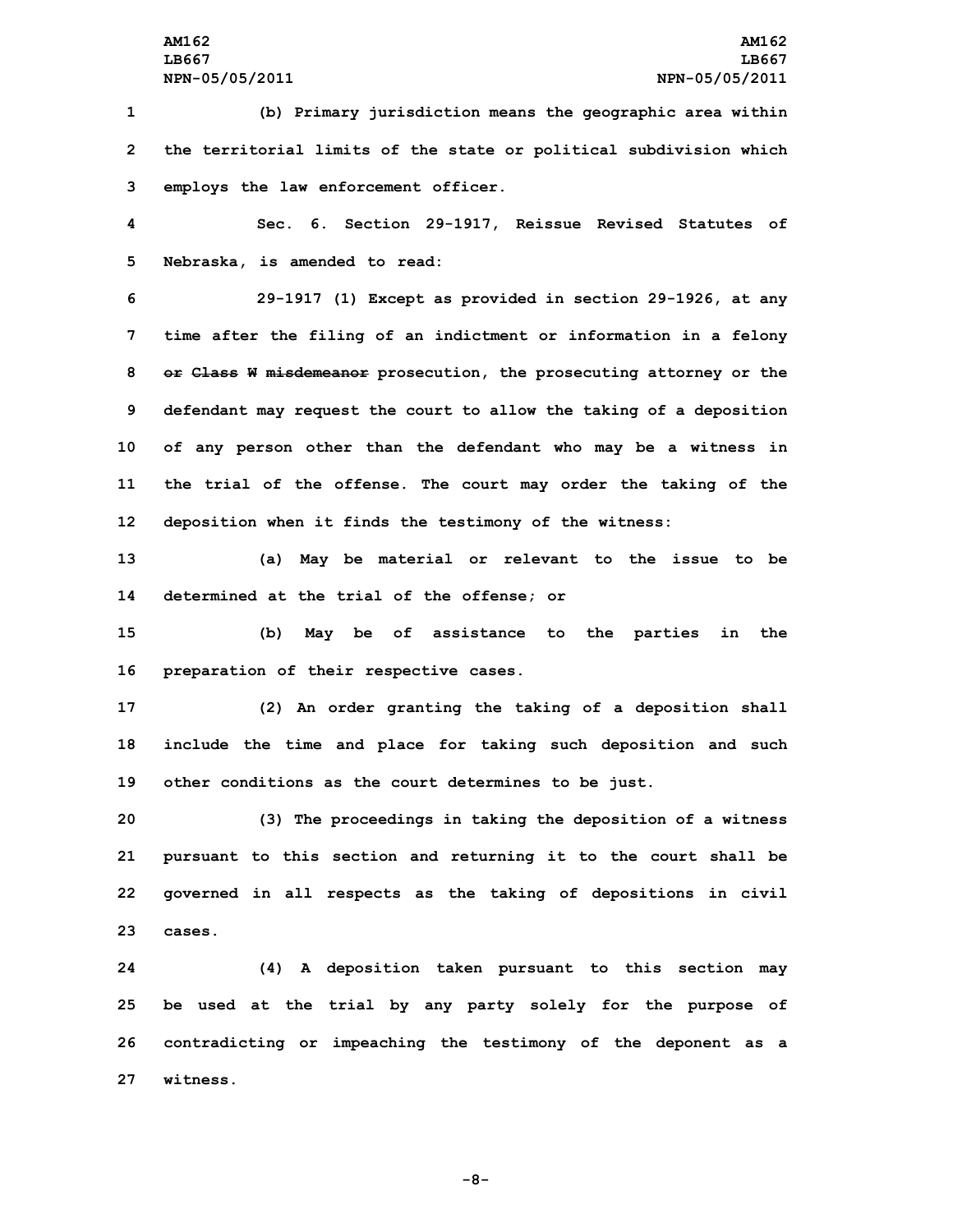**1 (b) Primary jurisdiction means the geographic area within 2 the territorial limits of the state or political subdivision which 3 employs the law enforcement officer.**

**4 Sec. 6. Section 29-1917, Reissue Revised Statutes of 5 Nebraska, is amended to read:**

 **29-1917 (1) Except as provided in section 29-1926, at any time after the filing of an indictment or information in <sup>a</sup> felony or Class <sup>W</sup> misdemeanor prosecution, the prosecuting attorney or the defendant may request the court to allow the taking of <sup>a</sup> deposition of any person other than the defendant who may be <sup>a</sup> witness in the trial of the offense. The court may order the taking of the deposition when it finds the testimony of the witness:**

**13 (a) May be material or relevant to the issue to be 14 determined at the trial of the offense; or**

**15 (b) May be of assistance to the parties in the 16 preparation of their respective cases.**

**17 (2) An order granting the taking of <sup>a</sup> deposition shall 18 include the time and place for taking such deposition and such 19 other conditions as the court determines to be just.**

 **(3) The proceedings in taking the deposition of <sup>a</sup> witness pursuant to this section and returning it to the court shall be governed in all respects as the taking of depositions in civil 23 cases.**

 **(4) <sup>A</sup> deposition taken pursuant to this section may be used at the trial by any party solely for the purpose of contradicting or impeaching the testimony of the deponent as <sup>a</sup> 27 witness.**

**-8-**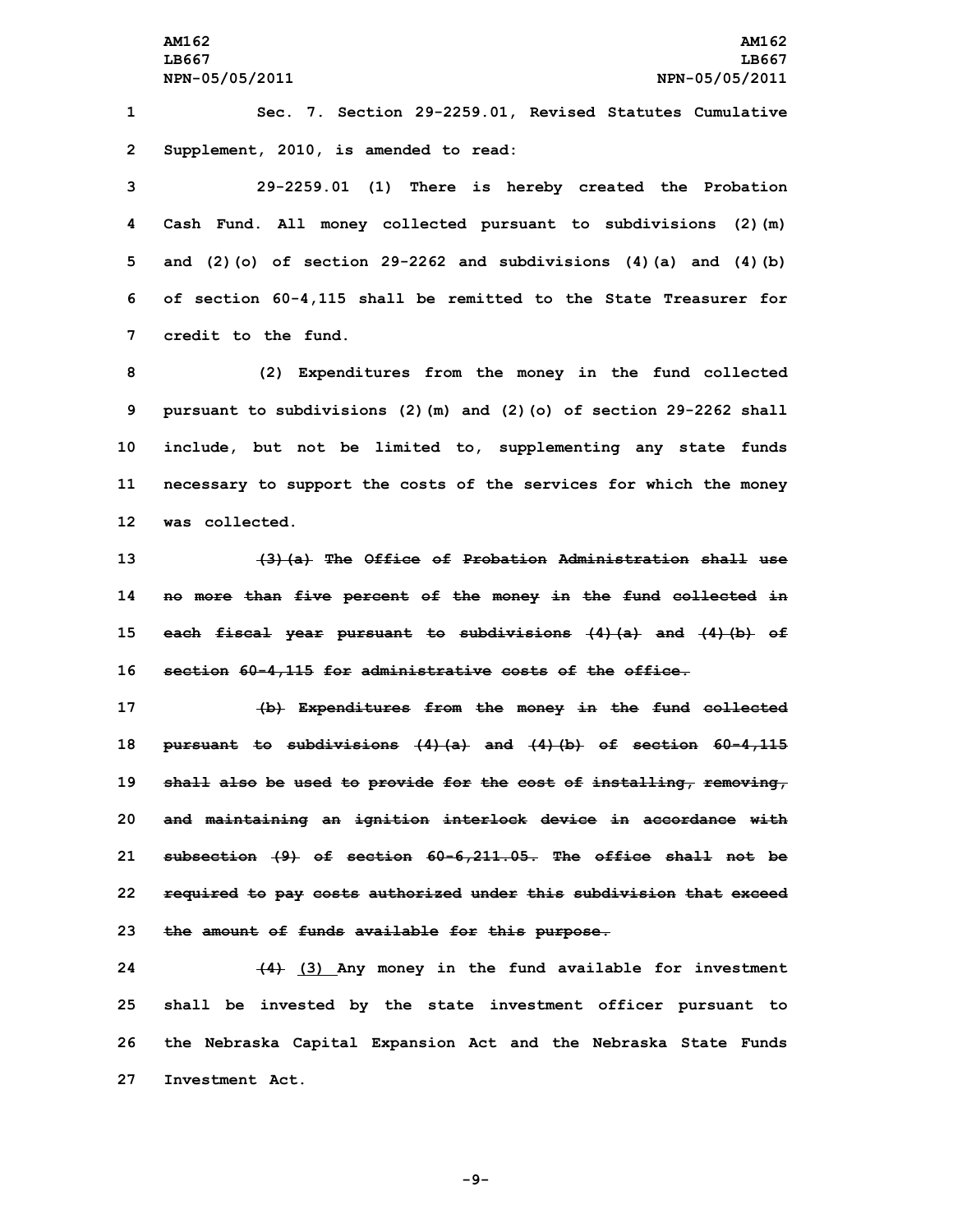**1 Sec. 7. Section 29-2259.01, Revised Statutes Cumulative 2 Supplement, 2010, is amended to read:**

 **29-2259.01 (1) There is hereby created the Probation Cash Fund. All money collected pursuant to subdivisions (2)(m) and (2)(o) of section 29-2262 and subdivisions (4)(a) and (4)(b) of section 60-4,115 shall be remitted to the State Treasurer for credit to the fund.**

 **(2) Expenditures from the money in the fund collected pursuant to subdivisions (2)(m) and (2)(o) of section 29-2262 shall include, but not be limited to, supplementing any state funds necessary to support the costs of the services for which the money was collected.**

 **(3)(a) The Office of Probation Administration shall use no more than five percent of the money in the fund collected in each fiscal year pursuant to subdivisions (4)(a) and (4)(b) of section 60-4,115 for administrative costs of the office.**

 **(b) Expenditures from the money in the fund collected pursuant to subdivisions (4)(a) and (4)(b) of section 60-4,115 shall also be used to provide for the cost of installing, removing, and maintaining an ignition interlock device in accordance with subsection (9) of section 60-6,211.05. The office shall not be required to pay costs authorized under this subdivision that exceed the amount of funds available for this purpose.**

 **(4) (3) Any money in the fund available for investment shall be invested by the state investment officer pursuant to the Nebraska Capital Expansion Act and the Nebraska State Funds Investment Act.**

**-9-**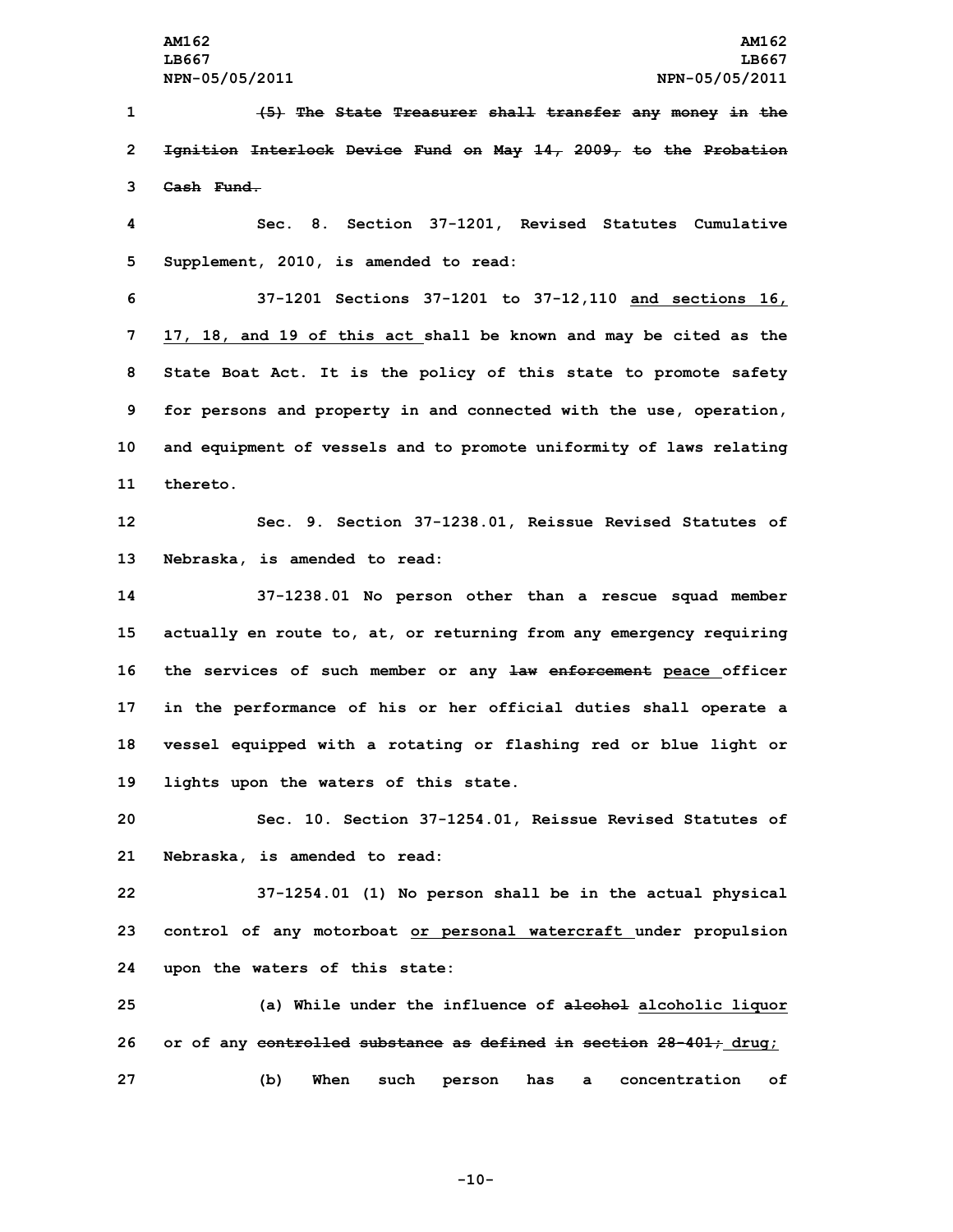**(5) The State Treasurer shall transfer any money in the Ignition Interlock Device Fund on May 14, 2009, to the Probation Cash Fund. Sec. 8. Section 37-1201, Revised Statutes Cumulative Supplement, 2010, is amended to read: 37-1201 Sections 37-1201 to 37-12,110 and sections 16, 17, 18, and 19 of this act shall be known and may be cited as the State Boat Act. It is the policy of this state to promote safety for persons and property in and connected with the use, operation, and equipment of vessels and to promote uniformity of laws relating 11 thereto. Sec. 9. Section 37-1238.01, Reissue Revised Statutes of Nebraska, is amended to read: 37-1238.01 No person other than <sup>a</sup> rescue squad member actually en route to, at, or returning from any emergency requiring the services of such member or any law enforcement peace officer in the performance of his or her official duties shall operate <sup>a</sup> vessel equipped with <sup>a</sup> rotating or flashing red or blue light or lights upon the waters of this state. Sec. 10. Section 37-1254.01, Reissue Revised Statutes of Nebraska, is amended to read: 37-1254.01 (1) No person shall be in the actual physical control of any motorboat or personal watercraft under propulsion upon the waters of this state: (a) While under the influence of alcohol alcoholic liquor or of any controlled substance as defined in section 28-401; drug;**

**-10-**

**27 (b) When such person has <sup>a</sup> concentration of**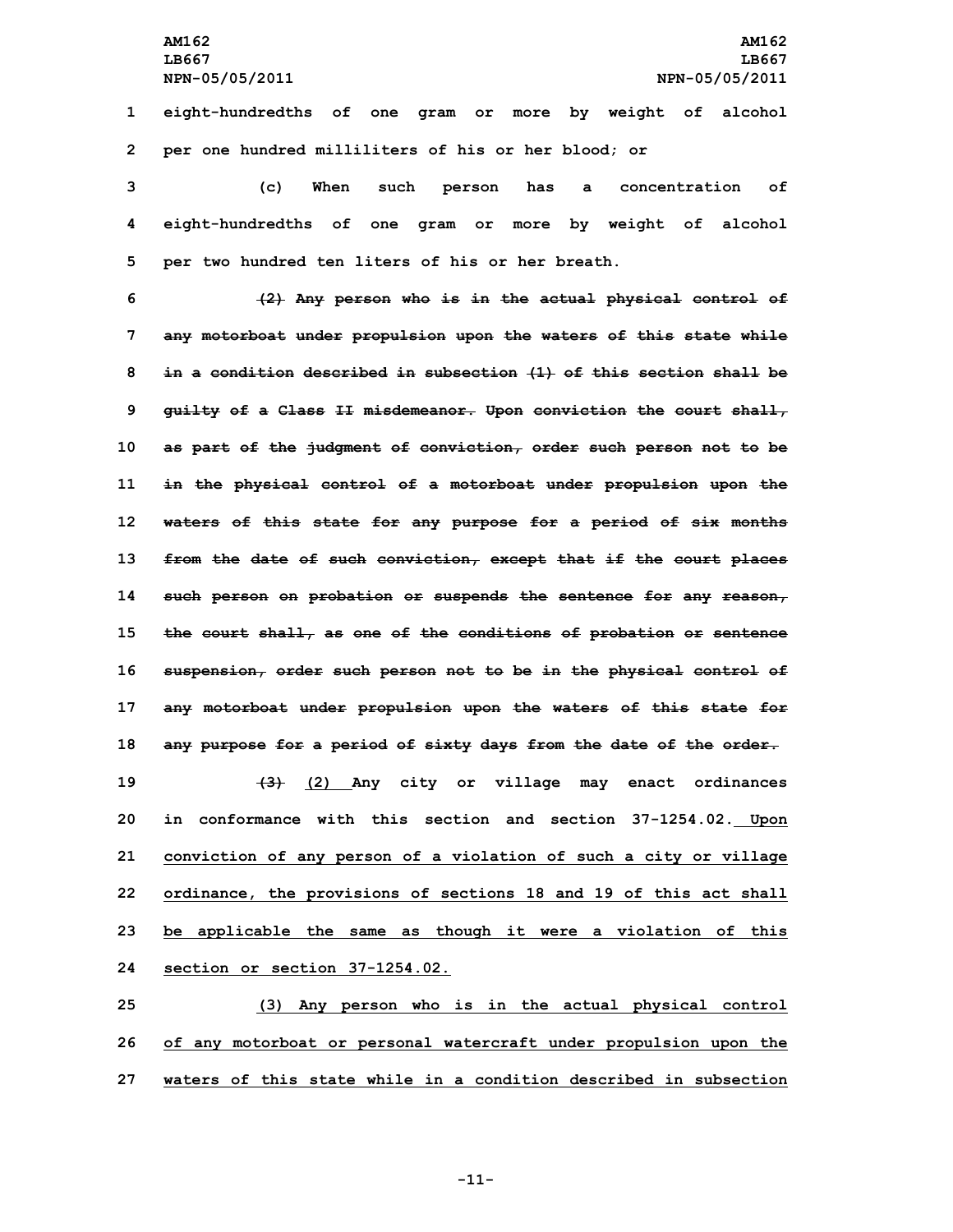**1 eight-hundredths of one gram or more by weight of alcohol 2 per one hundred milliliters of his or her blood; or**

**3 (c) When such person has <sup>a</sup> concentration of 4 eight-hundredths of one gram or more by weight of alcohol 5 per two hundred ten liters of his or her breath.**

 **(2) Any person who is in the actual physical control of any motorboat under propulsion upon the waters of this state while in <sup>a</sup> condition described in subsection (1) of this section shall be guilty of <sup>a</sup> Class II misdemeanor. Upon conviction the court shall, as part of the judgment of conviction, order such person not to be in the physical control of <sup>a</sup> motorboat under propulsion upon the waters of this state for any purpose for <sup>a</sup> period of six months from the date of such conviction, except that if the court places such person on probation or suspends the sentence for any reason, the court shall, as one of the conditions of probation or sentence suspension, order such person not to be in the physical control of any motorboat under propulsion upon the waters of this state for any purpose for <sup>a</sup> period of sixty days from the date of the order. (3) (2) Any city or village may enact ordinances in conformance with this section and section 37-1254.02. Upon conviction of any person of <sup>a</sup> violation of such <sup>a</sup> city or village ordinance, the provisions of sections 18 and 19 of this act shall be applicable the same as though it were <sup>a</sup> violation of this section or section 37-1254.02.**

**25 (3) Any person who is in the actual physical control 26 of any motorboat or personal watercraft under propulsion upon the 27 waters of this state while in a condition described in subsection**

**-11-**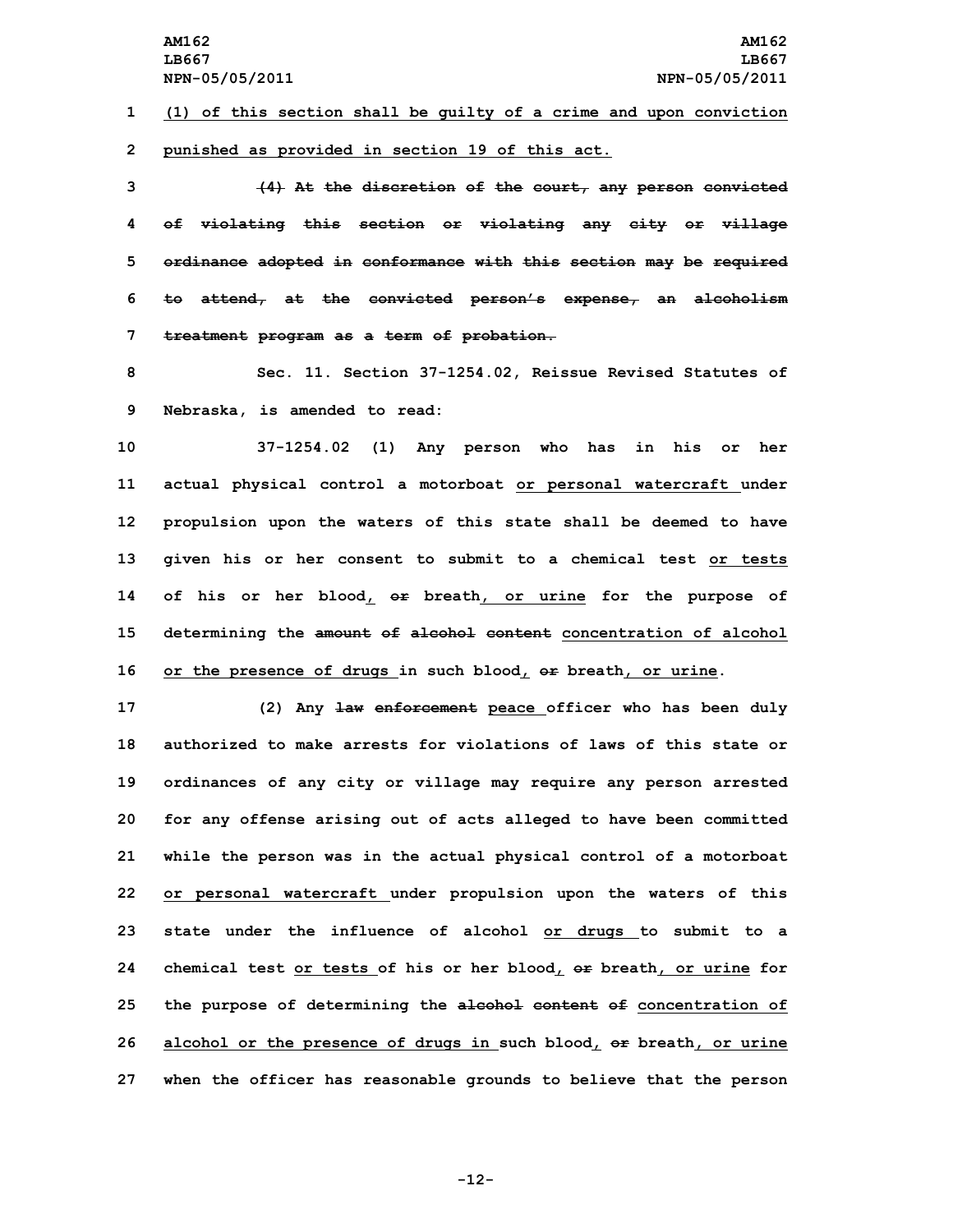**1 (1) of this section shall be guilty of <sup>a</sup> crime and upon conviction 2 punished as provided in section 19 of this act.**

 **(4) At the discretion of the court, any person convicted of violating this section or violating any city or village ordinance adopted in conformance with this section may be required to attend, at the convicted person's expense, an alcoholism treatment program as <sup>a</sup> term of probation.**

**8 Sec. 11. Section 37-1254.02, Reissue Revised Statutes of 9 Nebraska, is amended to read:**

 **37-1254.02 (1) Any person who has in his or her actual physical control <sup>a</sup> motorboat or personal watercraft under propulsion upon the waters of this state shall be deemed to have given his or her consent to submit to <sup>a</sup> chemical test or tests of his or her blood, or breath, or urine for the purpose of determining the amount of alcohol content concentration of alcohol or the presence of drugs in such blood, or breath, or urine.**

 **(2) Any law enforcement peace officer who has been duly authorized to make arrests for violations of laws of this state or ordinances of any city or village may require any person arrested for any offense arising out of acts alleged to have been committed while the person was in the actual physical control of <sup>a</sup> motorboat or personal watercraft under propulsion upon the waters of this state under the influence of alcohol or drugs to submit to <sup>a</sup> chemical test or tests of his or her blood, or breath, or urine for the purpose of determining the alcohol content of concentration of alcohol or the presence of drugs in such blood, or breath, or urine when the officer has reasonable grounds to believe that the person**

**-12-**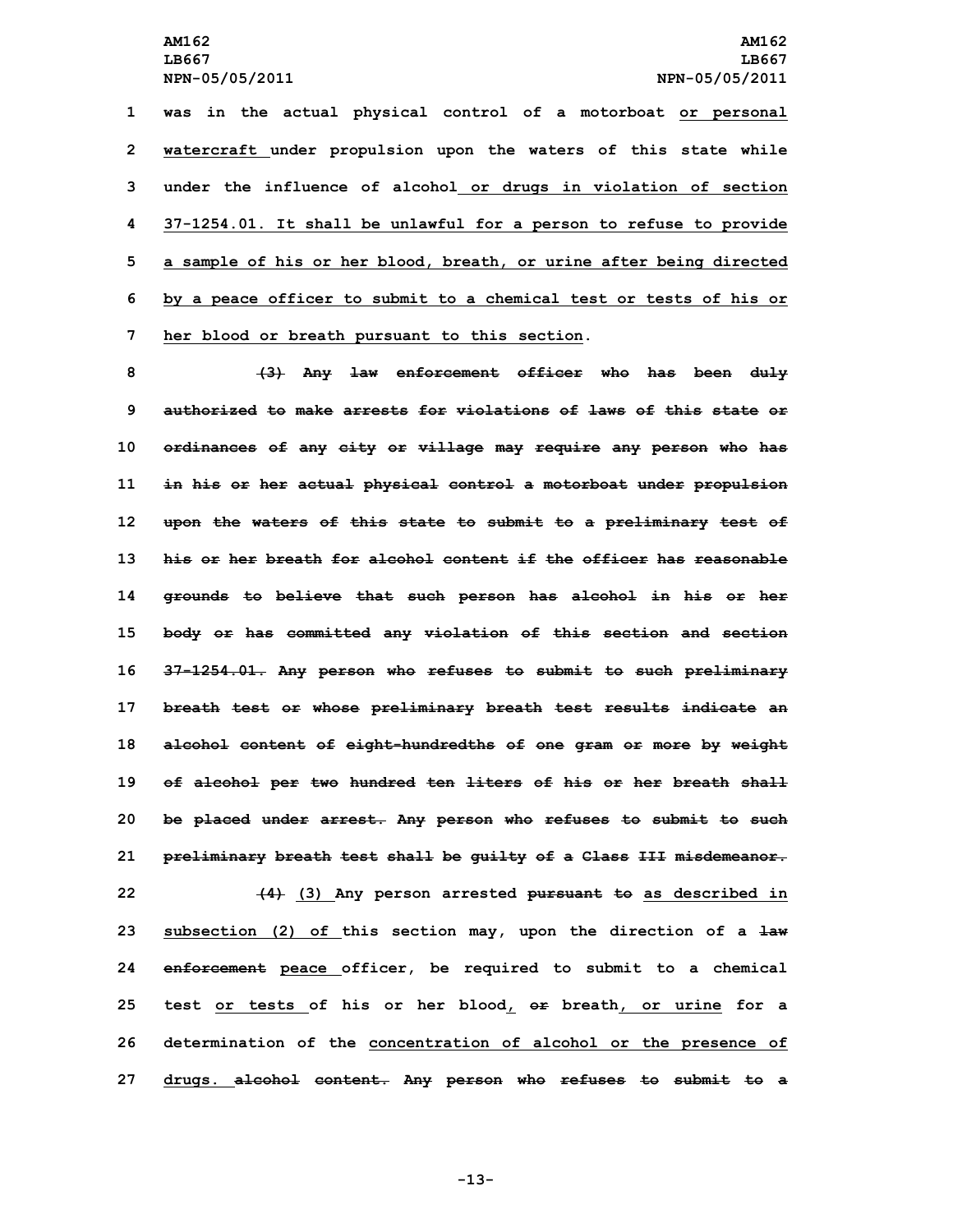**was in the actual physical control of <sup>a</sup> motorboat or personal watercraft under propulsion upon the waters of this state while under the influence of alcohol or drugs in violation of section 37-1254.01. It shall be unlawful for <sup>a</sup> person to refuse to provide <sup>a</sup> sample of his or her blood, breath, or urine after being directed by <sup>a</sup> peace officer to submit to <sup>a</sup> chemical test or tests of his or her blood or breath pursuant to this section.**

 **(3) Any law enforcement officer who has been duly authorized to make arrests for violations of laws of this state or ordinances of any city or village may require any person who has in his or her actual physical control <sup>a</sup> motorboat under propulsion upon the waters of this state to submit to <sup>a</sup> preliminary test of his or her breath for alcohol content if the officer has reasonable grounds to believe that such person has alcohol in his or her body or has committed any violation of this section and section 37-1254.01. Any person who refuses to submit to such preliminary breath test or whose preliminary breath test results indicate an alcohol content of eight-hundredths of one gram or more by weight of alcohol per two hundred ten liters of his or her breath shall be placed under arrest. Any person who refuses to submit to such preliminary breath test shall be guilty of <sup>a</sup> Class III misdemeanor. (4) (3) Any person arrested pursuant to as described in subsection (2) of this section may, upon the direction of <sup>a</sup> law enforcement peace officer, be required to submit to <sup>a</sup> chemical test or tests of his or her blood, or breath, or urine for <sup>a</sup> determination of the concentration of alcohol or the presence of drugs. alcohol content. Any person who refuses to submit to <sup>a</sup>**

**-13-**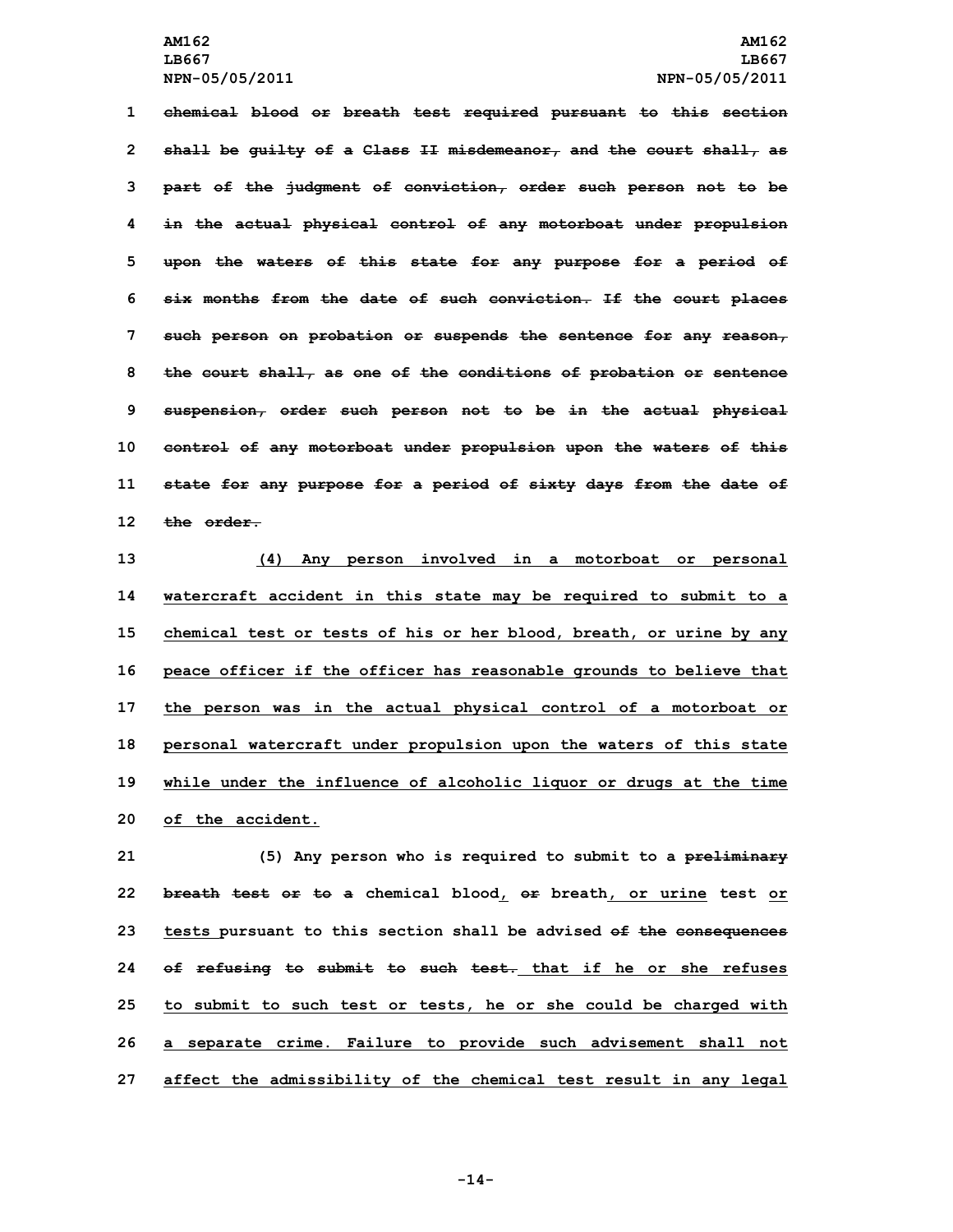**chemical blood or breath test required pursuant to this section shall be guilty of <sup>a</sup> Class II misdemeanor, and the court shall, as part of the judgment of conviction, order such person not to be in the actual physical control of any motorboat under propulsion upon the waters of this state for any purpose for <sup>a</sup> period of six months from the date of such conviction. If the court places such person on probation or suspends the sentence for any reason, the court shall, as one of the conditions of probation or sentence suspension, order such person not to be in the actual physical control of any motorboat under propulsion upon the waters of this state for any purpose for <sup>a</sup> period of sixty days from the date of the order.**

 **(4) Any person involved in <sup>a</sup> motorboat or personal watercraft accident in this state may be required to submit to <sup>a</sup> chemical test or tests of his or her blood, breath, or urine by any peace officer if the officer has reasonable grounds to believe that the person was in the actual physical control of <sup>a</sup> motorboat or personal watercraft under propulsion upon the waters of this state while under the influence of alcoholic liquor or drugs at the time of the accident.**

 **(5) Any person who is required to submit to <sup>a</sup> preliminary breath test or to <sup>a</sup> chemical blood, or breath, or urine test or tests pursuant to this section shall be advised of the consequences of refusing to submit to such test. that if he or she refuses to submit to such test or tests, he or she could be charged with <sup>a</sup> separate crime. Failure to provide such advisement shall not affect the admissibility of the chemical test result in any legal**

**-14-**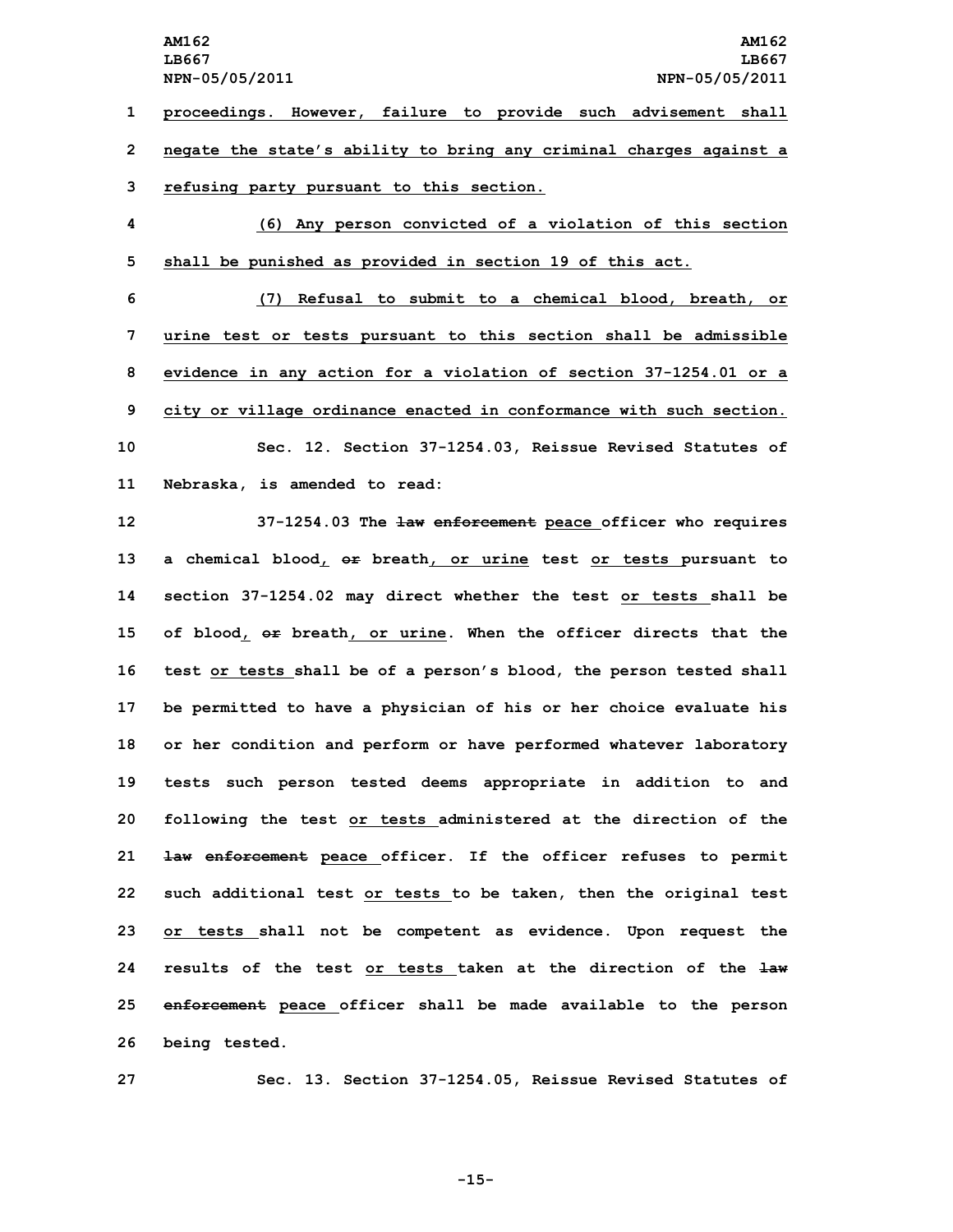**proceedings. However, failure to provide such advisement shall negate the state's ability to bring any criminal charges against <sup>a</sup> refusing party pursuant to this section. (6) Any person convicted of <sup>a</sup> violation of this section shall be punished as provided in section 19 of this act.**

 **(7) Refusal to submit to <sup>a</sup> chemical blood, breath, or urine test or tests pursuant to this section shall be admissible evidence in any action for <sup>a</sup> violation of section 37-1254.01 or <sup>a</sup> city or village ordinance enacted in conformance with such section. Sec. 12. Section 37-1254.03, Reissue Revised Statutes of Nebraska, is amended to read:**

 **37-1254.03 The law enforcement peace officer who requires <sup>a</sup> chemical blood, or breath, or urine test or tests pursuant to section 37-1254.02 may direct whether the test or tests shall be of blood, or breath, or urine. When the officer directs that the test or tests shall be of <sup>a</sup> person's blood, the person tested shall be permitted to have <sup>a</sup> physician of his or her choice evaluate his or her condition and perform or have performed whatever laboratory tests such person tested deems appropriate in addition to and following the test or tests administered at the direction of the law enforcement peace officer. If the officer refuses to permit such additional test or tests to be taken, then the original test or tests shall not be competent as evidence. Upon request the results of the test or tests taken at the direction of the law enforcement peace officer shall be made available to the person being tested.**

**27 Sec. 13. Section 37-1254.05, Reissue Revised Statutes of**

**-15-**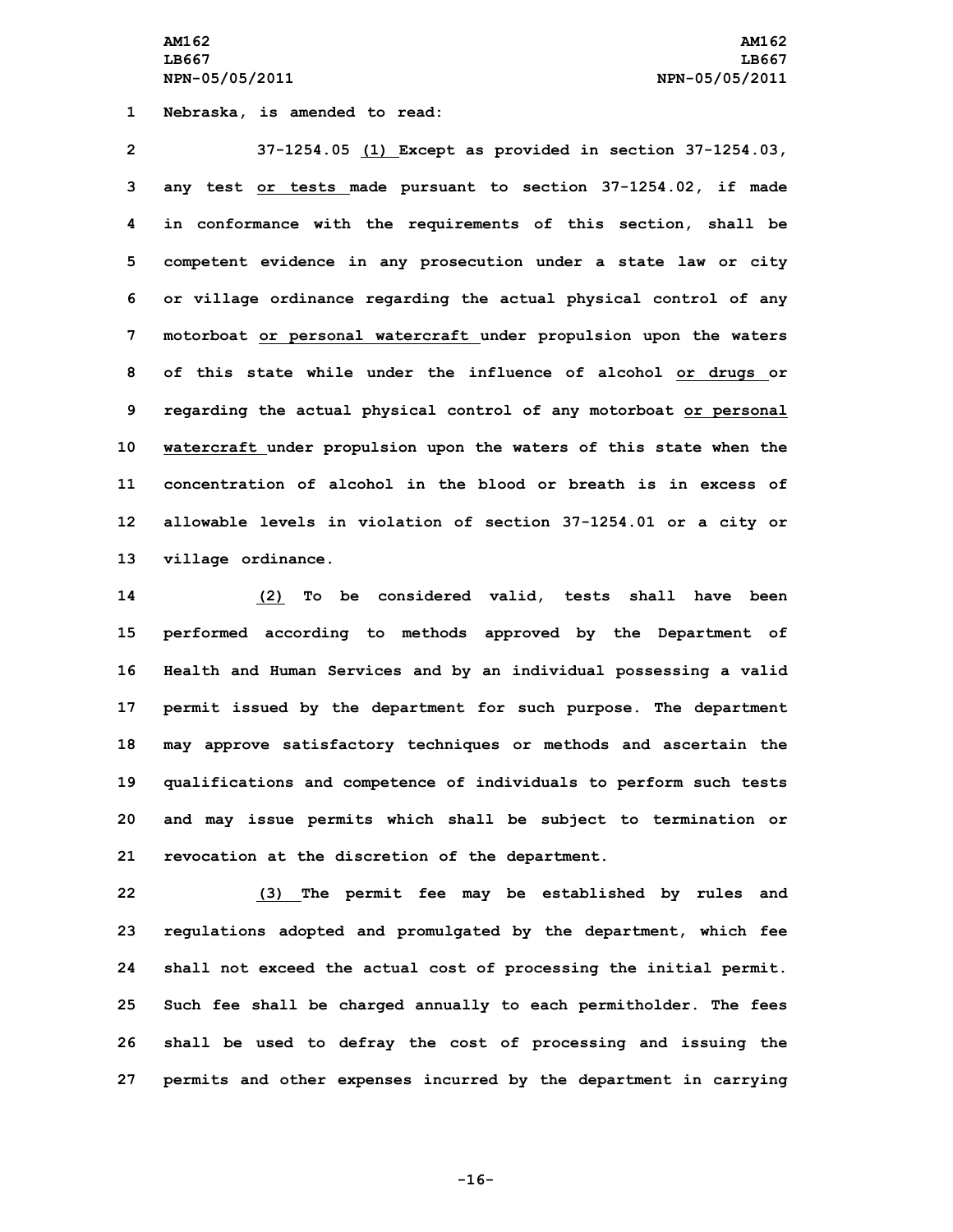**AM162 AM162 LB667 LB667 NPN-05/05/2011 NPN-05/05/2011**

**1 Nebraska, is amended to read:**

 **37-1254.05 (1) Except as provided in section 37-1254.03, any test or tests made pursuant to section 37-1254.02, if made in conformance with the requirements of this section, shall be competent evidence in any prosecution under <sup>a</sup> state law or city or village ordinance regarding the actual physical control of any motorboat or personal watercraft under propulsion upon the waters of this state while under the influence of alcohol or drugs or regarding the actual physical control of any motorboat or personal watercraft under propulsion upon the waters of this state when the concentration of alcohol in the blood or breath is in excess of allowable levels in violation of section 37-1254.01 or <sup>a</sup> city or village ordinance.**

 **(2) To be considered valid, tests shall have been performed according to methods approved by the Department of Health and Human Services and by an individual possessing <sup>a</sup> valid permit issued by the department for such purpose. The department may approve satisfactory techniques or methods and ascertain the qualifications and competence of individuals to perform such tests and may issue permits which shall be subject to termination or revocation at the discretion of the department.**

 **(3) The permit fee may be established by rules and regulations adopted and promulgated by the department, which fee shall not exceed the actual cost of processing the initial permit. Such fee shall be charged annually to each permitholder. The fees shall be used to defray the cost of processing and issuing the permits and other expenses incurred by the department in carrying**

**-16-**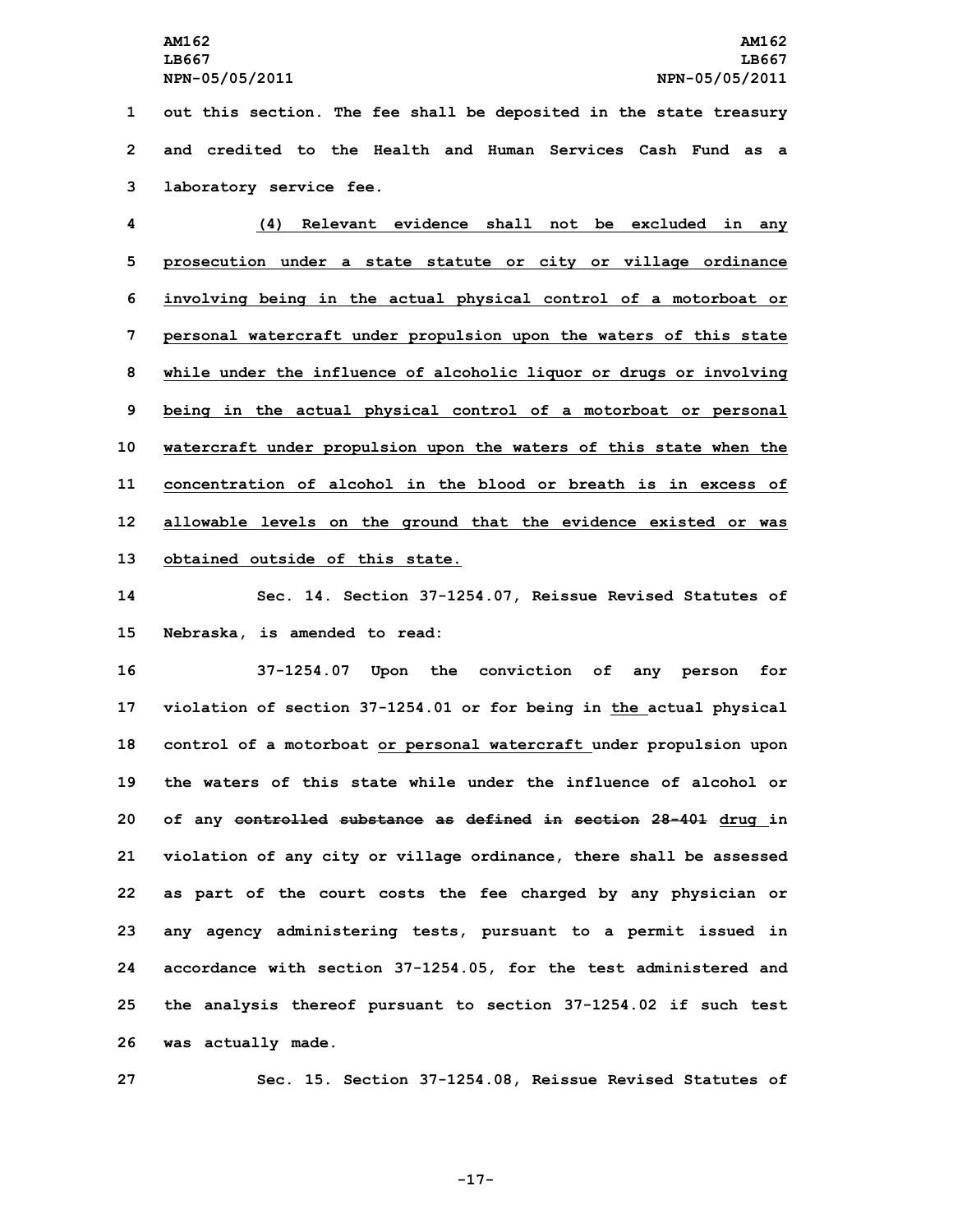**1 out this section. The fee shall be deposited in the state treasury 2 and credited to the Health and Human Services Cash Fund as a 3 laboratory service fee.**

 **(4) Relevant evidence shall not be excluded in any prosecution under <sup>a</sup> state statute or city or village ordinance involving being in the actual physical control of <sup>a</sup> motorboat or personal watercraft under propulsion upon the waters of this state while under the influence of alcoholic liquor or drugs or involving being in the actual physical control of <sup>a</sup> motorboat or personal watercraft under propulsion upon the waters of this state when the concentration of alcohol in the blood or breath is in excess of allowable levels on the ground that the evidence existed or was obtained outside of this state.**

**14 Sec. 14. Section 37-1254.07, Reissue Revised Statutes of 15 Nebraska, is amended to read:**

 **37-1254.07 Upon the conviction of any person for violation of section 37-1254.01 or for being in the actual physical control of <sup>a</sup> motorboat or personal watercraft under propulsion upon the waters of this state while under the influence of alcohol or of any controlled substance as defined in section 28-401 drug in violation of any city or village ordinance, there shall be assessed as part of the court costs the fee charged by any physician or any agency administering tests, pursuant to <sup>a</sup> permit issued in accordance with section 37-1254.05, for the test administered and the analysis thereof pursuant to section 37-1254.02 if such test was actually made.**

**27 Sec. 15. Section 37-1254.08, Reissue Revised Statutes of**

**-17-**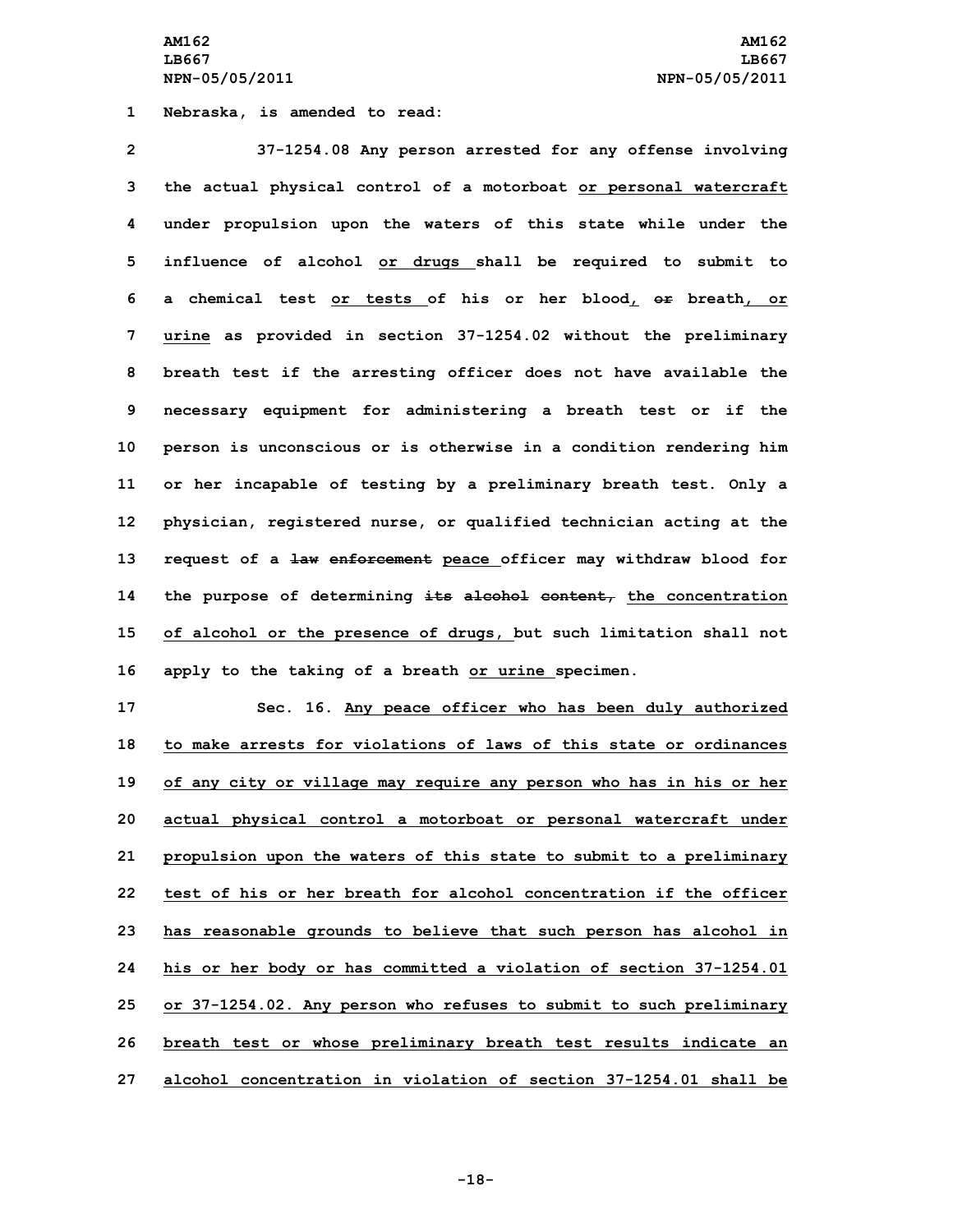**AM162 AM162 LB667 LB667 NPN-05/05/2011 NPN-05/05/2011**

**1 Nebraska, is amended to read:**

 **37-1254.08 Any person arrested for any offense involving the actual physical control of <sup>a</sup> motorboat or personal watercraft under propulsion upon the waters of this state while under the influence of alcohol or drugs shall be required to submit to <sup>a</sup> chemical test or tests of his or her blood, or breath, or urine as provided in section 37-1254.02 without the preliminary breath test if the arresting officer does not have available the necessary equipment for administering <sup>a</sup> breath test or if the person is unconscious or is otherwise in <sup>a</sup> condition rendering him or her incapable of testing by <sup>a</sup> preliminary breath test. Only <sup>a</sup> physician, registered nurse, or qualified technician acting at the request of <sup>a</sup> law enforcement peace officer may withdraw blood for the purpose of determining its alcohol content, the concentration of alcohol or the presence of drugs, but such limitation shall not apply to the taking of <sup>a</sup> breath or urine specimen.**

 **Sec. 16. Any peace officer who has been duly authorized to make arrests for violations of laws of this state or ordinances of any city or village may require any person who has in his or her actual physical control <sup>a</sup> motorboat or personal watercraft under propulsion upon the waters of this state to submit to <sup>a</sup> preliminary test of his or her breath for alcohol concentration if the officer has reasonable grounds to believe that such person has alcohol in his or her body or has committed <sup>a</sup> violation of section 37-1254.01 or 37-1254.02. Any person who refuses to submit to such preliminary breath test or whose preliminary breath test results indicate an alcohol concentration in violation of section 37-1254.01 shall be**

**-18-**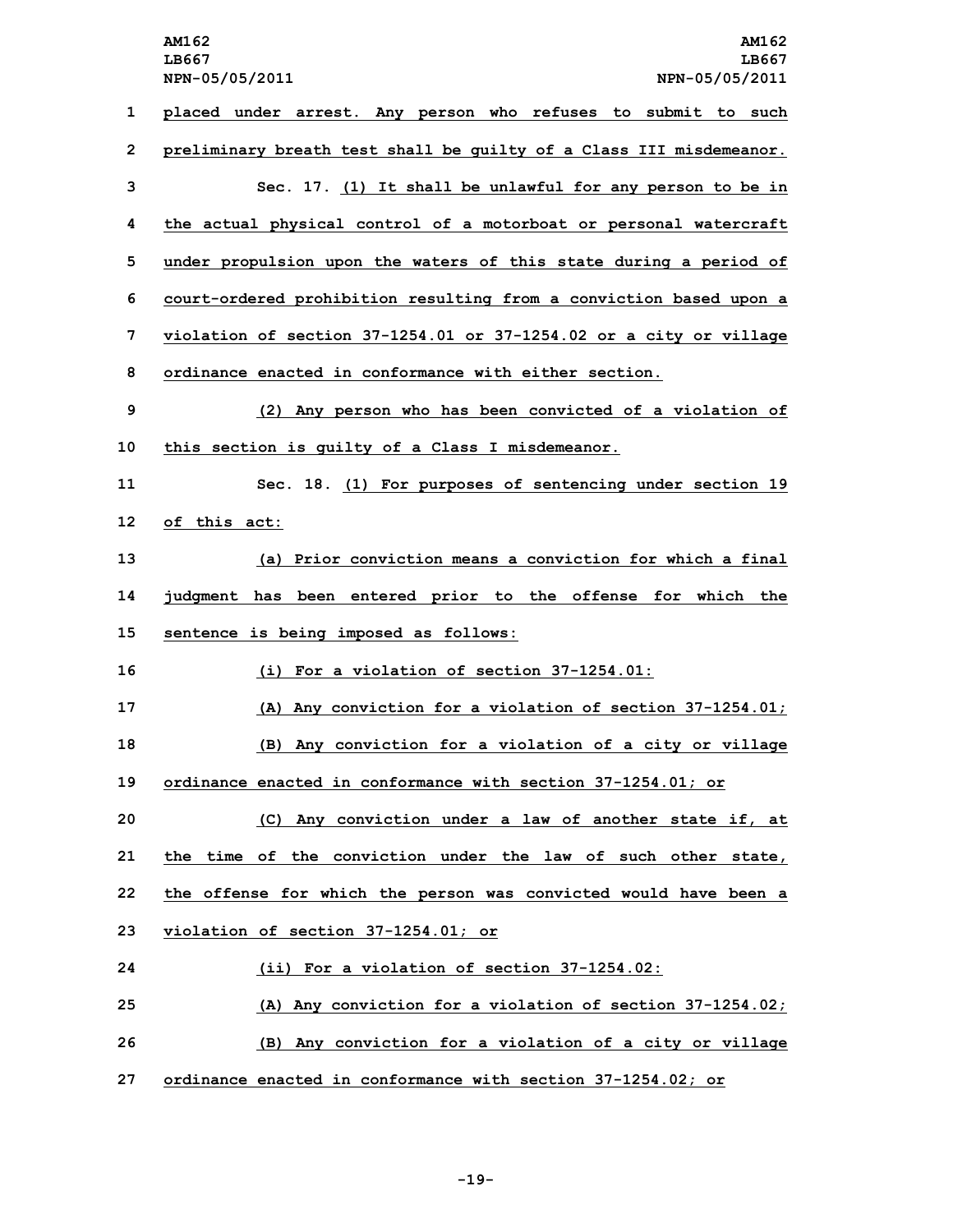**AM162 AM162 LB667 LB667 NPN-05/05/2011 NPN-05/05/2011 placed under arrest. Any person who refuses to submit to such preliminary breath test shall be guilty of <sup>a</sup> Class III misdemeanor. Sec. 17. (1) It shall be unlawful for any person to be in the actual physical control of <sup>a</sup> motorboat or personal watercraft under propulsion upon the waters of this state during <sup>a</sup> period of court-ordered prohibition resulting from <sup>a</sup> conviction based upon <sup>a</sup> violation of section 37-1254.01 or 37-1254.02 or <sup>a</sup> city or village ordinance enacted in conformance with either section. (2) Any person who has been convicted of <sup>a</sup> violation of this section is guilty of <sup>a</sup> Class <sup>I</sup> misdemeanor. Sec. 18. (1) For purposes of sentencing under section 19 of this act: (a) Prior conviction means <sup>a</sup> conviction for which <sup>a</sup> final judgment has been entered prior to the offense for which the sentence is being imposed as follows: (i) For <sup>a</sup> violation of section 37-1254.01: (A) Any conviction for <sup>a</sup> violation of section 37-1254.01; (B) Any conviction for <sup>a</sup> violation of <sup>a</sup> city or village ordinance enacted in conformance with section 37-1254.01; or (C) Any conviction under <sup>a</sup> law of another state if, at the time of the conviction under the law of such other state, the offense for which the person was convicted would have been <sup>a</sup> violation of section 37-1254.01; or (ii) For <sup>a</sup> violation of section 37-1254.02: (A) Any conviction for <sup>a</sup> violation of section 37-1254.02; (B) Any conviction for <sup>a</sup> violation of <sup>a</sup> city or village ordinance enacted in conformance with section 37-1254.02; or**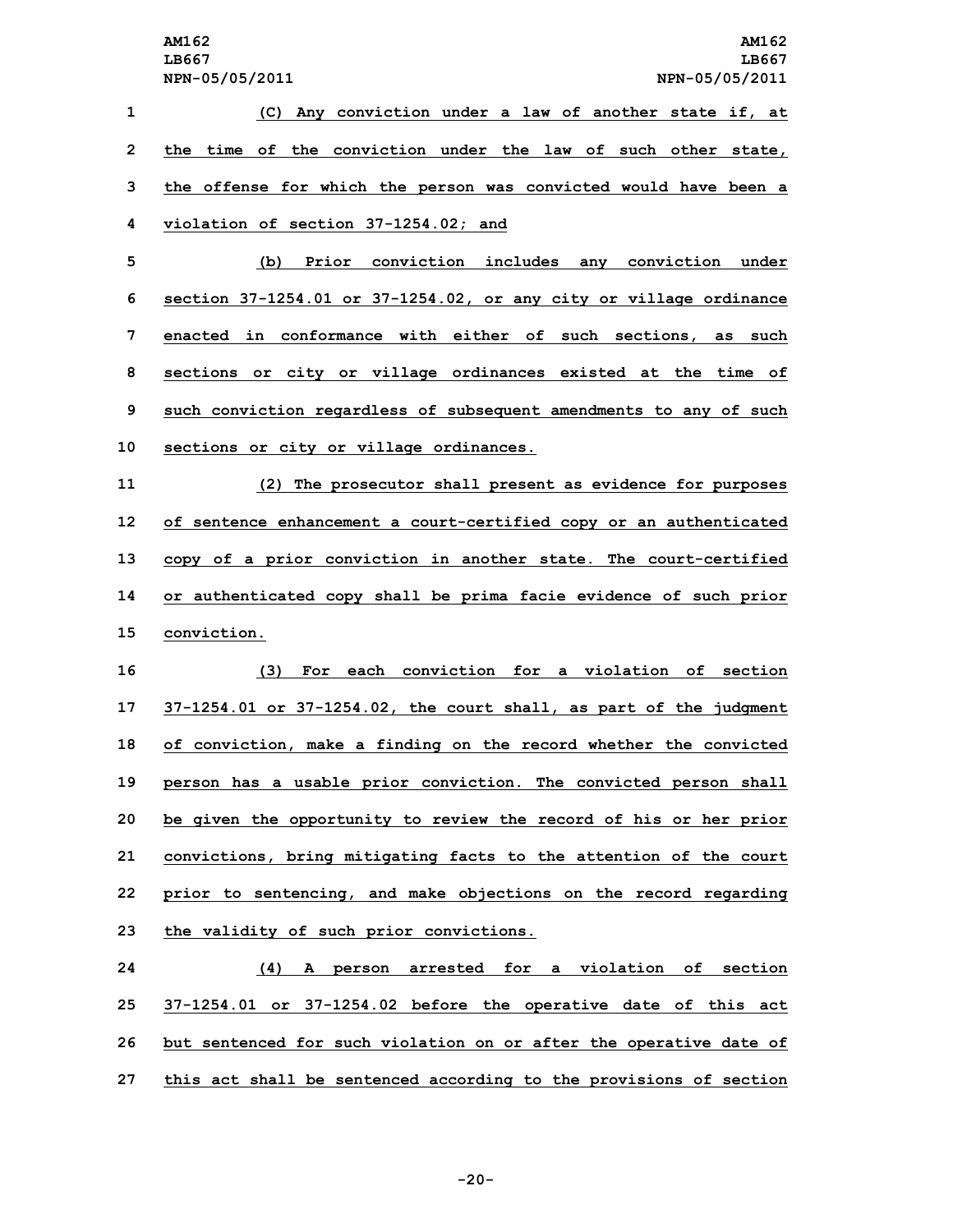**(C) Any conviction under <sup>a</sup> law of another state if, at the time of the conviction under the law of such other state, the offense for which the person was convicted would have been <sup>a</sup> violation of section 37-1254.02; and (b) Prior conviction includes any conviction under section 37-1254.01 or 37-1254.02, or any city or village ordinance enacted in conformance with either of such sections, as such sections or city or village ordinances existed at the time of such conviction regardless of subsequent amendments to any of such sections or city or village ordinances. (2) The prosecutor shall present as evidence for purposes of sentence enhancement <sup>a</sup> court-certified copy or an authenticated copy of <sup>a</sup> prior conviction in another state. The court-certified or authenticated copy shall be prima facie evidence of such prior conviction. (3) For each conviction for <sup>a</sup> violation of section 37-1254.01 or 37-1254.02, the court shall, as part of the judgment of conviction, make <sup>a</sup> finding on the record whether the convicted person has <sup>a</sup> usable prior conviction. The convicted person shall be given the opportunity to review the record of his or her prior convictions, bring mitigating facts to the attention of the court prior to sentencing, and make objections on the record regarding the validity of such prior convictions. (4) <sup>A</sup> person arrested for <sup>a</sup> violation of section 37-1254.01 or 37-1254.02 before the operative date of this act**

**26 but sentenced for such violation on or after the operative date of 27 this act shall be sentenced according to the provisions of section**

**-20-**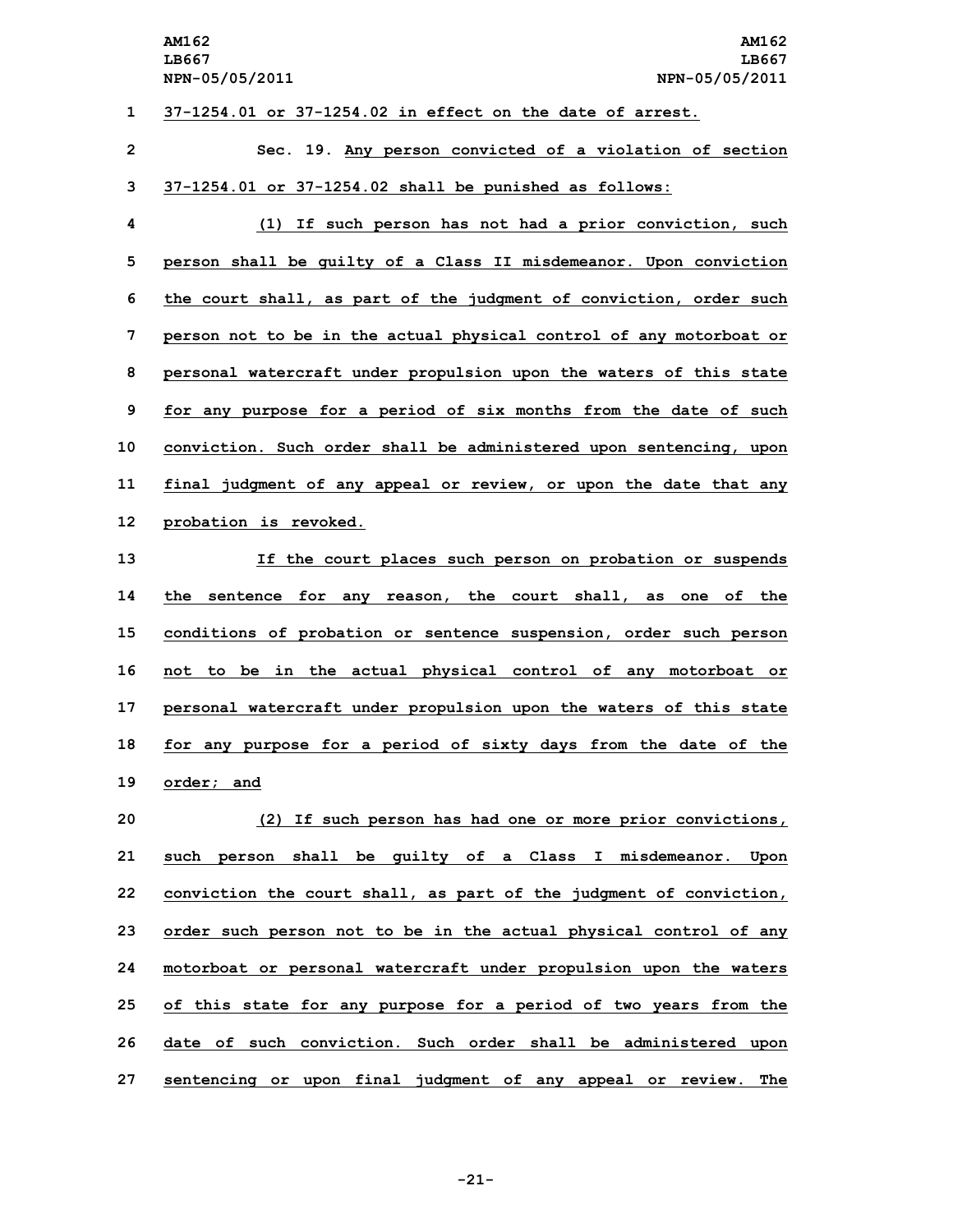# **1 37-1254.01 or 37-1254.02 in effect on the date of arrest.**

**2 Sec. 19. Any person convicted of <sup>a</sup> violation of section 3 37-1254.01 or 37-1254.02 shall be punished as follows:**

 **(1) If such person has not had <sup>a</sup> prior conviction, such person shall be guilty of <sup>a</sup> Class II misdemeanor. Upon conviction the court shall, as part of the judgment of conviction, order such person not to be in the actual physical control of any motorboat or personal watercraft under propulsion upon the waters of this state for any purpose for <sup>a</sup> period of six months from the date of such conviction. Such order shall be administered upon sentencing, upon final judgment of any appeal or review, or upon the date that any probation is revoked.**

 **If the court places such person on probation or suspends the sentence for any reason, the court shall, as one of the conditions of probation or sentence suspension, order such person not to be in the actual physical control of any motorboat or personal watercraft under propulsion upon the waters of this state for any purpose for <sup>a</sup> period of sixty days from the date of the order; and**

 **(2) If such person has had one or more prior convictions, such person shall be guilty of <sup>a</sup> Class <sup>I</sup> misdemeanor. Upon conviction the court shall, as part of the judgment of conviction, order such person not to be in the actual physical control of any motorboat or personal watercraft under propulsion upon the waters of this state for any purpose for <sup>a</sup> period of two years from the date of such conviction. Such order shall be administered upon sentencing or upon final judgment of any appeal or review. The**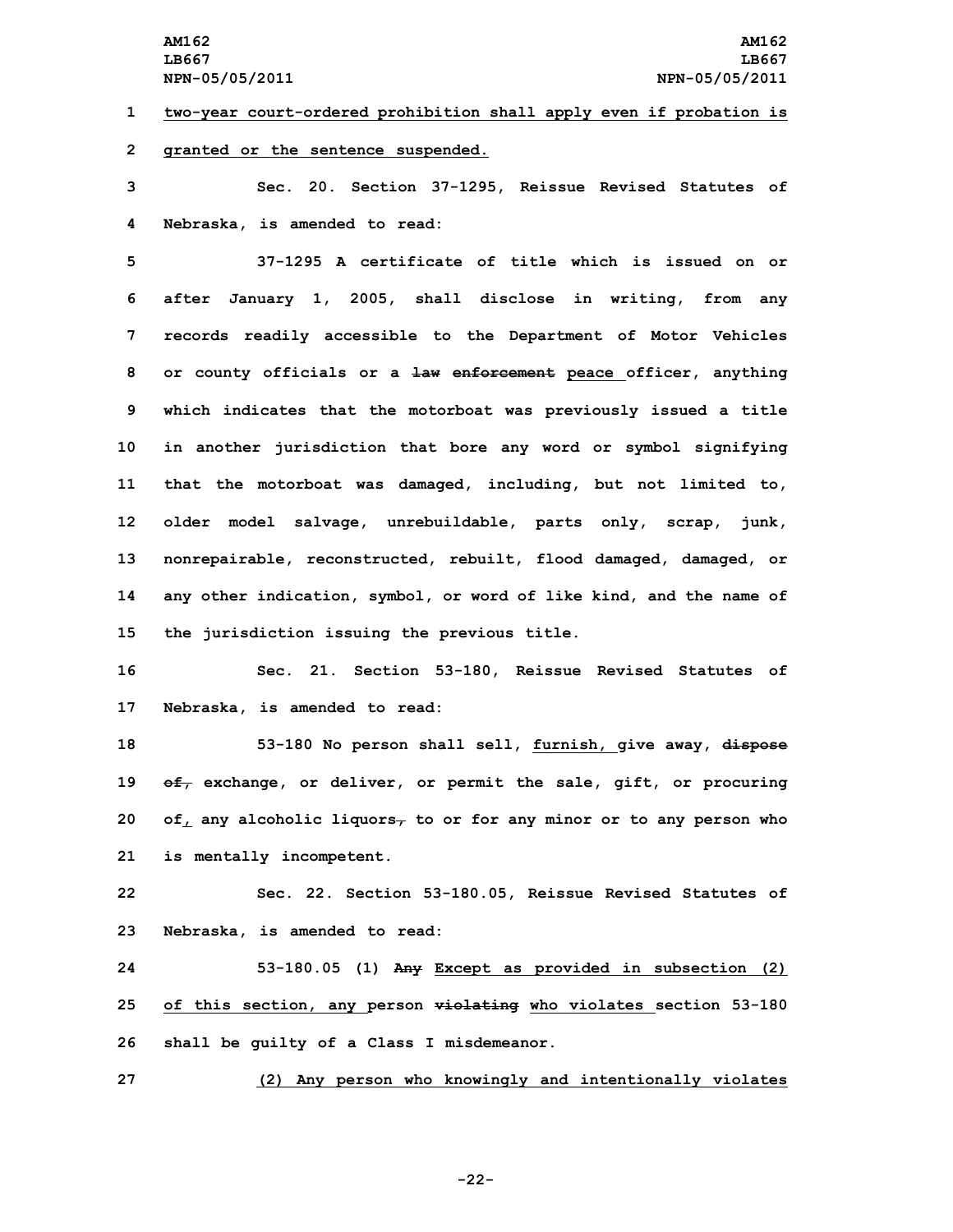**1 two-year court-ordered prohibition shall apply even if probation is 2 granted or the sentence suspended.**

**3 Sec. 20. Section 37-1295, Reissue Revised Statutes of 4 Nebraska, is amended to read:**

 **37-1295 A certificate of title which is issued on or after January 1, 2005, shall disclose in writing, from any records readily accessible to the Department of Motor Vehicles or county officials or <sup>a</sup> law enforcement peace officer, anything which indicates that the motorboat was previously issued <sup>a</sup> title in another jurisdiction that bore any word or symbol signifying that the motorboat was damaged, including, but not limited to, older model salvage, unrebuildable, parts only, scrap, junk, nonrepairable, reconstructed, rebuilt, flood damaged, damaged, or any other indication, symbol, or word of like kind, and the name of the jurisdiction issuing the previous title.**

**16 Sec. 21. Section 53-180, Reissue Revised Statutes of 17 Nebraska, is amended to read:**

 **53-180 No person shall sell, furnish, give away, dispose of, exchange, or deliver, or permit the sale, gift, or procuring of, any alcoholic liquors, to or for any minor or to any person who is mentally incompetent.**

**22 Sec. 22. Section 53-180.05, Reissue Revised Statutes of 23 Nebraska, is amended to read:**

**24 53-180.05 (1) Any Except as provided in subsection (2) 25 of this section, any person violating who violates section 53-180 26 shall be guilty of <sup>a</sup> Class <sup>I</sup> misdemeanor.**

**27 (2) Any person who knowingly and intentionally violates**

**-22-**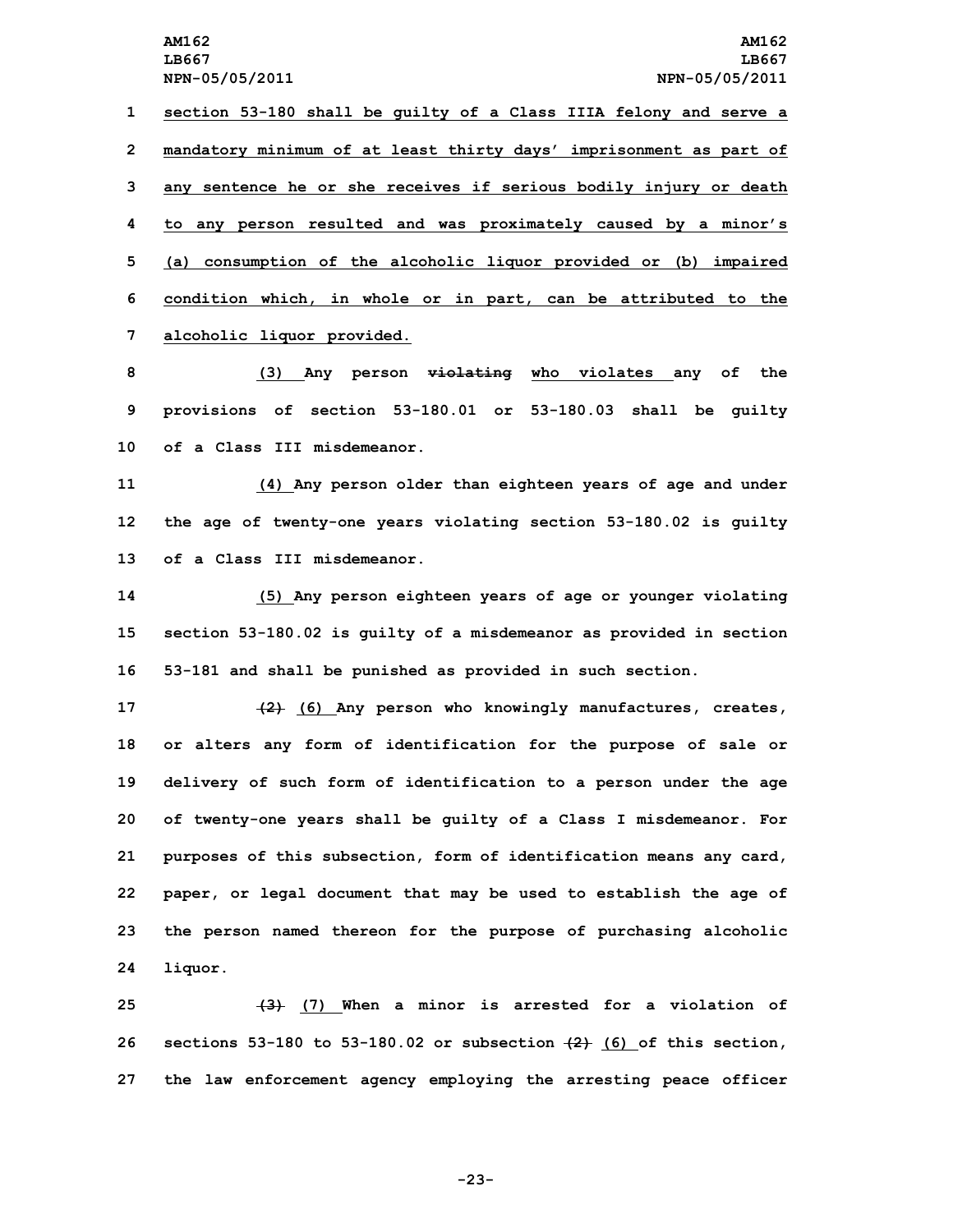**section 53-180 shall be guilty of <sup>a</sup> Class IIIA felony and serve <sup>a</sup> mandatory minimum of at least thirty days' imprisonment as part of any sentence he or she receives if serious bodily injury or death to any person resulted and was proximately caused by <sup>a</sup> minor's (a) consumption of the alcoholic liquor provided or (b) impaired condition which, in whole or in part, can be attributed to the alcoholic liquor provided.**

**8 (3) Any person violating who violates any of the 9 provisions of section 53-180.01 or 53-180.03 shall be guilty 10 of a Class III misdemeanor.**

**11 (4) Any person older than eighteen years of age and under 12 the age of twenty-one years violating section 53-180.02 is guilty 13 of a Class III misdemeanor.**

**14 (5) Any person eighteen years of age or younger violating 15 section 53-180.02 is guilty of <sup>a</sup> misdemeanor as provided in section 16 53-181 and shall be punished as provided in such section.**

 **(2) (6) Any person who knowingly manufactures, creates, or alters any form of identification for the purpose of sale or delivery of such form of identification to <sup>a</sup> person under the age of twenty-one years shall be guilty of <sup>a</sup> Class <sup>I</sup> misdemeanor. For purposes of this subsection, form of identification means any card, paper, or legal document that may be used to establish the age of the person named thereon for the purpose of purchasing alcoholic 24 liquor.**

**25 (3) (7) When <sup>a</sup> minor is arrested for <sup>a</sup> violation of 26 sections 53-180 to 53-180.02 or subsection (2) (6) of this section, 27 the law enforcement agency employing the arresting peace officer**

**-23-**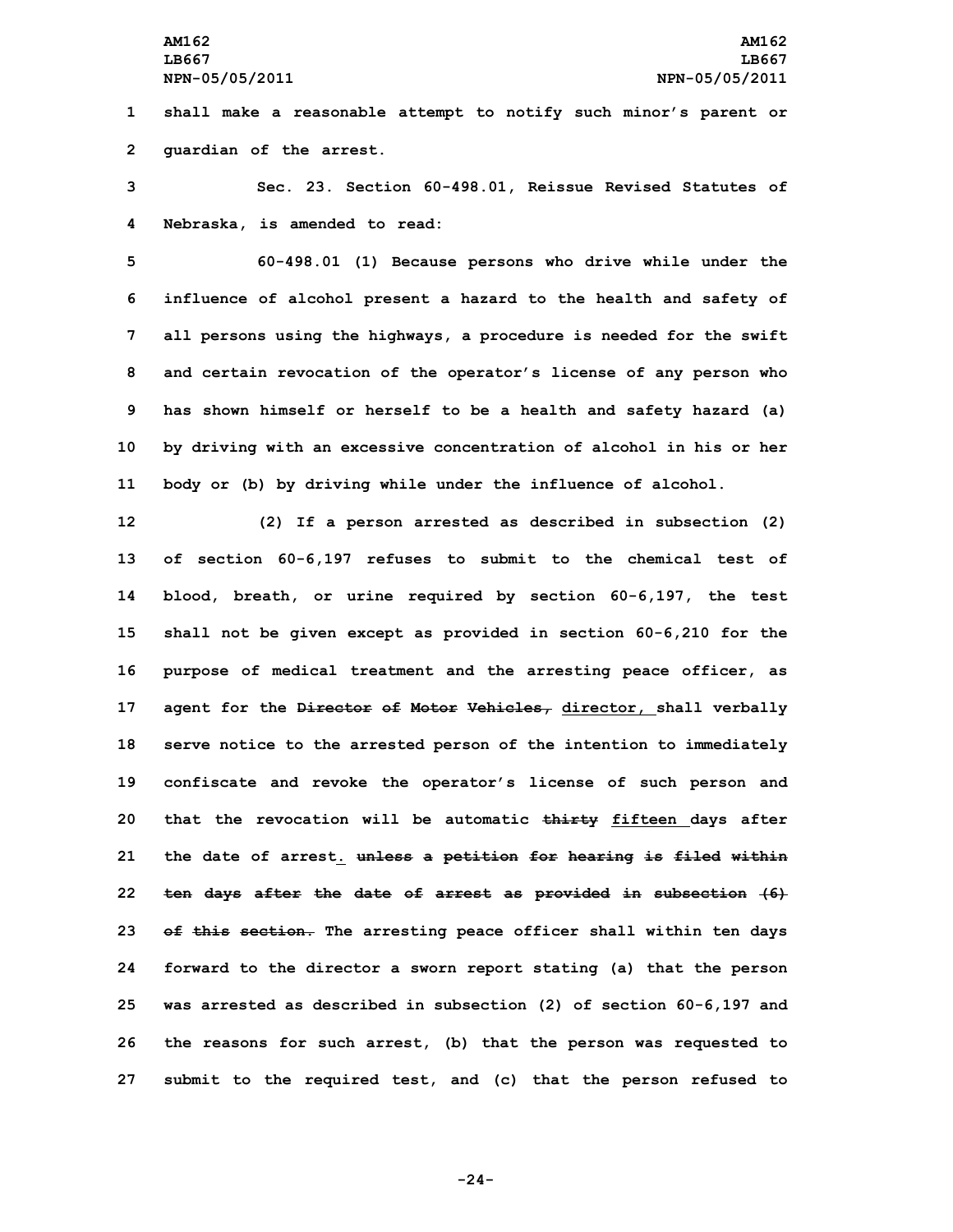**1 shall make <sup>a</sup> reasonable attempt to notify such minor's parent or 2 guardian of the arrest.**

**3 Sec. 23. Section 60-498.01, Reissue Revised Statutes of 4 Nebraska, is amended to read:**

 **60-498.01 (1) Because persons who drive while under the influence of alcohol present <sup>a</sup> hazard to the health and safety of all persons using the highways, <sup>a</sup> procedure is needed for the swift and certain revocation of the operator's license of any person who has shown himself or herself to be <sup>a</sup> health and safety hazard (a) by driving with an excessive concentration of alcohol in his or her body or (b) by driving while under the influence of alcohol.**

 **(2) If <sup>a</sup> person arrested as described in subsection (2) of section 60-6,197 refuses to submit to the chemical test of blood, breath, or urine required by section 60-6,197, the test shall not be given except as provided in section 60-6,210 for the purpose of medical treatment and the arresting peace officer, as agent for the Director of Motor Vehicles, director, shall verbally serve notice to the arrested person of the intention to immediately confiscate and revoke the operator's license of such person and that the revocation will be automatic thirty fifteen days after the date of arrest. unless <sup>a</sup> petition for hearing is filed within ten days after the date of arrest as provided in subsection (6) of this section. The arresting peace officer shall within ten days forward to the director <sup>a</sup> sworn report stating (a) that the person was arrested as described in subsection (2) of section 60-6,197 and the reasons for such arrest, (b) that the person was requested to submit to the required test, and (c) that the person refused to**

**-24-**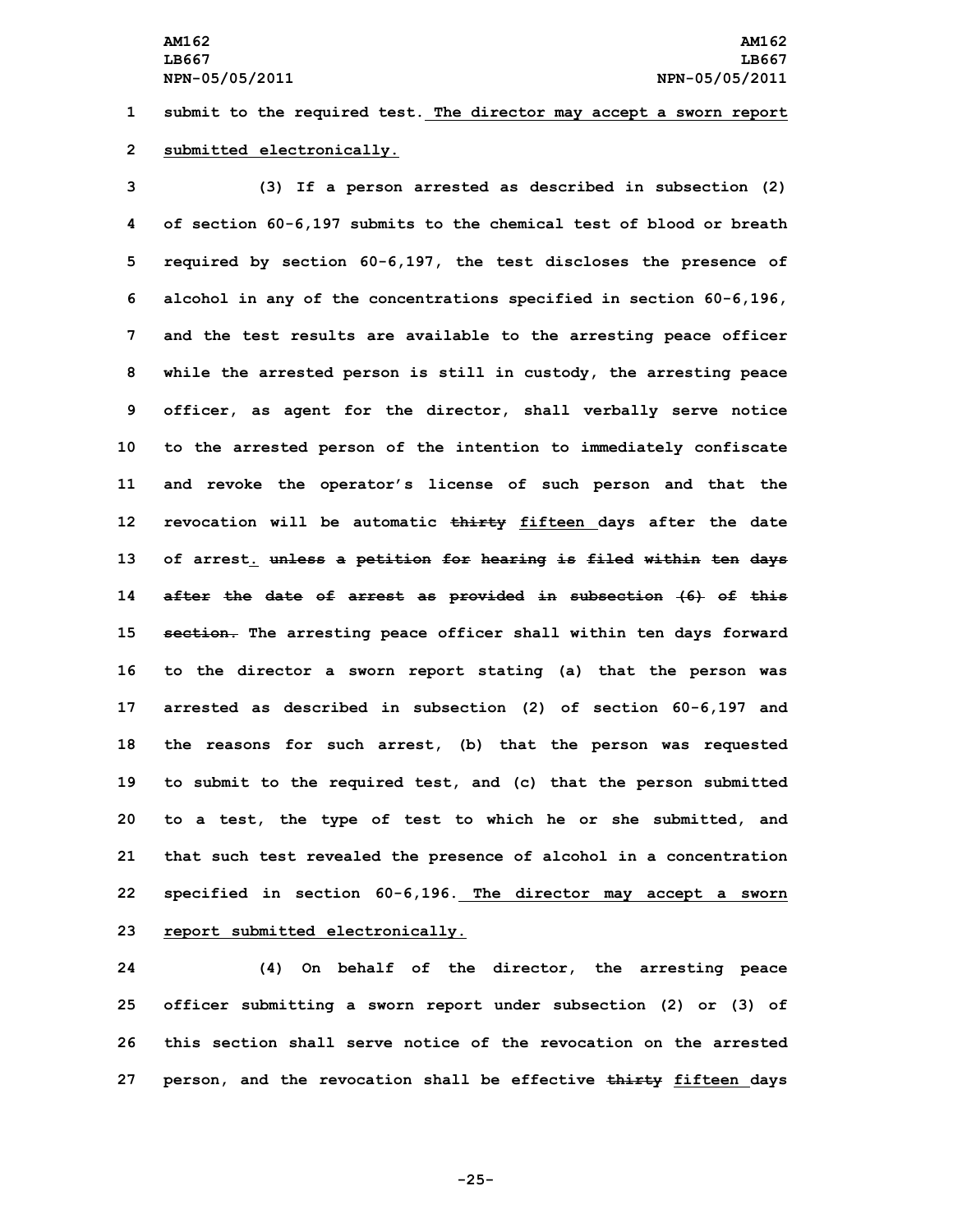**1 submit to the required test. The director may accept <sup>a</sup> sworn report 2 submitted electronically.**

 **(3) If <sup>a</sup> person arrested as described in subsection (2) of section 60-6,197 submits to the chemical test of blood or breath required by section 60-6,197, the test discloses the presence of alcohol in any of the concentrations specified in section 60-6,196, and the test results are available to the arresting peace officer while the arrested person is still in custody, the arresting peace officer, as agent for the director, shall verbally serve notice to the arrested person of the intention to immediately confiscate and revoke the operator's license of such person and that the revocation will be automatic thirty fifteen days after the date of arrest. unless <sup>a</sup> petition for hearing is filed within ten days after the date of arrest as provided in subsection (6) of this section. The arresting peace officer shall within ten days forward to the director <sup>a</sup> sworn report stating (a) that the person was arrested as described in subsection (2) of section 60-6,197 and the reasons for such arrest, (b) that the person was requested to submit to the required test, and (c) that the person submitted to <sup>a</sup> test, the type of test to which he or she submitted, and that such test revealed the presence of alcohol in <sup>a</sup> concentration specified in section 60-6,196. The director may accept <sup>a</sup> sworn report submitted electronically.**

 **(4) On behalf of the director, the arresting peace officer submitting <sup>a</sup> sworn report under subsection (2) or (3) of this section shall serve notice of the revocation on the arrested person, and the revocation shall be effective thirty fifteen days**

**-25-**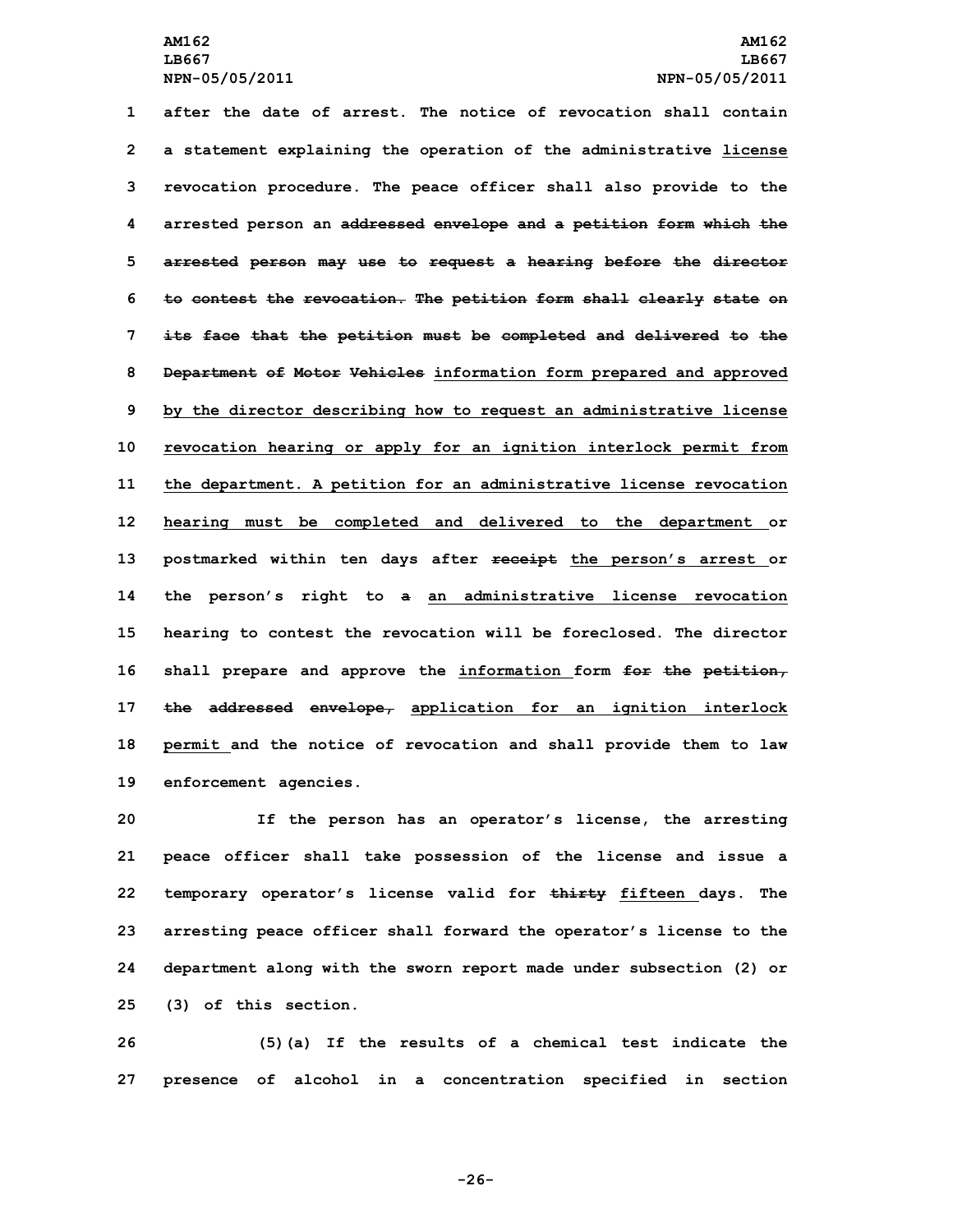**after the date of arrest. The notice of revocation shall contain <sup>a</sup> statement explaining the operation of the administrative license revocation procedure. The peace officer shall also provide to the arrested person an addressed envelope and <sup>a</sup> petition form which the arrested person may use to request <sup>a</sup> hearing before the director to contest the revocation. The petition form shall clearly state on its face that the petition must be completed and delivered to the Department of Motor Vehicles information form prepared and approved by the director describing how to request an administrative license revocation hearing or apply for an ignition interlock permit from the department. <sup>A</sup> petition for an administrative license revocation hearing must be completed and delivered to the department or postmarked within ten days after receipt the person's arrest or the person's right to <sup>a</sup> an administrative license revocation hearing to contest the revocation will be foreclosed. The director shall prepare and approve the information form for the petition, the addressed envelope, application for an ignition interlock permit and the notice of revocation and shall provide them to law enforcement agencies.**

 **If the person has an operator's license, the arresting peace officer shall take possession of the license and issue <sup>a</sup> temporary operator's license valid for thirty fifteen days. The arresting peace officer shall forward the operator's license to the department along with the sworn report made under subsection (2) or (3) of this section.**

**26 (5)(a) If the results of <sup>a</sup> chemical test indicate the 27 presence of alcohol in <sup>a</sup> concentration specified in section**

**-26-**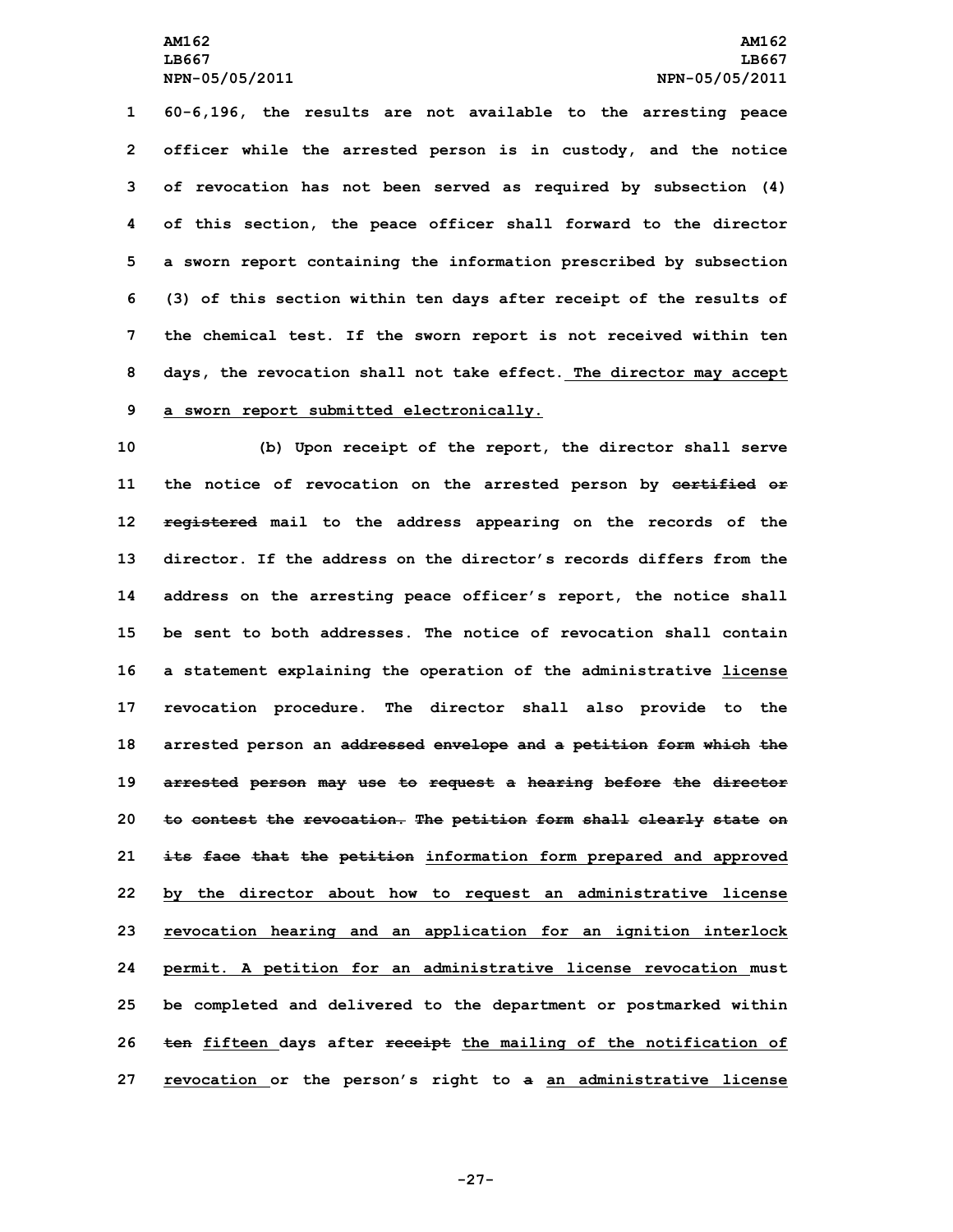**60-6,196, the results are not available to the arresting peace officer while the arrested person is in custody, and the notice of revocation has not been served as required by subsection (4) of this section, the peace officer shall forward to the director <sup>a</sup> sworn report containing the information prescribed by subsection (3) of this section within ten days after receipt of the results of the chemical test. If the sworn report is not received within ten days, the revocation shall not take effect. The director may accept <sup>a</sup> sworn report submitted electronically.**

 **(b) Upon receipt of the report, the director shall serve the notice of revocation on the arrested person by certified or registered mail to the address appearing on the records of the director. If the address on the director's records differs from the address on the arresting peace officer's report, the notice shall be sent to both addresses. The notice of revocation shall contain <sup>a</sup> statement explaining the operation of the administrative license revocation procedure. The director shall also provide to the arrested person an addressed envelope and <sup>a</sup> petition form which the arrested person may use to request <sup>a</sup> hearing before the director to contest the revocation. The petition form shall clearly state on its face that the petition information form prepared and approved by the director about how to request an administrative license revocation hearing and an application for an ignition interlock permit. <sup>A</sup> petition for an administrative license revocation must be completed and delivered to the department or postmarked within ten fifteen days after receipt the mailing of the notification of revocation or the person's right to <sup>a</sup> an administrative license**

**-27-**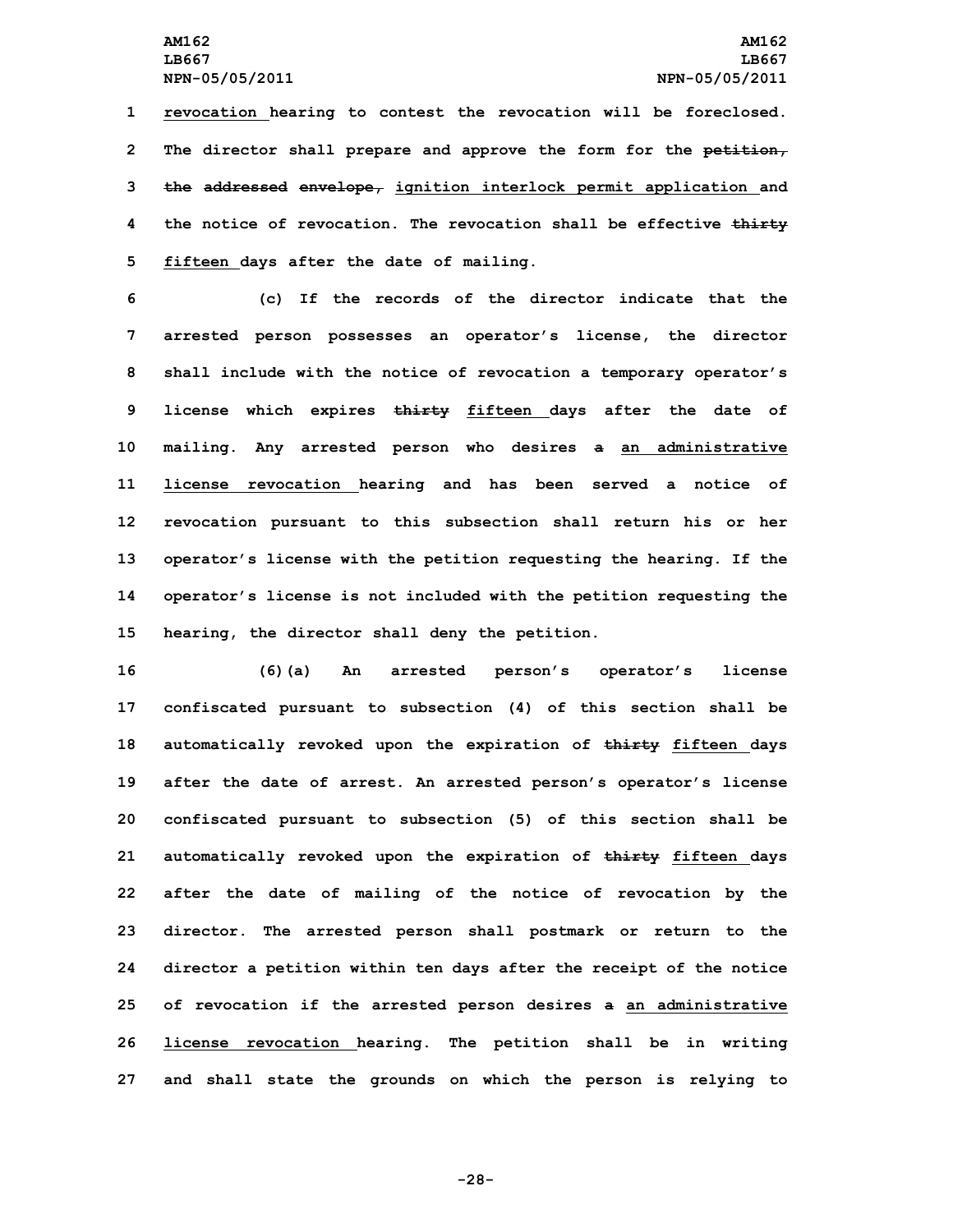**revocation hearing to contest the revocation will be foreclosed. The director shall prepare and approve the form for the petition, the addressed envelope, ignition interlock permit application and the notice of revocation. The revocation shall be effective thirty fifteen days after the date of mailing.**

 **(c) If the records of the director indicate that the arrested person possesses an operator's license, the director shall include with the notice of revocation <sup>a</sup> temporary operator's license which expires thirty fifteen days after the date of mailing. Any arrested person who desires <sup>a</sup> an administrative license revocation hearing and has been served <sup>a</sup> notice of revocation pursuant to this subsection shall return his or her operator's license with the petition requesting the hearing. If the operator's license is not included with the petition requesting the hearing, the director shall deny the petition.**

 **(6)(a) An arrested person's operator's license confiscated pursuant to subsection (4) of this section shall be automatically revoked upon the expiration of thirty fifteen days after the date of arrest. An arrested person's operator's license confiscated pursuant to subsection (5) of this section shall be automatically revoked upon the expiration of thirty fifteen days after the date of mailing of the notice of revocation by the director. The arrested person shall postmark or return to the director <sup>a</sup> petition within ten days after the receipt of the notice of revocation if the arrested person desires <sup>a</sup> an administrative license revocation hearing. The petition shall be in writing and shall state the grounds on which the person is relying to**

**-28-**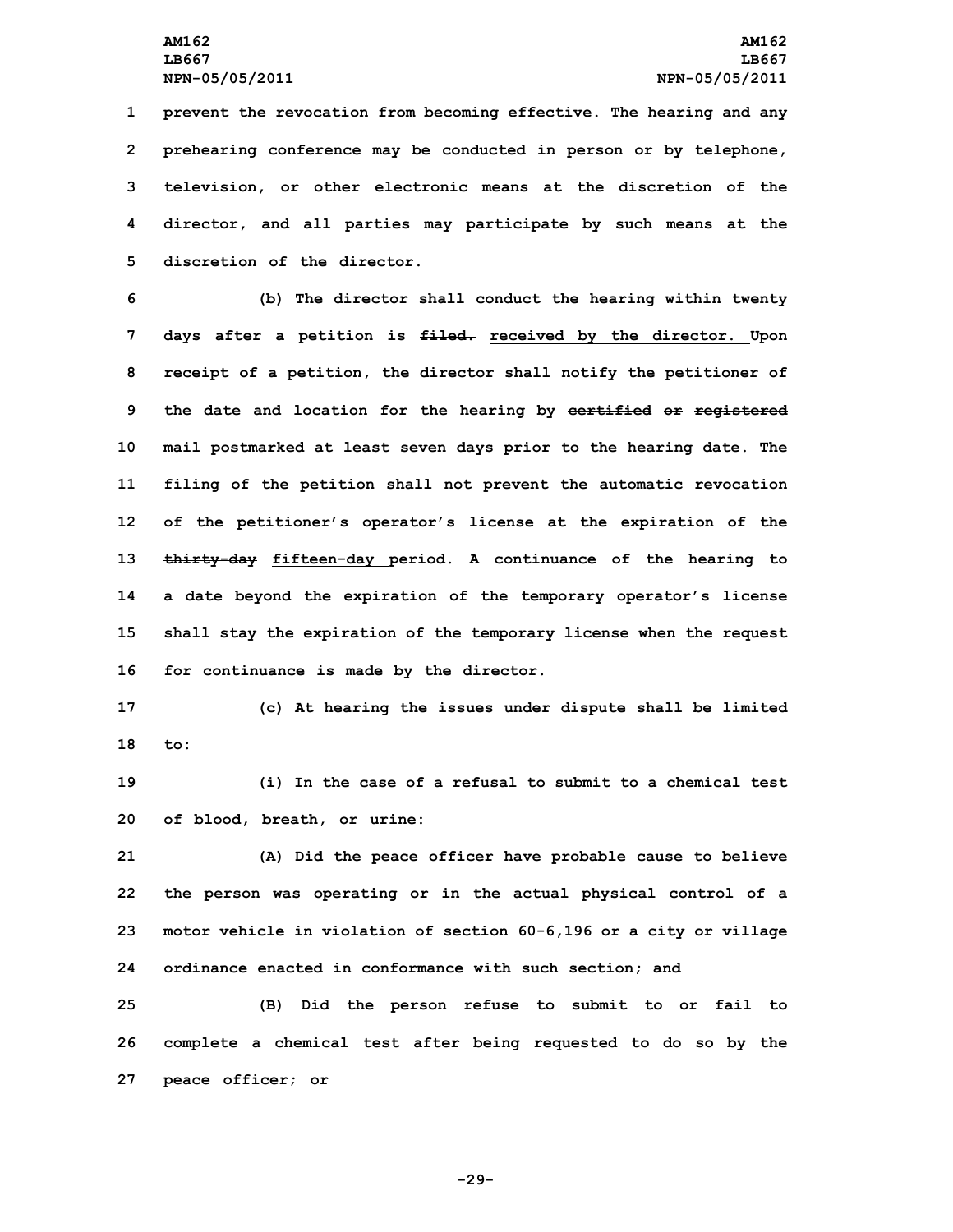**prevent the revocation from becoming effective. The hearing and any prehearing conference may be conducted in person or by telephone, television, or other electronic means at the discretion of the director, and all parties may participate by such means at the discretion of the director.**

 **(b) The director shall conduct the hearing within twenty days after <sup>a</sup> petition is filed. received by the director. Upon receipt of <sup>a</sup> petition, the director shall notify the petitioner of the date and location for the hearing by certified or registered mail postmarked at least seven days prior to the hearing date. The filing of the petition shall not prevent the automatic revocation of the petitioner's operator's license at the expiration of the thirty-day fifteen-day period. <sup>A</sup> continuance of the hearing to <sup>a</sup> date beyond the expiration of the temporary operator's license shall stay the expiration of the temporary license when the request for continuance is made by the director.**

**17 (c) At hearing the issues under dispute shall be limited 18 to:**

**19 (i) In the case of <sup>a</sup> refusal to submit to <sup>a</sup> chemical test 20 of blood, breath, or urine:**

 **(A) Did the peace officer have probable cause to believe the person was operating or in the actual physical control of <sup>a</sup> motor vehicle in violation of section 60-6,196 or <sup>a</sup> city or village ordinance enacted in conformance with such section; and**

**25 (B) Did the person refuse to submit to or fail to 26 complete <sup>a</sup> chemical test after being requested to do so by the 27 peace officer; or**

**-29-**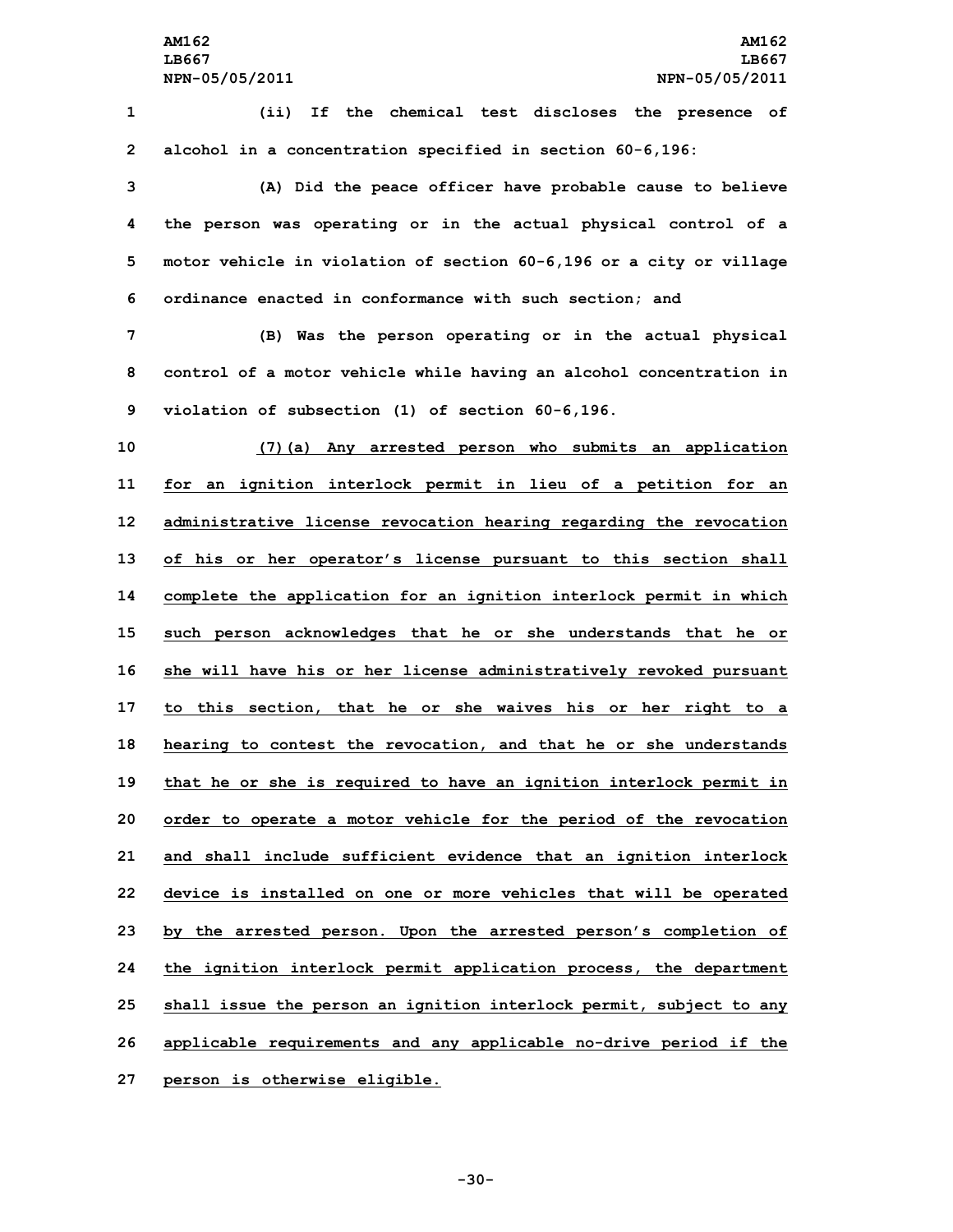**1 (ii) If the chemical test discloses the presence of 2 alcohol in <sup>a</sup> concentration specified in section 60-6,196:**

 **(A) Did the peace officer have probable cause to believe the person was operating or in the actual physical control of <sup>a</sup> motor vehicle in violation of section 60-6,196 or <sup>a</sup> city or village ordinance enacted in conformance with such section; and**

**7 (B) Was the person operating or in the actual physical 8 control of <sup>a</sup> motor vehicle while having an alcohol concentration in 9 violation of subsection (1) of section 60-6,196.**

 **(7)(a) Any arrested person who submits an application for an ignition interlock permit in lieu of <sup>a</sup> petition for an administrative license revocation hearing regarding the revocation of his or her operator's license pursuant to this section shall complete the application for an ignition interlock permit in which such person acknowledges that he or she understands that he or she will have his or her license administratively revoked pursuant to this section, that he or she waives his or her right to <sup>a</sup> hearing to contest the revocation, and that he or she understands that he or she is required to have an ignition interlock permit in order to operate <sup>a</sup> motor vehicle for the period of the revocation and shall include sufficient evidence that an ignition interlock device is installed on one or more vehicles that will be operated by the arrested person. Upon the arrested person's completion of the ignition interlock permit application process, the department shall issue the person an ignition interlock permit, subject to any applicable requirements and any applicable no-drive period if the person is otherwise eligible.**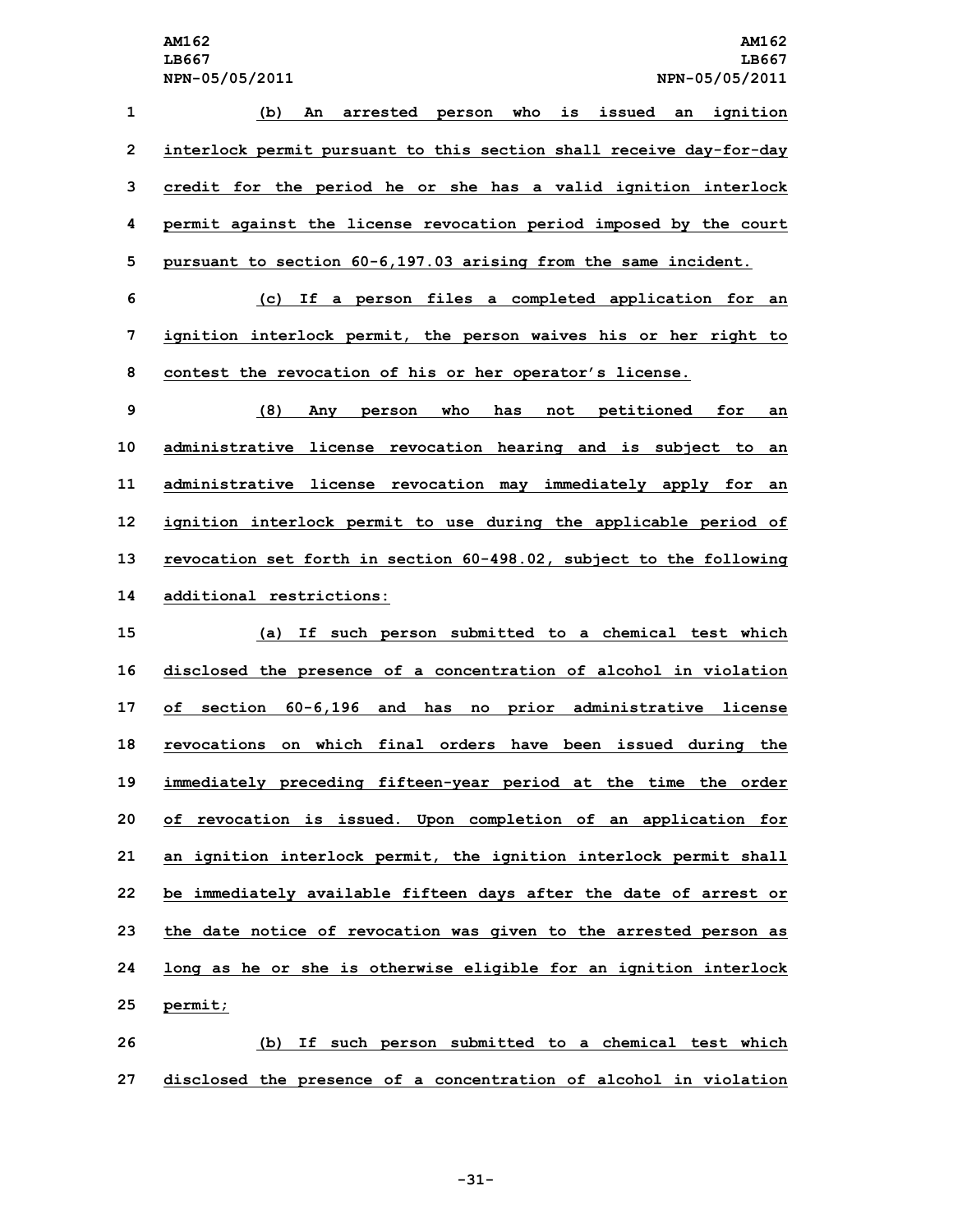| 1            | An arrested person who is issued an ignition<br>(b)                 |
|--------------|---------------------------------------------------------------------|
| $\mathbf{2}$ | interlock permit pursuant to this section shall receive day-for-day |
| 3            | credit for the period he or she has a valid ignition interlock      |
| 4            | permit against the license revocation period imposed by the court   |
| 5            | pursuant to section 60-6,197.03 arising from the same incident.     |
| 6            | (c) If a person files a completed application for an                |

**7 ignition interlock permit, the person waives his or her right to 8 contest the revocation of his or her operator's license.**

 **(8) Any person who has not petitioned for an administrative license revocation hearing and is subject to an administrative license revocation may immediately apply for an ignition interlock permit to use during the applicable period of revocation set forth in section 60-498.02, subject to the following additional restrictions:**

 **(a) If such person submitted to <sup>a</sup> chemical test which disclosed the presence of <sup>a</sup> concentration of alcohol in violation of section 60-6,196 and has no prior administrative license revocations on which final orders have been issued during the immediately preceding fifteen-year period at the time the order of revocation is issued. Upon completion of an application for an ignition interlock permit, the ignition interlock permit shall be immediately available fifteen days after the date of arrest or the date notice of revocation was given to the arrested person as long as he or she is otherwise eligible for an ignition interlock 25 permit;**

**26 (b) If such person submitted to <sup>a</sup> chemical test which 27 disclosed the presence of <sup>a</sup> concentration of alcohol in violation**

**-31-**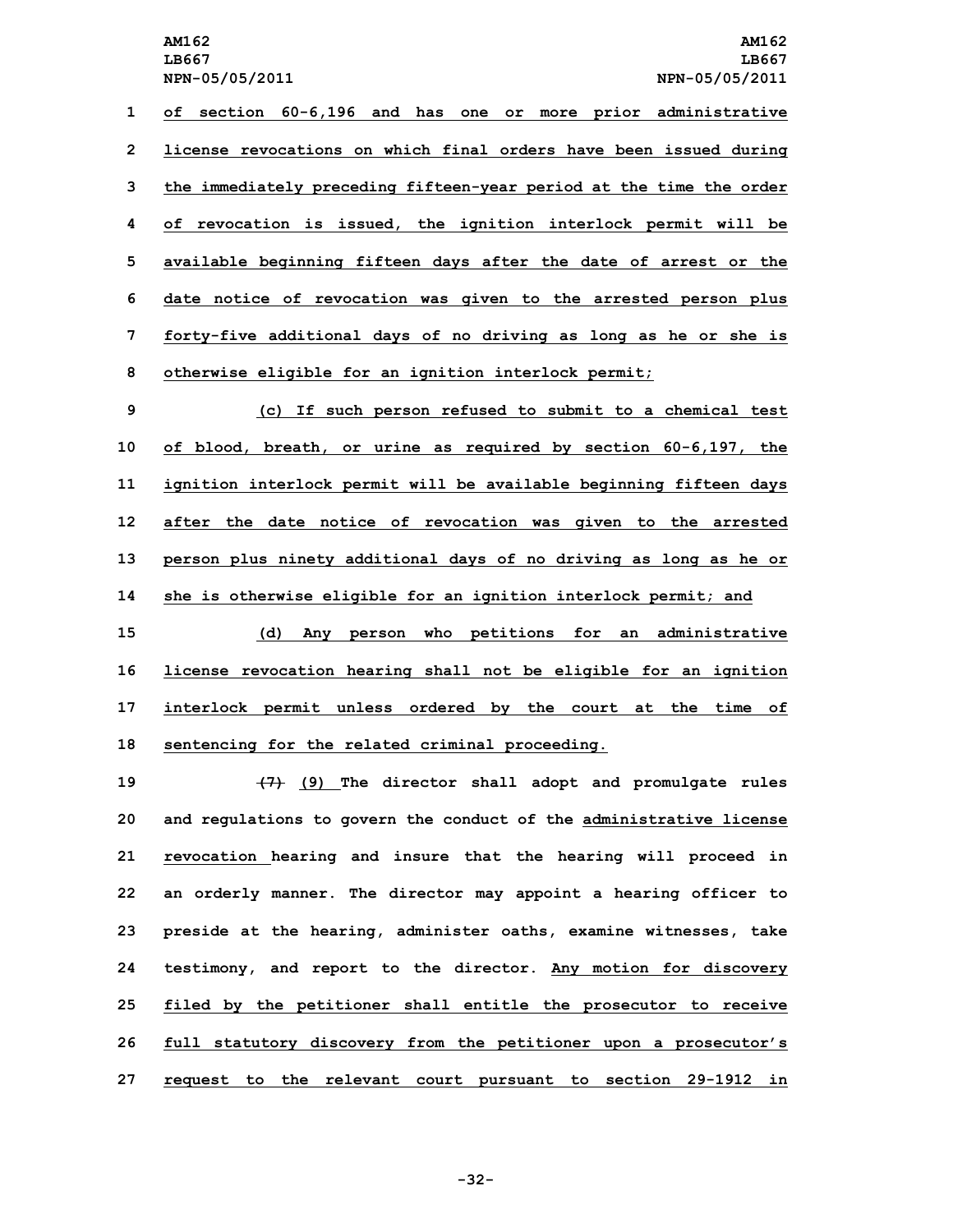**of section 60-6,196 and has one or more prior administrative license revocations on which final orders have been issued during the immediately preceding fifteen-year period at the time the order of revocation is issued, the ignition interlock permit will be available beginning fifteen days after the date of arrest or the date notice of revocation was given to the arrested person plus forty-five additional days of no driving as long as he or she is otherwise eligible for an ignition interlock permit;**

 **(c) If such person refused to submit to <sup>a</sup> chemical test of blood, breath, or urine as required by section 60-6,197, the ignition interlock permit will be available beginning fifteen days after the date notice of revocation was given to the arrested person plus ninety additional days of no driving as long as he or**

 **she is otherwise eligible for an ignition interlock permit; and (d) Any person who petitions for an administrative license revocation hearing shall not be eligible for an ignition interlock permit unless ordered by the court at the time of sentencing for the related criminal proceeding.**

 **(7) (9) The director shall adopt and promulgate rules and regulations to govern the conduct of the administrative license revocation hearing and insure that the hearing will proceed in an orderly manner. The director may appoint <sup>a</sup> hearing officer to preside at the hearing, administer oaths, examine witnesses, take testimony, and report to the director. Any motion for discovery filed by the petitioner shall entitle the prosecutor to receive full statutory discovery from the petitioner upon <sup>a</sup> prosecutor's request to the relevant court pursuant to section 29-1912 in**

**-32-**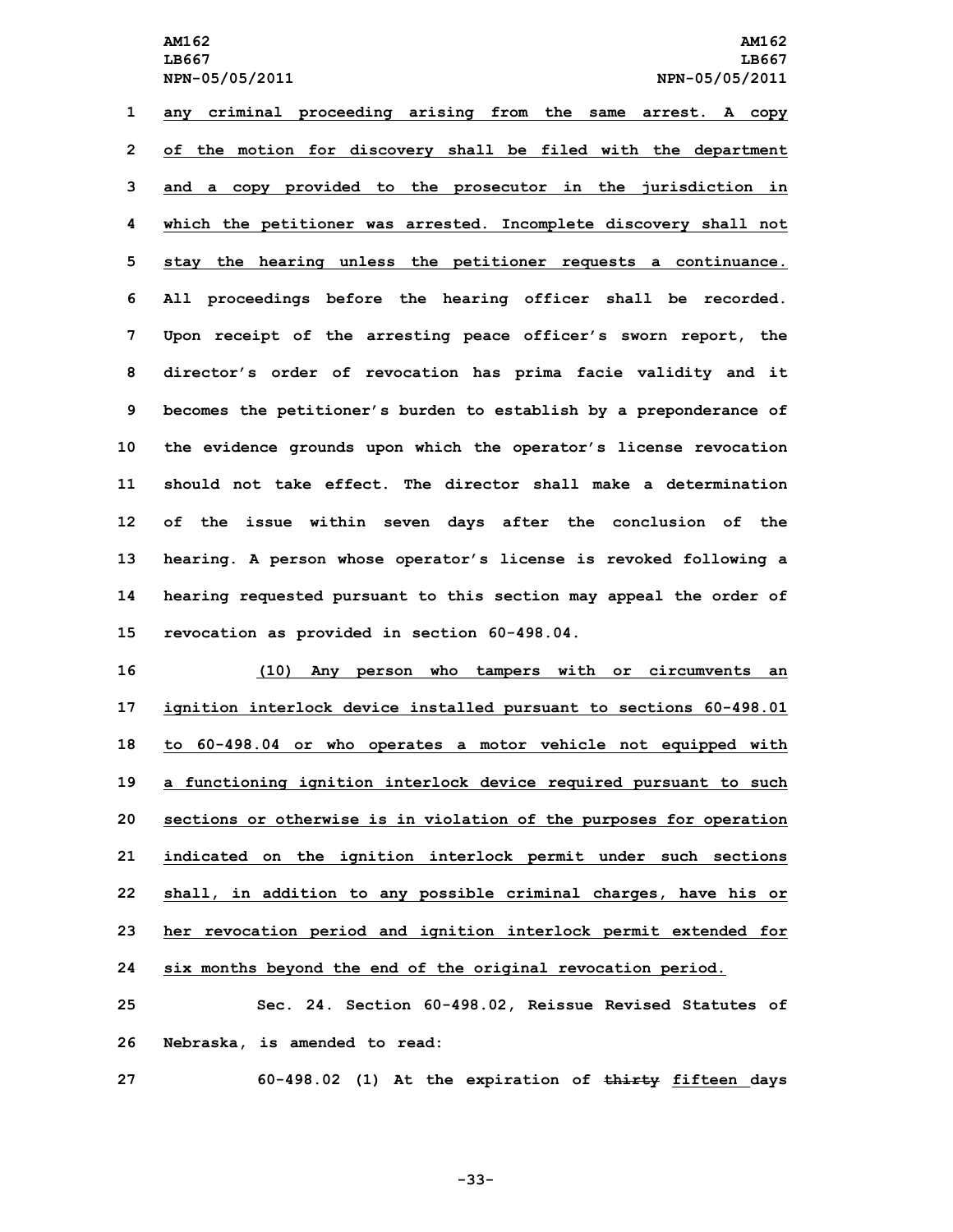**any criminal proceeding arising from the same arrest. <sup>A</sup> copy of the motion for discovery shall be filed with the department and <sup>a</sup> copy provided to the prosecutor in the jurisdiction in which the petitioner was arrested. Incomplete discovery shall not stay the hearing unless the petitioner requests <sup>a</sup> continuance. All proceedings before the hearing officer shall be recorded. Upon receipt of the arresting peace officer's sworn report, the director's order of revocation has prima facie validity and it becomes the petitioner's burden to establish by <sup>a</sup> preponderance of the evidence grounds upon which the operator's license revocation should not take effect. The director shall make a determination of the issue within seven days after the conclusion of the hearing. <sup>A</sup> person whose operator's license is revoked following <sup>a</sup> hearing requested pursuant to this section may appeal the order of revocation as provided in section 60-498.04.**

 **(10) Any person who tampers with or circumvents an ignition interlock device installed pursuant to sections 60-498.01 to 60-498.04 or who operates <sup>a</sup> motor vehicle not equipped with <sup>a</sup> functioning ignition interlock device required pursuant to such sections or otherwise is in violation of the purposes for operation indicated on the ignition interlock permit under such sections shall, in addition to any possible criminal charges, have his or her revocation period and ignition interlock permit extended for six months beyond the end of the original revocation period.**

**25 Sec. 24. Section 60-498.02, Reissue Revised Statutes of 26 Nebraska, is amended to read:**

**27 60-498.02 (1) At the expiration of thirty fifteen days**

**-33-**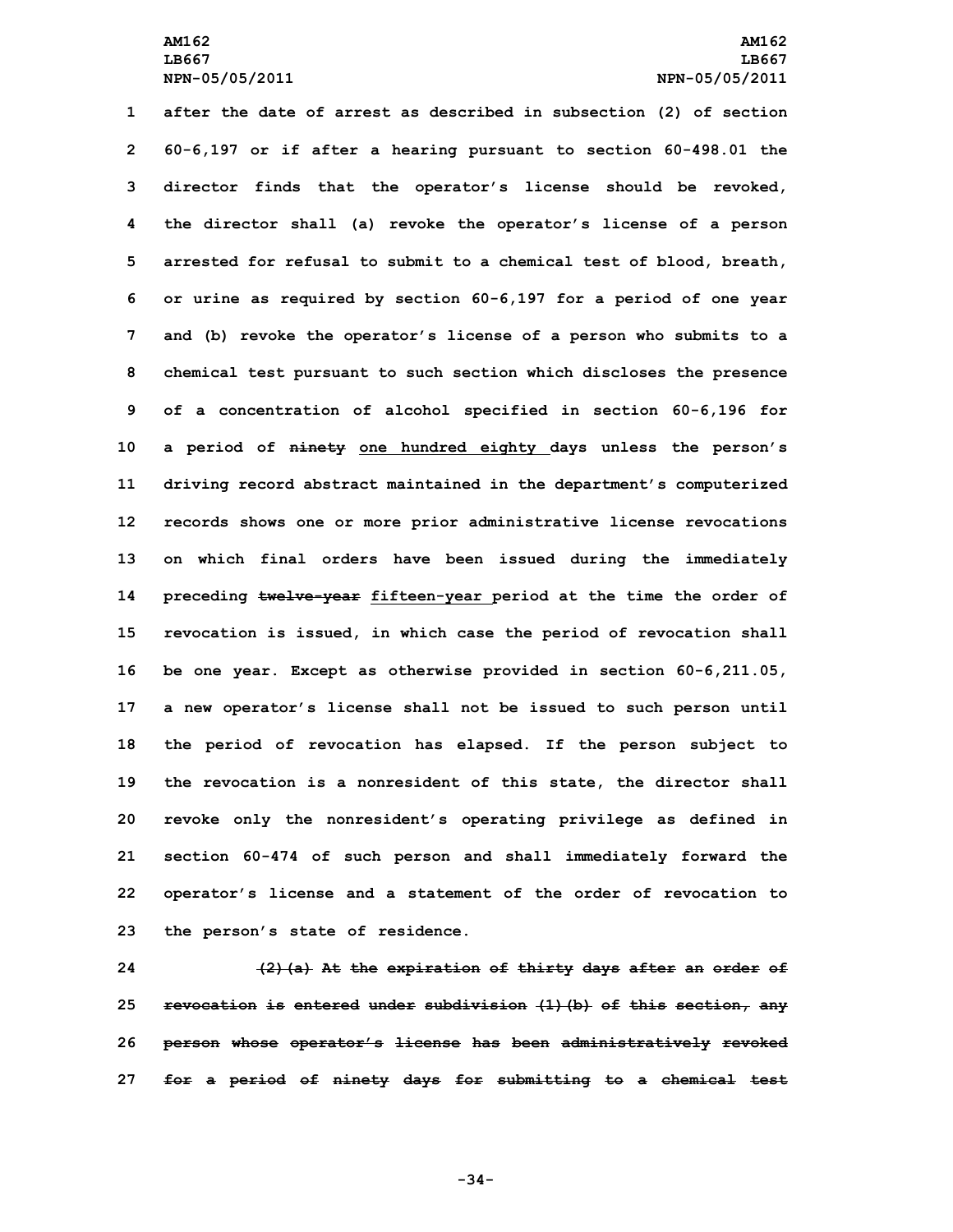**after the date of arrest as described in subsection (2) of section 60-6,197 or if after <sup>a</sup> hearing pursuant to section 60-498.01 the director finds that the operator's license should be revoked, the director shall (a) revoke the operator's license of <sup>a</sup> person arrested for refusal to submit to <sup>a</sup> chemical test of blood, breath, or urine as required by section 60-6,197 for <sup>a</sup> period of one year and (b) revoke the operator's license of <sup>a</sup> person who submits to <sup>a</sup> chemical test pursuant to such section which discloses the presence of <sup>a</sup> concentration of alcohol specified in section 60-6,196 for <sup>a</sup> period of ninety one hundred eighty days unless the person's driving record abstract maintained in the department's computerized records shows one or more prior administrative license revocations on which final orders have been issued during the immediately preceding twelve-year fifteen-year period at the time the order of revocation is issued, in which case the period of revocation shall be one year. Except as otherwise provided in section 60-6,211.05, <sup>a</sup> new operator's license shall not be issued to such person until the period of revocation has elapsed. If the person subject to the revocation is <sup>a</sup> nonresident of this state, the director shall revoke only the nonresident's operating privilege as defined in section 60-474 of such person and shall immediately forward the operator's license and <sup>a</sup> statement of the order of revocation to the person's state of residence.**

 **(2)(a) At the expiration of thirty days after an order of revocation is entered under subdivision (1)(b) of this section, any person whose operator's license has been administratively revoked for <sup>a</sup> period of ninety days for submitting to <sup>a</sup> chemical test**

**-34-**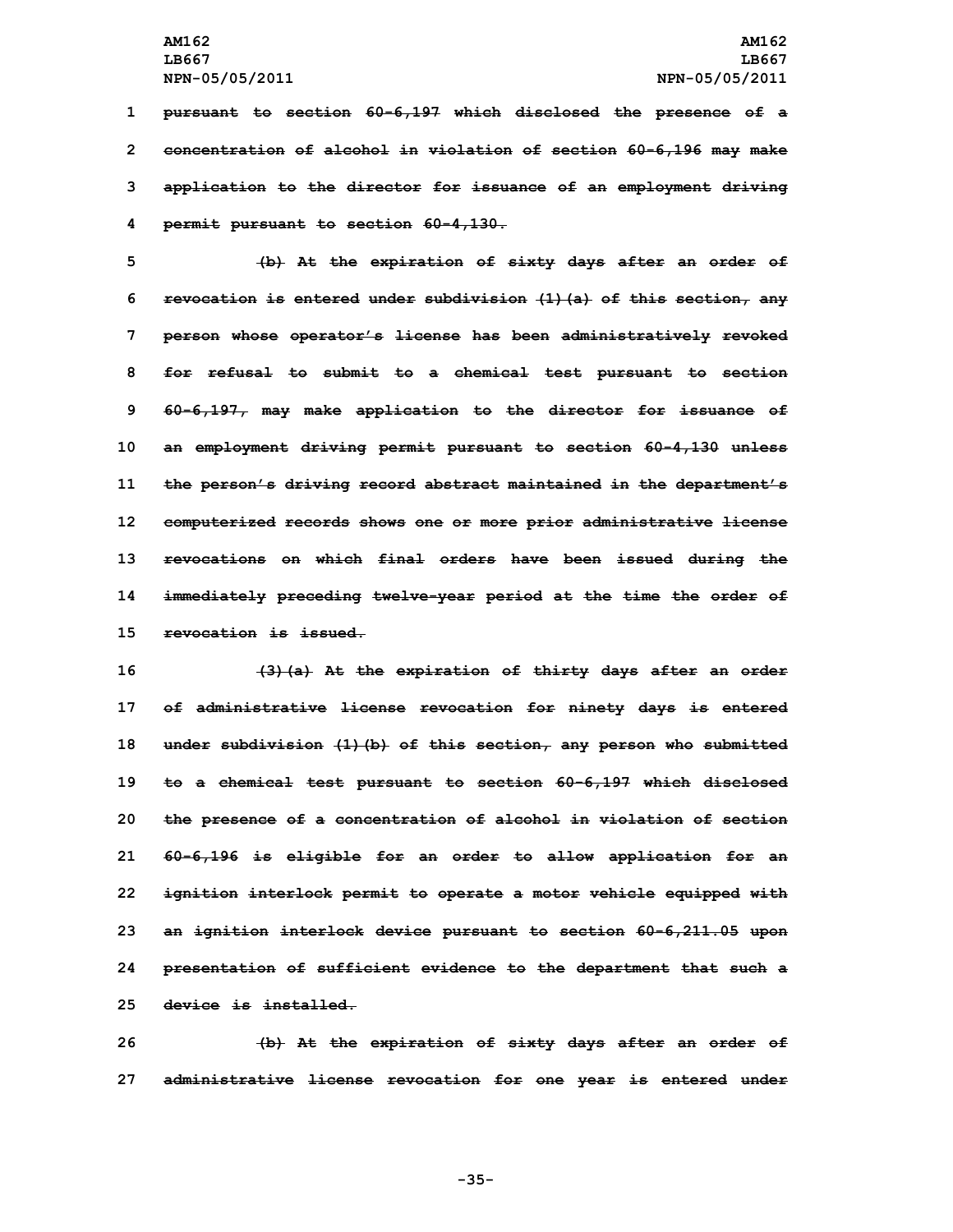**pursuant to section 60-6,197 which disclosed the presence of <sup>a</sup> concentration of alcohol in violation of section 60-6,196 may make application to the director for issuance of an employment driving permit pursuant to section 60-4,130.**

 **(b) At the expiration of sixty days after an order of revocation is entered under subdivision (1)(a) of this section, any person whose operator's license has been administratively revoked for refusal to submit to <sup>a</sup> chemical test pursuant to section 60-6,197, may make application to the director for issuance of an employment driving permit pursuant to section 60-4,130 unless the person's driving record abstract maintained in the department's computerized records shows one or more prior administrative license revocations on which final orders have been issued during the immediately preceding twelve-year period at the time the order of revocation is issued.**

 **(3)(a) At the expiration of thirty days after an order of administrative license revocation for ninety days is entered under subdivision (1)(b) of this section, any person who submitted to <sup>a</sup> chemical test pursuant to section 60-6,197 which disclosed the presence of <sup>a</sup> concentration of alcohol in violation of section 60-6,196 is eligible for an order to allow application for an ignition interlock permit to operate <sup>a</sup> motor vehicle equipped with an ignition interlock device pursuant to section 60-6,211.05 upon presentation of sufficient evidence to the department that such <sup>a</sup> device is installed.**

**26 (b) At the expiration of sixty days after an order of 27 administrative license revocation for one year is entered under**

**-35-**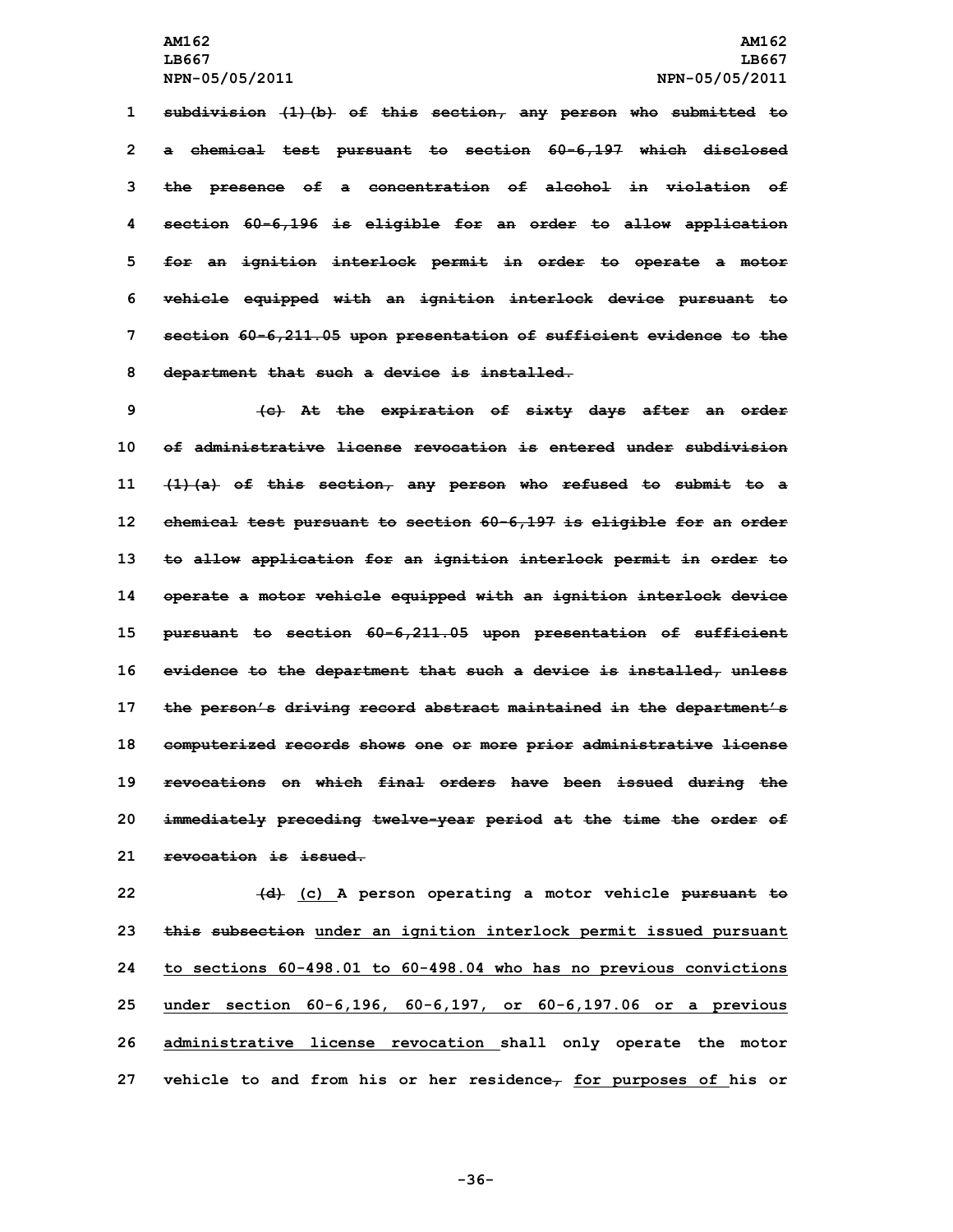**subdivision (1)(b) of this section, any person who submitted to <sup>a</sup> chemical test pursuant to section 60-6,197 which disclosed the presence of <sup>a</sup> concentration of alcohol in violation of section 60-6,196 is eligible for an order to allow application for an ignition interlock permit in order to operate <sup>a</sup> motor vehicle equipped with an ignition interlock device pursuant to section 60-6,211.05 upon presentation of sufficient evidence to the department that such <sup>a</sup> device is installed.**

 **(c) At the expiration of sixty days after an order of administrative license revocation is entered under subdivision (1)(a) of this section, any person who refused to submit to <sup>a</sup> chemical test pursuant to section 60-6,197 is eligible for an order to allow application for an ignition interlock permit in order to operate <sup>a</sup> motor vehicle equipped with an ignition interlock device pursuant to section 60-6,211.05 upon presentation of sufficient evidence to the department that such <sup>a</sup> device is installed, unless the person's driving record abstract maintained in the department's computerized records shows one or more prior administrative license revocations on which final orders have been issued during the immediately preceding twelve-year period at the time the order of revocation is issued.**

 **(d) (c) <sup>A</sup> person operating <sup>a</sup> motor vehicle pursuant to this subsection under an ignition interlock permit issued pursuant to sections 60-498.01 to 60-498.04 who has no previous convictions under section 60-6,196, 60-6,197, or 60-6,197.06 or <sup>a</sup> previous administrative license revocation shall only operate the motor vehicle to and from his or her residence, for purposes of his or**

**-36-**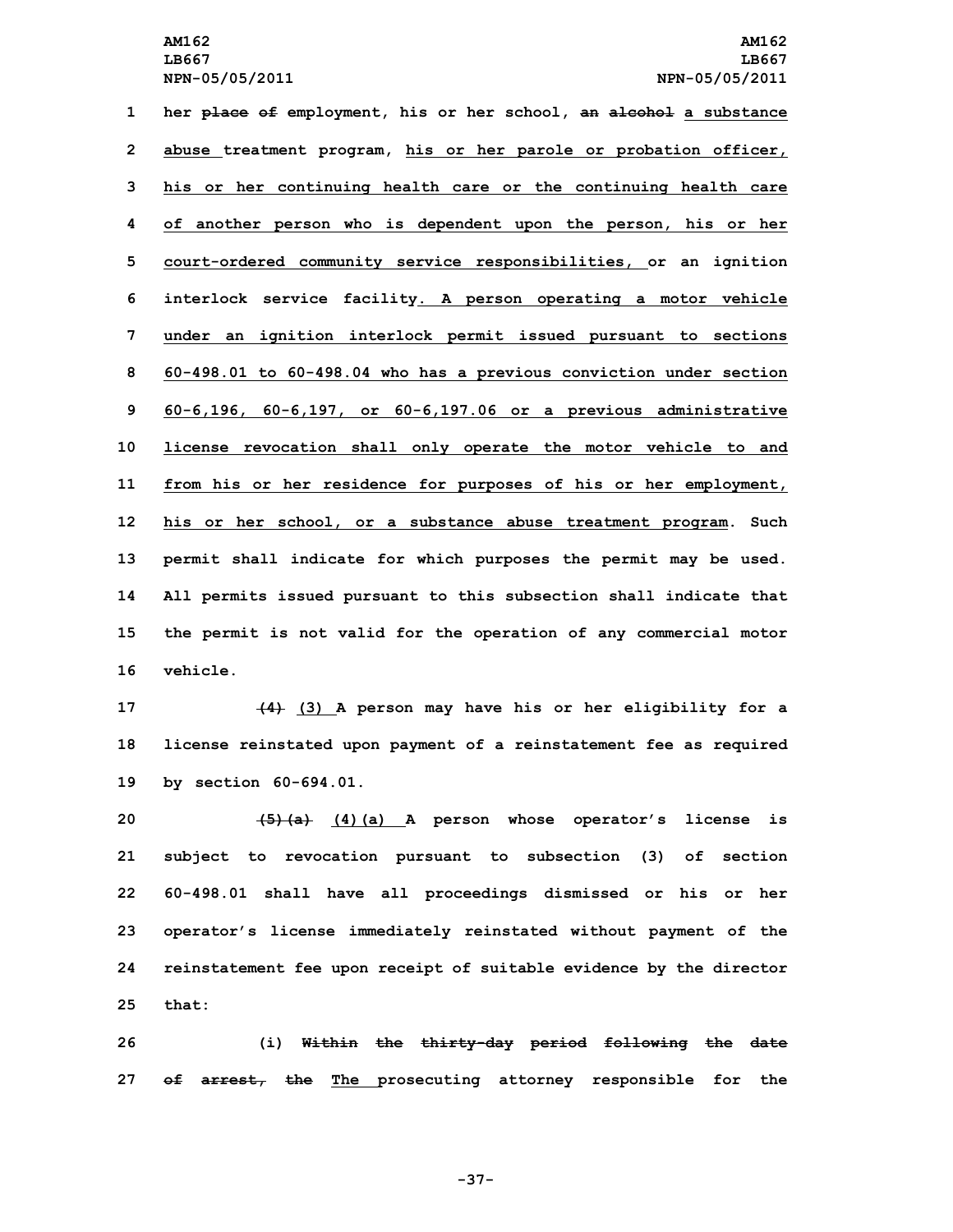**her place of employment, his or her school, an alcohol <sup>a</sup> substance abuse treatment program, his or her parole or probation officer, his or her continuing health care or the continuing health care of another person who is dependent upon the person, his or her court-ordered community service responsibilities, or an ignition interlock service facility. <sup>A</sup> person operating <sup>a</sup> motor vehicle under an ignition interlock permit issued pursuant to sections 60-498.01 to 60-498.04 who has <sup>a</sup> previous conviction under section 60-6,196, 60-6,197, or 60-6,197.06 or <sup>a</sup> previous administrative license revocation shall only operate the motor vehicle to and from his or her residence for purposes of his or her employment, his or her school, or <sup>a</sup> substance abuse treatment program. Such permit shall indicate for which purposes the permit may be used. All permits issued pursuant to this subsection shall indicate that the permit is not valid for the operation of any commercial motor 16 vehicle.**

**17 (4) (3) <sup>A</sup> person may have his or her eligibility for <sup>a</sup> 18 license reinstated upon payment of <sup>a</sup> reinstatement fee as required 19 by section 60-694.01.**

 **(5)(a) (4)(a) <sup>A</sup> person whose operator's license is subject to revocation pursuant to subsection (3) of section 60-498.01 shall have all proceedings dismissed or his or her operator's license immediately reinstated without payment of the reinstatement fee upon receipt of suitable evidence by the director 25 that:**

**26 (i) Within the thirty-day period following the date 27 of arrest, the The prosecuting attorney responsible for the**

**-37-**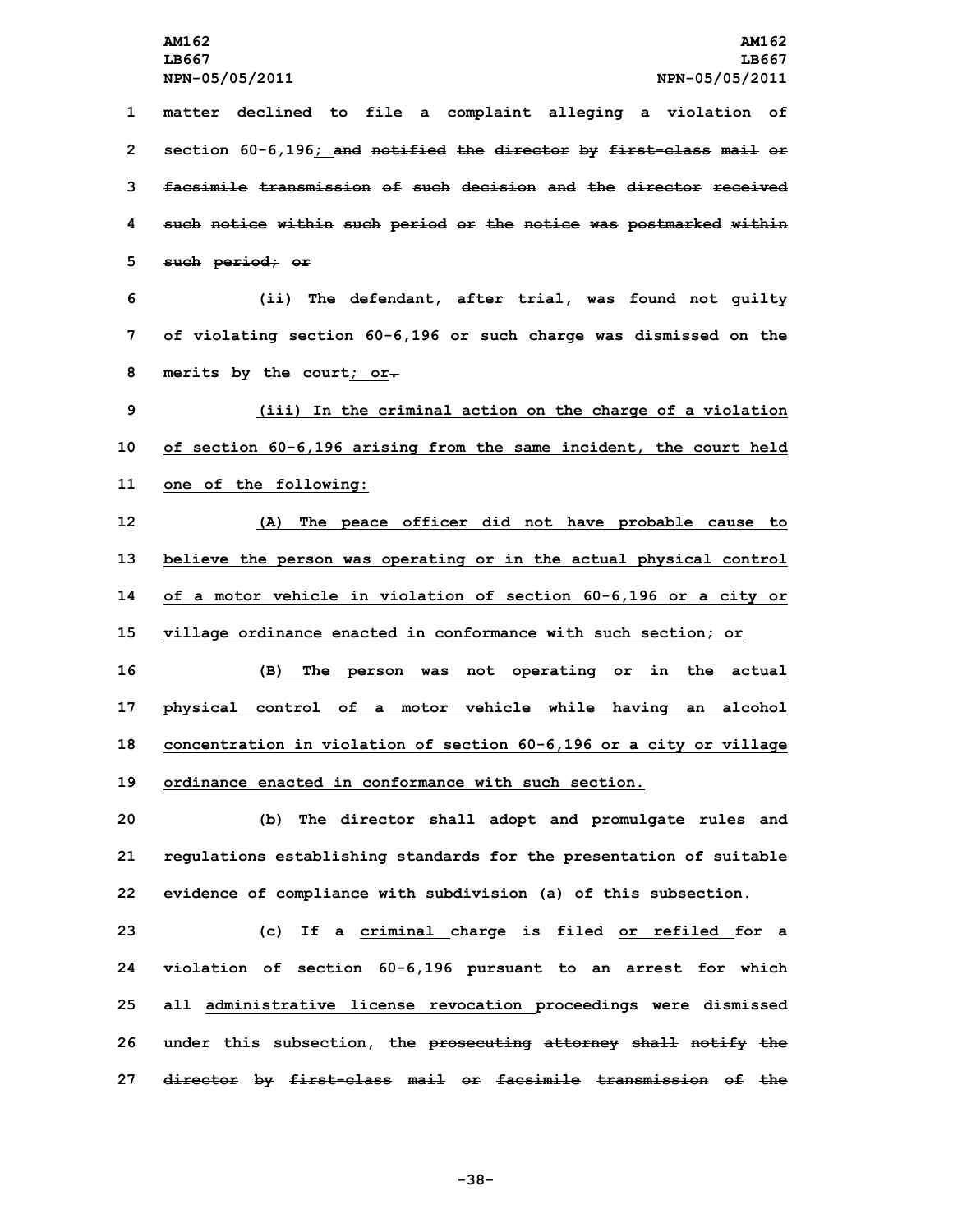**matter declined to file <sup>a</sup> complaint alleging <sup>a</sup> violation of section 60-6,196; and notified the director by first-class mail or facsimile transmission of such decision and the director received such notice within such period or the notice was postmarked within such period; or**

**6 (ii) The defendant, after trial, was found not guilty 7 of violating section 60-6,196 or such charge was dismissed on the 8 merits by the court; or.**

**9 (iii) In the criminal action on the charge of <sup>a</sup> violation 10 of section 60-6,196 arising from the same incident, the court held 11 one of the following:**

 **(A) The peace officer did not have probable cause to believe the person was operating or in the actual physical control of <sup>a</sup> motor vehicle in violation of section 60-6,196 or <sup>a</sup> city or village ordinance enacted in conformance with such section; or (B) The person was not operating or in the actual physical control of <sup>a</sup> motor vehicle while having an alcohol concentration in violation of section 60-6,196 or <sup>a</sup> city or village**

**19 ordinance enacted in conformance with such section.**

**20 (b) The director shall adopt and promulgate rules and 21 regulations establishing standards for the presentation of suitable 22 evidence of compliance with subdivision (a) of this subsection.**

 **(c) If <sup>a</sup> criminal charge is filed or refiled for <sup>a</sup> violation of section 60-6,196 pursuant to an arrest for which all administrative license revocation proceedings were dismissed under this subsection, the prosecuting attorney shall notify the director by first-class mail or facsimile transmission of the**

**-38-**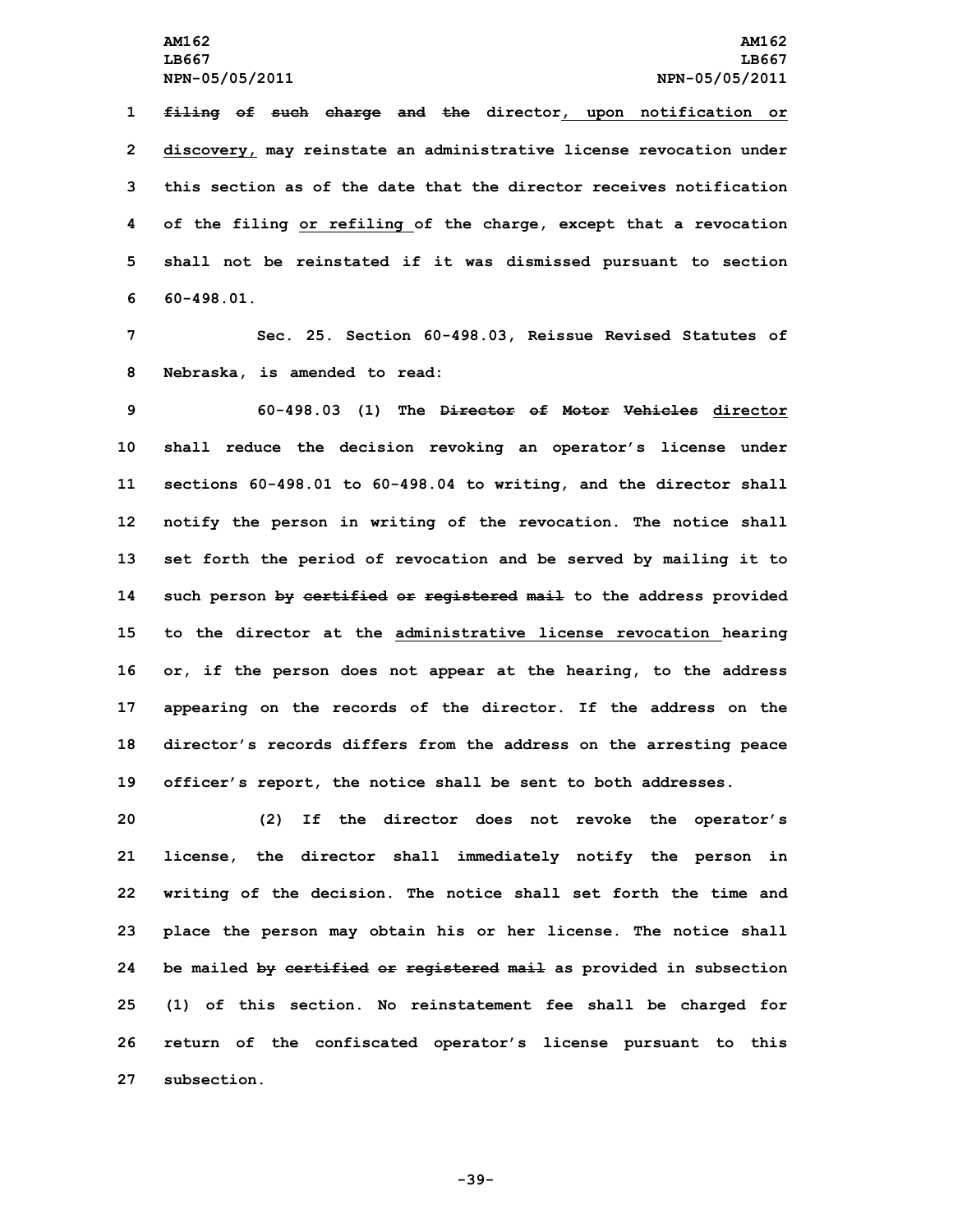**filing of such charge and the director, upon notification or discovery, may reinstate an administrative license revocation under this section as of the date that the director receives notification of the filing or refiling of the charge, except that <sup>a</sup> revocation shall not be reinstated if it was dismissed pursuant to section 60-498.01.**

**7 Sec. 25. Section 60-498.03, Reissue Revised Statutes of 8 Nebraska, is amended to read:**

 **60-498.03 (1) The Director of Motor Vehicles director shall reduce the decision revoking an operator's license under sections 60-498.01 to 60-498.04 to writing, and the director shall notify the person in writing of the revocation. The notice shall set forth the period of revocation and be served by mailing it to such person by certified or registered mail to the address provided to the director at the administrative license revocation hearing or, if the person does not appear at the hearing, to the address appearing on the records of the director. If the address on the director's records differs from the address on the arresting peace officer's report, the notice shall be sent to both addresses.**

 **(2) If the director does not revoke the operator's license, the director shall immediately notify the person in writing of the decision. The notice shall set forth the time and place the person may obtain his or her license. The notice shall be mailed by certified or registered mail as provided in subsection (1) of this section. No reinstatement fee shall be charged for return of the confiscated operator's license pursuant to this subsection.**

**-39-**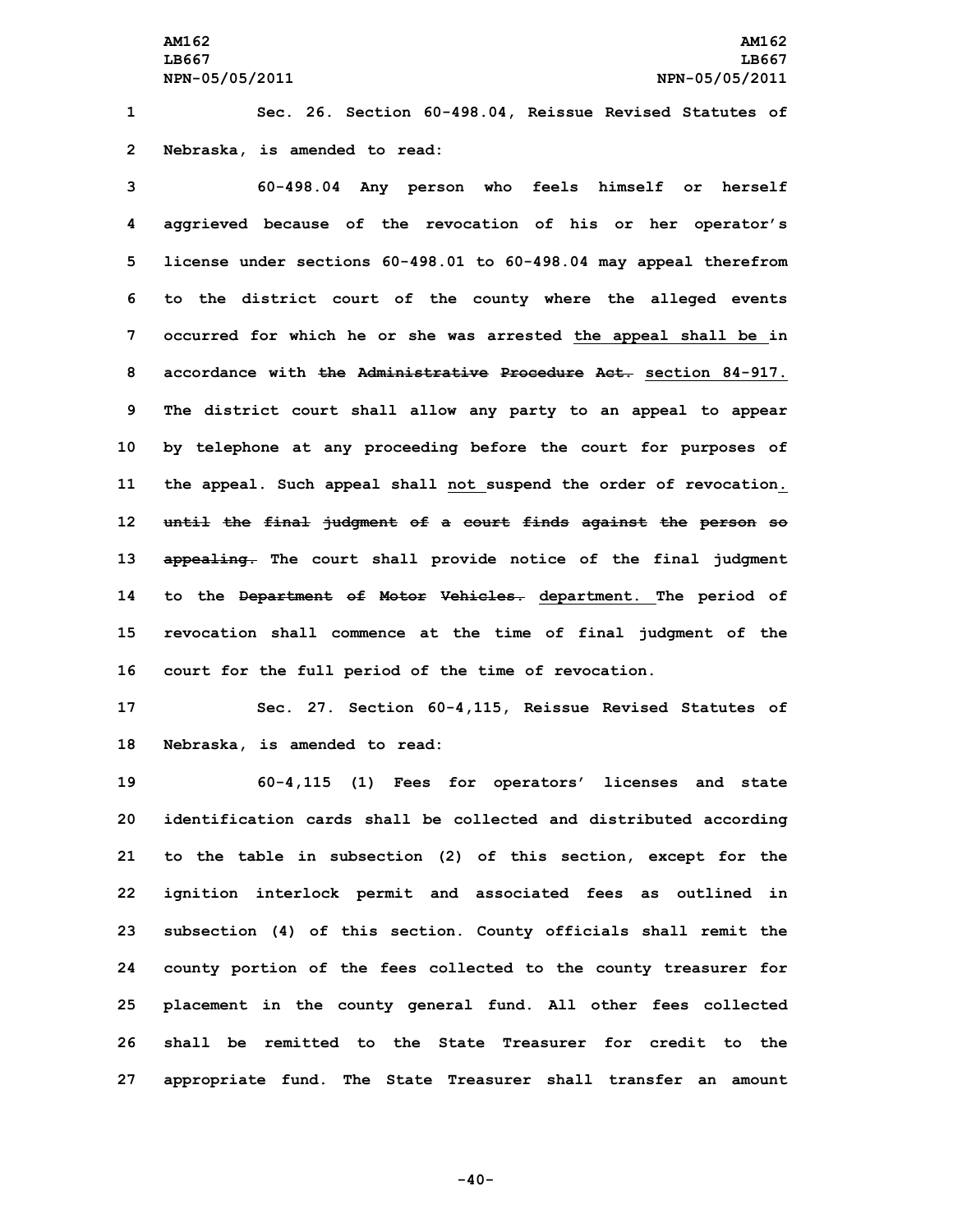**1 Sec. 26. Section 60-498.04, Reissue Revised Statutes of 2 Nebraska, is amended to read:**

 **60-498.04 Any person who feels himself or herself aggrieved because of the revocation of his or her operator's license under sections 60-498.01 to 60-498.04 may appeal therefrom to the district court of the county where the alleged events occurred for which he or she was arrested the appeal shall be in accordance with the Administrative Procedure Act. section 84-917. The district court shall allow any party to an appeal to appear by telephone at any proceeding before the court for purposes of the appeal. Such appeal shall not suspend the order of revocation. until the final judgment of <sup>a</sup> court finds against the person so appealing. The court shall provide notice of the final judgment to the Department of Motor Vehicles. department. The period of revocation shall commence at the time of final judgment of the court for the full period of the time of revocation.**

**17 Sec. 27. Section 60-4,115, Reissue Revised Statutes of 18 Nebraska, is amended to read:**

 **60-4,115 (1) Fees for operators' licenses and state identification cards shall be collected and distributed according to the table in subsection (2) of this section, except for the ignition interlock permit and associated fees as outlined in subsection (4) of this section. County officials shall remit the county portion of the fees collected to the county treasurer for placement in the county general fund. All other fees collected shall be remitted to the State Treasurer for credit to the appropriate fund. The State Treasurer shall transfer an amount**

**-40-**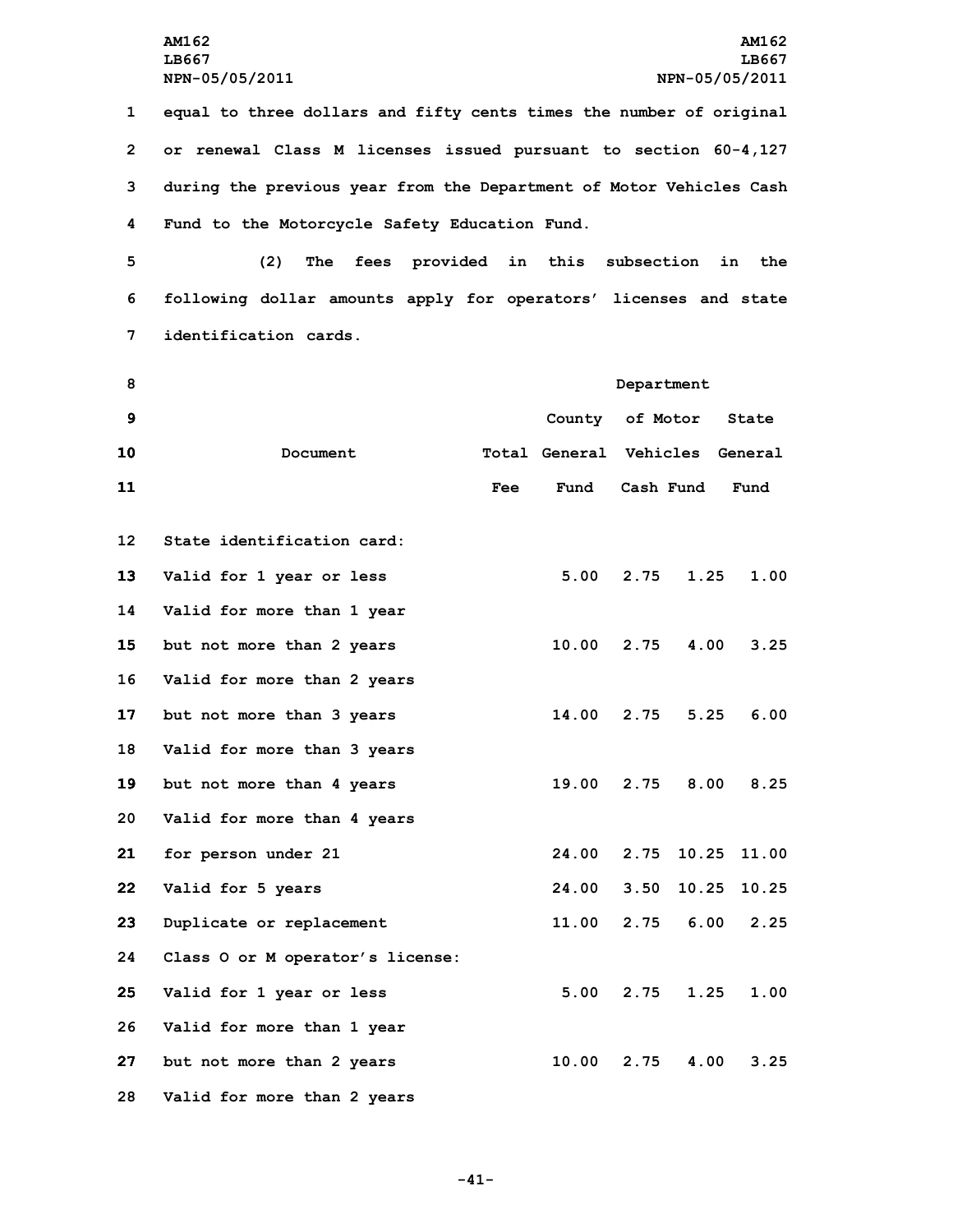**equal to three dollars and fifty cents times the number of original or renewal Class <sup>M</sup> licenses issued pursuant to section 60-4,127 during the previous year from the Department of Motor Vehicles Cash Fund to the Motorcycle Safety Education Fund.**

**5 (2) The fees provided in this subsection in the 6 following dollar amounts apply for operators' licenses and state 7 identification cards.**

| 8               |                                  | Department |                                |      |             |       |
|-----------------|----------------------------------|------------|--------------------------------|------|-------------|-------|
| $\mathbf{9}$    |                                  |            | County of Motor                |      |             | State |
| 10              | Document                         |            | Total General Vehicles General |      |             |       |
| 11              |                                  | Fee        | Fund                           |      | Cash Fund   | Fund  |
| 12 <sup>2</sup> | State identification card:       |            |                                |      |             |       |
| 13              | Valid for 1 year or less         |            | 5.00                           | 2.75 | 1.25        | 1.00  |
| 14              | Valid for more than 1 year       |            |                                |      |             |       |
| 15              | but not more than 2 years        |            | 10.00                          | 2.75 | 4.00        | 3.25  |
| 16              | Valid for more than 2 years      |            |                                |      |             |       |
| 17              | but not more than 3 years        |            | 14.00                          | 2.75 | 5.25        | 6.00  |
| 18              | Valid for more than 3 years      |            |                                |      |             |       |
| 19              | but not more than 4 years        |            | 19.00                          |      | $2.75$ 8.00 | 8.25  |
| 20              | Valid for more than 4 years      |            |                                |      |             |       |
| 21              | for person under 21              |            | 24.00                          |      | 2.75 10.25  | 11.00 |
| 22              | Valid for 5 years                |            | 24.00                          | 3.50 | 10.25       | 10.25 |
| 23              | Duplicate or replacement         |            | 11.00                          | 2.75 | 6.00        | 2.25  |
| 24              | Class O or M operator's license: |            |                                |      |             |       |
| 25              | Valid for 1 year or less         |            | 5.00                           | 2.75 | 1.25        | 1.00  |
| 26              | Valid for more than 1 year       |            |                                |      |             |       |
| 27              | but not more than 2 years        |            | 10.00                          | 2.75 | 4.00        | 3.25  |

**28 Valid for more than 2 years**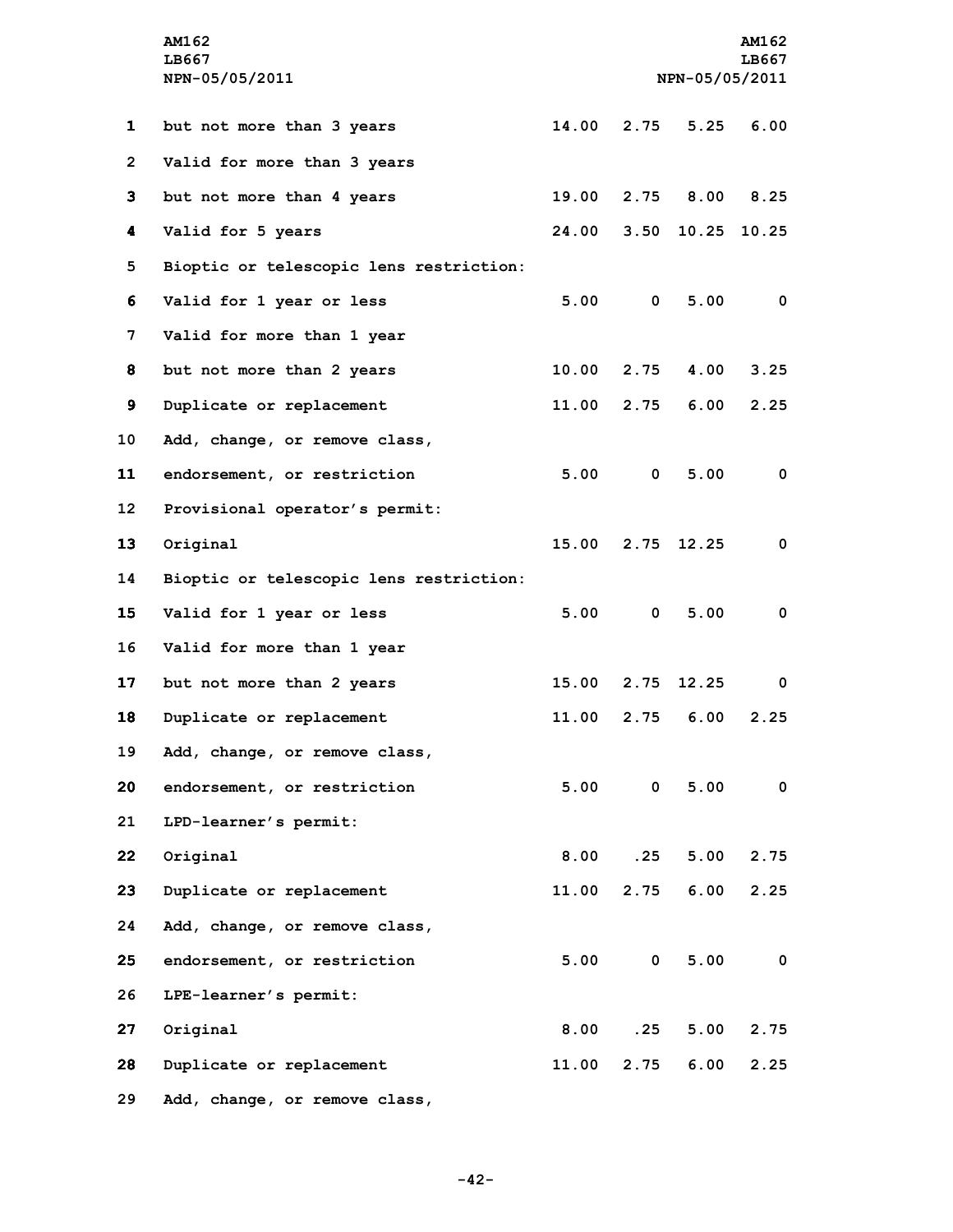|                 | <b>AM162</b><br>LB667                   |       |                |                  | AM162<br>LB667          |
|-----------------|-----------------------------------------|-------|----------------|------------------|-------------------------|
|                 | NPN-05/05/2011                          |       | NPN-05/05/2011 |                  |                         |
|                 |                                         |       |                |                  |                         |
| 1               | but not more than 3 years               | 14.00 | 2.75           |                  | $5.25$ 6.00             |
| $\overline{2}$  | Valid for more than 3 years             |       |                |                  |                         |
| 3               | but not more than 4 years               | 19.00 |                | 2.75 8.00 8.25   |                         |
| 4               | Valid for 5 years                       | 24.00 |                | 3.50 10.25 10.25 |                         |
| 5               | Bioptic or telescopic lens restriction: |       |                |                  |                         |
| 6               | Valid for 1 year or less                |       | 5.00 0         | 5.00             | $\overline{\mathbf{0}}$ |
| 7               | Valid for more than 1 year              |       |                |                  |                         |
| 8               | but not more than 2 years               | 10.00 | 2.75           | 4.00             | 3.25                    |
| 9               | Duplicate or replacement                |       | 11.00 2.75     | 6.00             | 2.25                    |
| 10 <sub>1</sub> | Add, change, or remove class,           |       |                |                  |                         |
| 11              | endorsement, or restriction             | 5.00  | $\mathbf{0}$   | 5.00             | $\mathbf 0$             |
| $12 \,$         | Provisional operator's permit:          |       |                |                  |                         |
| 13              | Original                                |       |                | 15.00 2.75 12.25 | $\mathbf 0$             |
| 14              | Bioptic or telescopic lens restriction: |       |                |                  |                         |
| 15 <sub>1</sub> | Valid for 1 year or less                |       | 5.00 0         | 5.00             | $\mathbf 0$             |
| 16              | Valid for more than 1 year              |       |                |                  |                         |
| 17              | but not more than 2 years               | 15.00 | 2.75           | 12.25            | 0                       |
| 18              | Duplicate or replacement                | 11.00 | 2.75           | 6.00             | 2.25                    |
| 19              | Add, change, or remove class,           |       |                |                  |                         |
| 20              | endorsement, or restriction             |       | 5.00 0         | 5.00             | $\mathbf 0$             |
| 21              | LPD-learner's permit:                   |       |                |                  |                         |
| 22              | Original                                | 8.00  | .25            | 5.00             | 2.75                    |
| 23              | Duplicate or replacement                | 11.00 |                | $2.75$ 6.00      | 2.25                    |
| 24              | Add, change, or remove class,           |       |                |                  |                         |
| 25              | endorsement, or restriction             |       | 5.00 0         | 5.00             | $\overline{\mathbf{0}}$ |
| 26              | LPE-learner's permit:                   |       |                |                  |                         |
| 27              | Original                                | 8.00  | .25            | 5.00             | 2.75                    |
| 28              | Duplicate or replacement                | 11.00 | 2.75           | 6.00             | 2.25                    |
| 29              | Add, change, or remove class,           |       |                |                  |                         |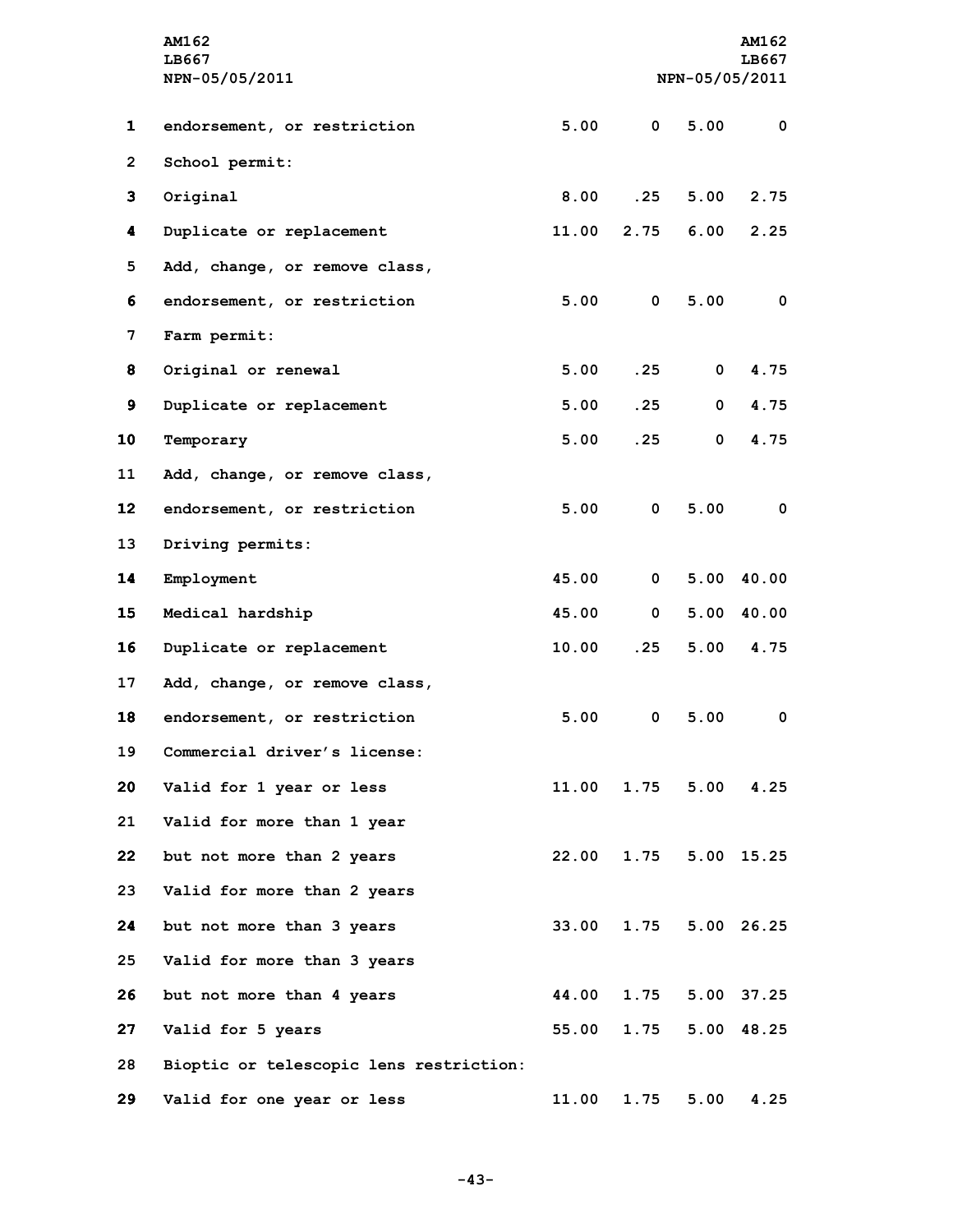|                 | AM162<br>LB667<br>NPN-05/05/2011        | NPN-05/05/2011 |              |              | <b>AM162</b><br>LB667 |
|-----------------|-----------------------------------------|----------------|--------------|--------------|-----------------------|
| $\mathbf{1}$    | endorsement, or restriction             | 5.00           | $\mathbf{0}$ | 5.00         | $\mathbf 0$           |
| $\overline{2}$  | School permit:                          |                |              |              |                       |
| 3               | Original                                | 8.00           | .25          | 5.00         | 2.75                  |
| 4               | Duplicate or replacement                | 11.00          | 2.75         | 6.00         | 2.25                  |
| 5               | Add, change, or remove class,           |                |              |              |                       |
| 6               | endorsement, or restriction             | 5.00           | $\mathbf{0}$ | 5.00         | 0                     |
| 7               | Farm permit:                            |                |              |              |                       |
| 8               | Original or renewal                     | 5.00           | .25          | $\mathbf 0$  | 4.75                  |
| 9               | Duplicate or replacement                | 5.00           | .25          | $\mathbf{0}$ | 4.75                  |
| 10              | Temporary                               | 5.00           | .25          | 0            | 4.75                  |
| 11              | Add, change, or remove class,           |                |              |              |                       |
| 12 <sub>2</sub> | endorsement, or restriction             | 5.00           | $\mathbf 0$  | 5.00         | $\mathbf 0$           |
| 13              | Driving permits:                        |                |              |              |                       |
| 14              | Employment                              | 45.00          | $\mathbf{0}$ | 5.00         | 40.00                 |
| 15              | Medical hardship                        | 45.00          | $\mathbf{0}$ |              | $5.00$ 40.00          |
| 16              | Duplicate or replacement                | 10.00          | .25          | 5.00         | 4.75                  |
| 17              | Add, change, or remove class,           |                |              |              |                       |
| 18              | endorsement, or restriction             | 5.00           | 0            | 5.00         | 0                     |
| 19              | Commercial driver's license:            |                |              |              |                       |
| 20              | Valid for 1 year or less                | 11.00          |              | 1.75 5.00    | 4.25                  |
| 21              | Valid for more than 1 year              |                |              |              |                       |
| $22 \,$         | but not more than 2 years               | 22.00          | 1.75         |              | 5.00 15.25            |
| 23              | Valid for more than 2 years             |                |              |              |                       |
| 24              | but not more than 3 years               | 33.00          | 1.75         |              | 5.00 26.25            |
| 25              | Valid for more than 3 years             |                |              |              |                       |
| 26              | but not more than 4 years               | 44.00          | 1.75         |              | 5.00 37.25            |
| 27              | Valid for 5 years                       | 55.00          | 1.75         |              | 5.00 48.25            |
| 28              | Bioptic or telescopic lens restriction: |                |              |              |                       |
| 29              | Valid for one year or less              | 11.00          | 1.75         | 5.00         | 4.25                  |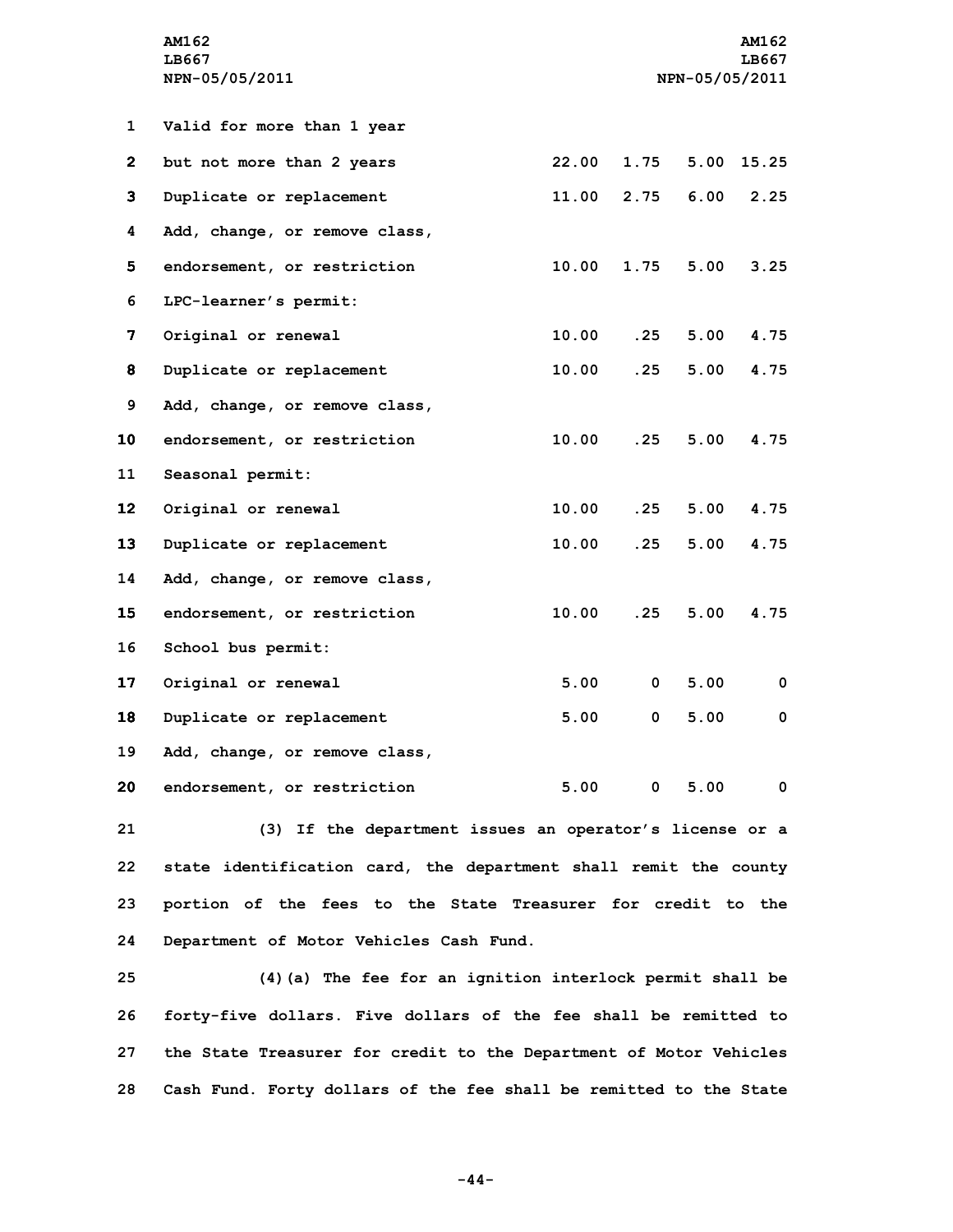|                 | AM162<br>LB667<br>NPN-05/05/2011                                | NPN-05/05/2011 |      |               | <b>AM162</b><br>LB667   |
|-----------------|-----------------------------------------------------------------|----------------|------|---------------|-------------------------|
|                 |                                                                 |                |      |               |                         |
| 1               | Valid for more than 1 year                                      |                |      |               |                         |
| $\bf{2}$        | but not more than 2 years                                       | 22.00          | 1.75 | 5.00          | 15.25                   |
| 3               | Duplicate or replacement                                        | 11.00          | 2.75 | 6.00          | 2.25                    |
| 4               | Add, change, or remove class,                                   |                |      |               |                         |
| 5.              | endorsement, or restriction                                     | 10.00          | 1.75 | 5.00          | 3.25                    |
| 6               | LPC-learner's permit:                                           |                |      |               |                         |
| 7               | Original or renewal                                             | 10.00          | .25  | 5.00          | 4.75                    |
| 8               | Duplicate or replacement                                        | 10.00          | .25  | 5.00          | 4.75                    |
| 9               | Add, change, or remove class,                                   |                |      |               |                         |
| 10              | endorsement, or restriction                                     | 10.00          | .25  | 5.00          | 4.75                    |
| 11              | Seasonal permit:                                                |                |      |               |                         |
| 12 <sub>2</sub> | Original or renewal                                             | 10.00          | .25  | 5.00          | 4.75                    |
| 13              | Duplicate or replacement                                        | 10.00          | .25  | 5.00          | 4.75                    |
| 14              | Add, change, or remove class,                                   |                |      |               |                         |
| 15              | endorsement, or restriction                                     | 10.00          | .25  | 5.00          | 4.75                    |
| 16              | School bus permit:                                              |                |      |               |                         |
| 17              | Original or renewal                                             | 5.00           | 0    | 5.00          | 0                       |
| 18              | Duplicate or replacement                                        | 5.00           | 0    | 5.00          | 0                       |
| 19              | Add, change, or remove class,                                   |                |      |               |                         |
| 20              | endorsement, or restriction                                     |                |      | $5.00$ 0 5.00 | $\overline{\mathbf{0}}$ |
| 21              | (3) If the department issues an operator's license or a         |                |      |               |                         |
| 22.             | state identification card the department shall remit the county |                |      |               |                         |

**22 state identification card, the department shall remit the county 23 portion of the fees to the State Treasurer for credit to the 24 Department of Motor Vehicles Cash Fund.**

 **(4)(a) The fee for an ignition interlock permit shall be forty-five dollars. Five dollars of the fee shall be remitted to the State Treasurer for credit to the Department of Motor Vehicles Cash Fund. Forty dollars of the fee shall be remitted to the State**

**-44-**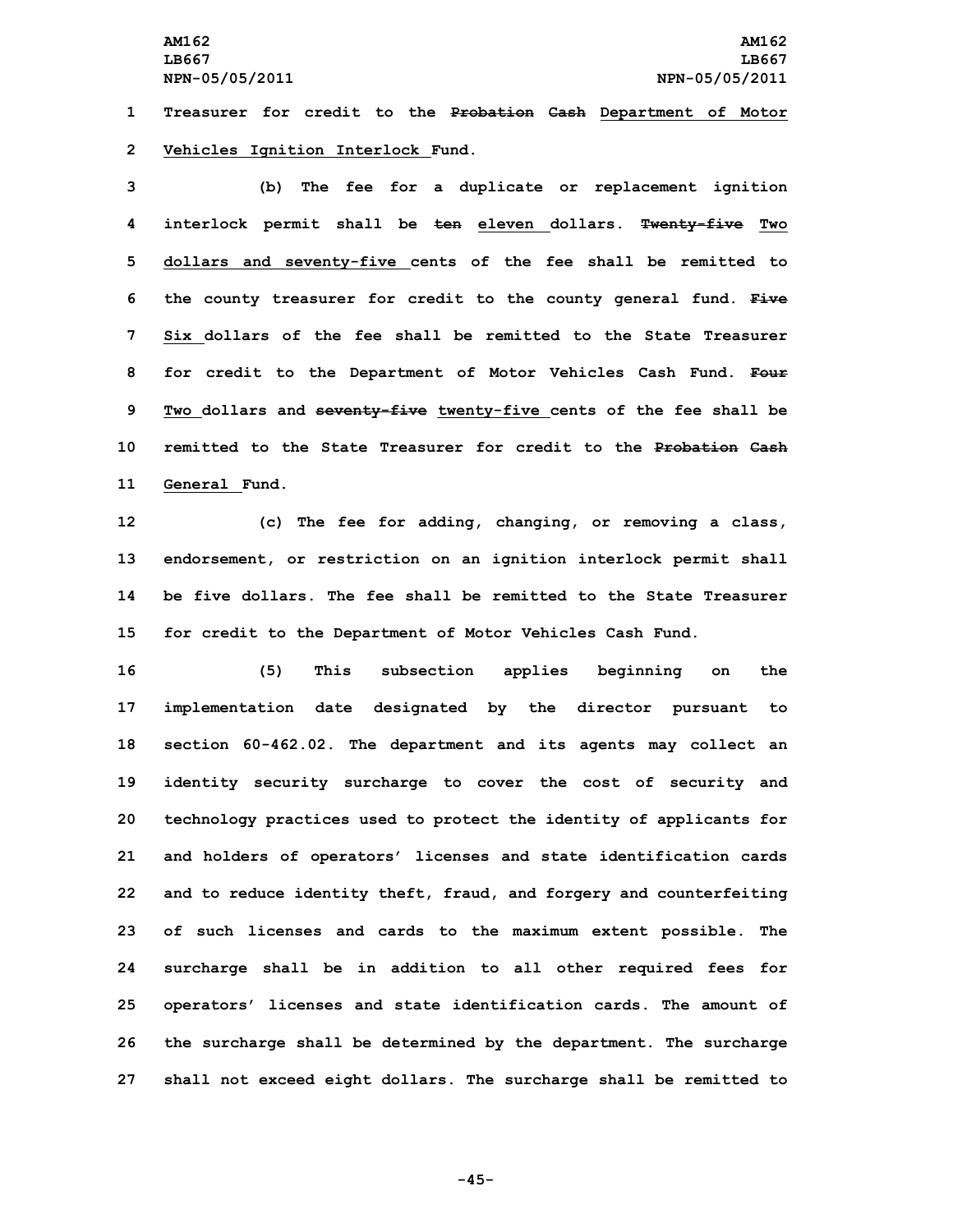**1 Treasurer for credit to the Probation Cash Department of Motor 2 Vehicles Ignition Interlock Fund.**

 **(b) The fee for <sup>a</sup> duplicate or replacement ignition interlock permit shall be ten eleven dollars. Twenty-five Two dollars and seventy-five cents of the fee shall be remitted to the county treasurer for credit to the county general fund. Five Six dollars of the fee shall be remitted to the State Treasurer for credit to the Department of Motor Vehicles Cash Fund. Four Two dollars and seventy-five twenty-five cents of the fee shall be remitted to the State Treasurer for credit to the Probation Cash General Fund.**

 **(c) The fee for adding, changing, or removing <sup>a</sup> class, endorsement, or restriction on an ignition interlock permit shall be five dollars. The fee shall be remitted to the State Treasurer for credit to the Department of Motor Vehicles Cash Fund.**

 **(5) This subsection applies beginning on the implementation date designated by the director pursuant to section 60-462.02. The department and its agents may collect an identity security surcharge to cover the cost of security and technology practices used to protect the identity of applicants for and holders of operators' licenses and state identification cards and to reduce identity theft, fraud, and forgery and counterfeiting of such licenses and cards to the maximum extent possible. The surcharge shall be in addition to all other required fees for operators' licenses and state identification cards. The amount of the surcharge shall be determined by the department. The surcharge shall not exceed eight dollars. The surcharge shall be remitted to**

**-45-**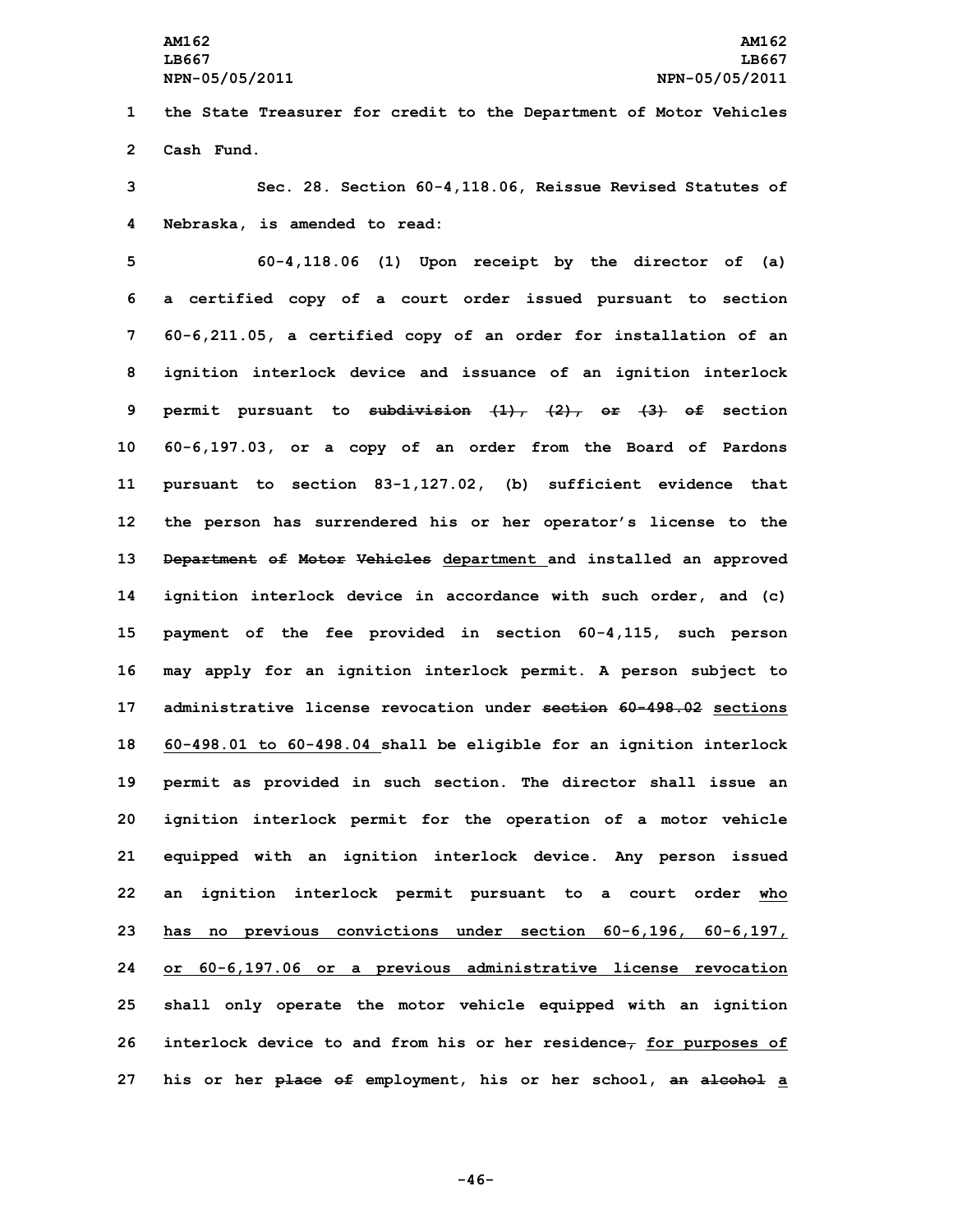**1 the State Treasurer for credit to the Department of Motor Vehicles 2 Cash Fund.**

**3 Sec. 28. Section 60-4,118.06, Reissue Revised Statutes of 4 Nebraska, is amended to read:**

 **60-4,118.06 (1) Upon receipt by the director of (a) <sup>a</sup> certified copy of <sup>a</sup> court order issued pursuant to section 60-6,211.05, <sup>a</sup> certified copy of an order for installation of an ignition interlock device and issuance of an ignition interlock permit pursuant to subdivision (1), (2), or (3) of section 60-6,197.03, or <sup>a</sup> copy of an order from the Board of Pardons pursuant to section 83-1,127.02, (b) sufficient evidence that the person has surrendered his or her operator's license to the Department of Motor Vehicles department and installed an approved ignition interlock device in accordance with such order, and (c) payment of the fee provided in section 60-4,115, such person may apply for an ignition interlock permit. <sup>A</sup> person subject to administrative license revocation under section 60-498.02 sections 60-498.01 to 60-498.04 shall be eligible for an ignition interlock permit as provided in such section. The director shall issue an ignition interlock permit for the operation of <sup>a</sup> motor vehicle equipped with an ignition interlock device. Any person issued an ignition interlock permit pursuant to <sup>a</sup> court order who has no previous convictions under section 60-6,196, 60-6,197, or 60-6,197.06 or <sup>a</sup> previous administrative license revocation shall only operate the motor vehicle equipped with an ignition interlock device to and from his or her residence, for purposes of his or her place of employment, his or her school, an alcohol <sup>a</sup>**

**-46-**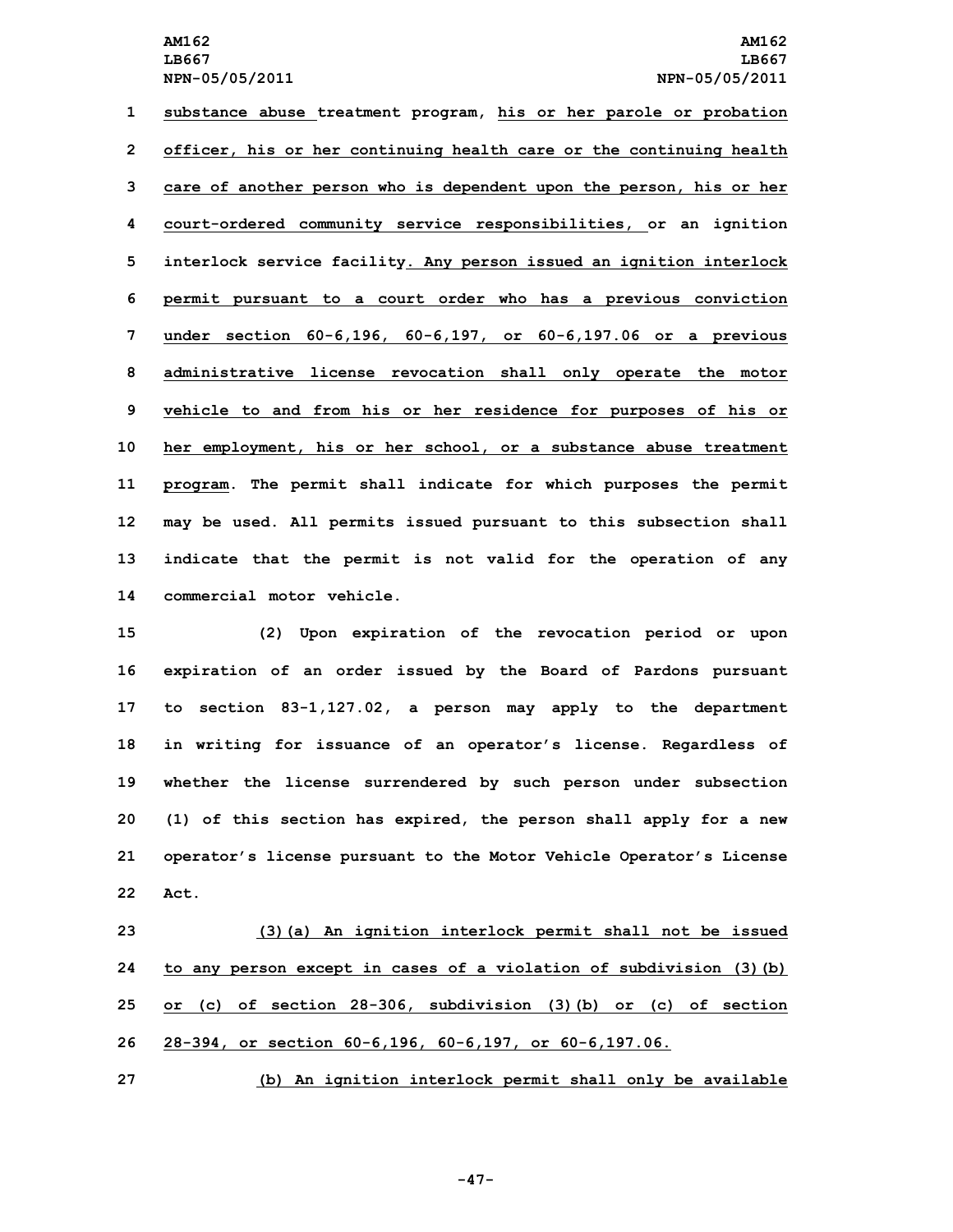**substance abuse treatment program, his or her parole or probation officer, his or her continuing health care or the continuing health care of another person who is dependent upon the person, his or her court-ordered community service responsibilities, or an ignition interlock service facility. Any person issued an ignition interlock permit pursuant to <sup>a</sup> court order who has <sup>a</sup> previous conviction under section 60-6,196, 60-6,197, or 60-6,197.06 or <sup>a</sup> previous administrative license revocation shall only operate the motor vehicle to and from his or her residence for purposes of his or her employment, his or her school, or <sup>a</sup> substance abuse treatment program. The permit shall indicate for which purposes the permit may be used. All permits issued pursuant to this subsection shall indicate that the permit is not valid for the operation of any commercial motor vehicle.**

 **(2) Upon expiration of the revocation period or upon expiration of an order issued by the Board of Pardons pursuant to section 83-1,127.02, <sup>a</sup> person may apply to the department in writing for issuance of an operator's license. Regardless of whether the license surrendered by such person under subsection (1) of this section has expired, the person shall apply for <sup>a</sup> new operator's license pursuant to the Motor Vehicle Operator's License 22 Act.**

 **(3)(a) An ignition interlock permit shall not be issued to any person except in cases of <sup>a</sup> violation of subdivision (3)(b) or (c) of section 28-306, subdivision (3)(b) or (c) of section 28-394, or section 60-6,196, 60-6,197, or 60-6,197.06.**

**27 (b) An ignition interlock permit shall only be available**

**-47-**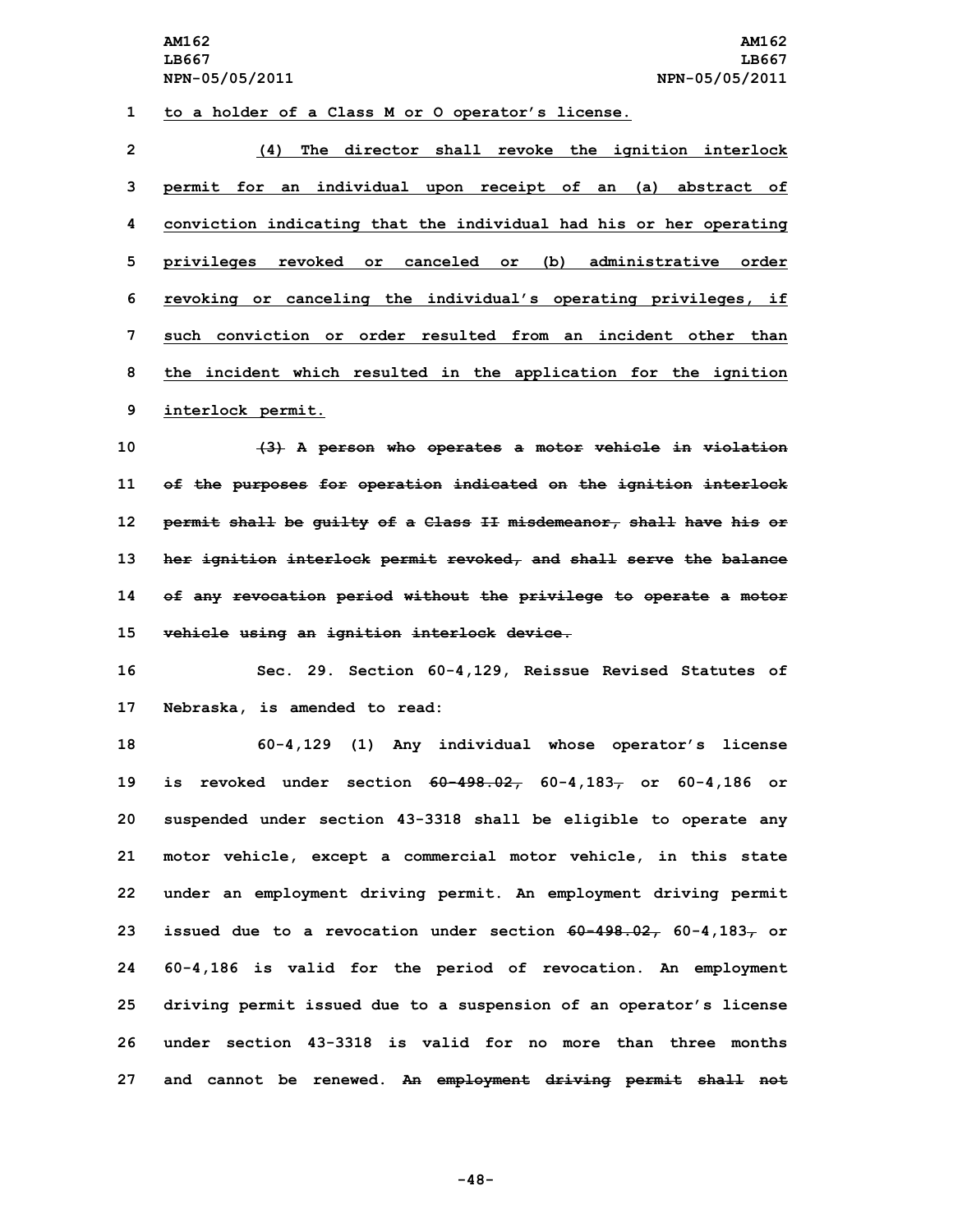## **1 to <sup>a</sup> holder of <sup>a</sup> Class <sup>M</sup> or O operator's license.**

 **(4) The director shall revoke the ignition interlock permit for an individual upon receipt of an (a) abstract of conviction indicating that the individual had his or her operating privileges revoked or canceled or (b) administrative order revoking or canceling the individual's operating privileges, if such conviction or order resulted from an incident other than the incident which resulted in the application for the ignition interlock permit.**

 **(3) <sup>A</sup> person who operates <sup>a</sup> motor vehicle in violation of the purposes for operation indicated on the ignition interlock permit shall be guilty of <sup>a</sup> Class II misdemeanor, shall have his or her ignition interlock permit revoked, and shall serve the balance of any revocation period without the privilege to operate <sup>a</sup> motor vehicle using an ignition interlock device.**

**16 Sec. 29. Section 60-4,129, Reissue Revised Statutes of 17 Nebraska, is amended to read:**

 **60-4,129 (1) Any individual whose operator's license is revoked under section 60-498.02, 60-4,183, or 60-4,186 or suspended under section 43-3318 shall be eligible to operate any motor vehicle, except <sup>a</sup> commercial motor vehicle, in this state under an employment driving permit. An employment driving permit issued** due to a revocation under section  $60-498.027$ ,  $60-4,1837$  or **60-4,186 is valid for the period of revocation. An employment driving permit issued due to <sup>a</sup> suspension of an operator's license under section 43-3318 is valid for no more than three months and cannot be renewed. An employment driving permit shall not**

**-48-**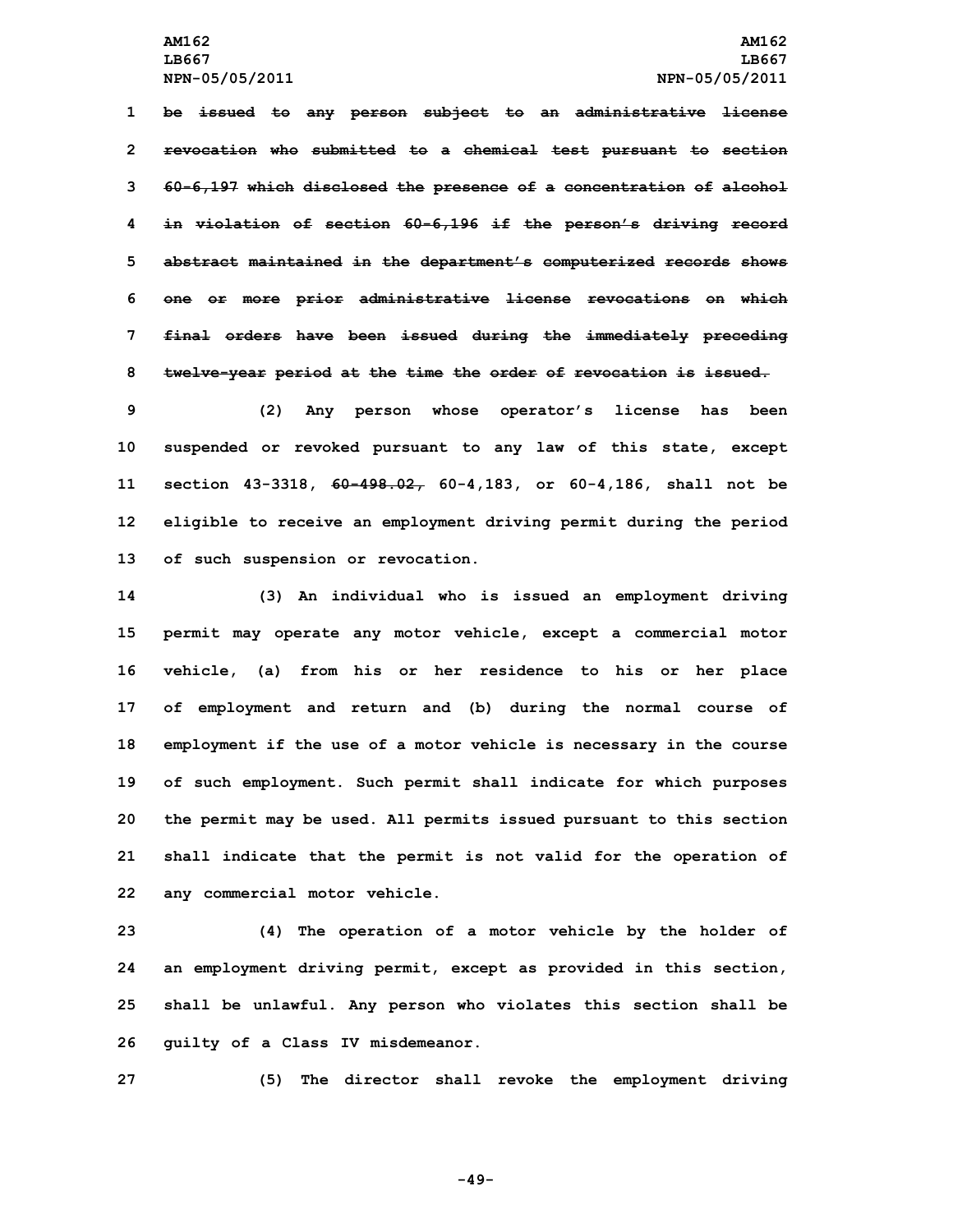**be issued to any person subject to an administrative license revocation who submitted to <sup>a</sup> chemical test pursuant to section 60-6,197 which disclosed the presence of <sup>a</sup> concentration of alcohol in violation of section 60-6,196 if the person's driving record abstract maintained in the department's computerized records shows one or more prior administrative license revocations on which final orders have been issued during the immediately preceding twelve-year period at the time the order of revocation is issued.**

 **(2) Any person whose operator's license has been suspended or revoked pursuant to any law of this state, except section 43-3318, 60-498.02, 60-4,183, or 60-4,186, shall not be eligible to receive an employment driving permit during the period of such suspension or revocation.**

 **(3) An individual who is issued an employment driving permit may operate any motor vehicle, except <sup>a</sup> commercial motor vehicle, (a) from his or her residence to his or her place of employment and return and (b) during the normal course of employment if the use of <sup>a</sup> motor vehicle is necessary in the course of such employment. Such permit shall indicate for which purposes the permit may be used. All permits issued pursuant to this section shall indicate that the permit is not valid for the operation of any commercial motor vehicle.**

 **(4) The operation of <sup>a</sup> motor vehicle by the holder of an employment driving permit, except as provided in this section, shall be unlawful. Any person who violates this section shall be guilty of <sup>a</sup> Class IV misdemeanor.**

**27 (5) The director shall revoke the employment driving**

**-49-**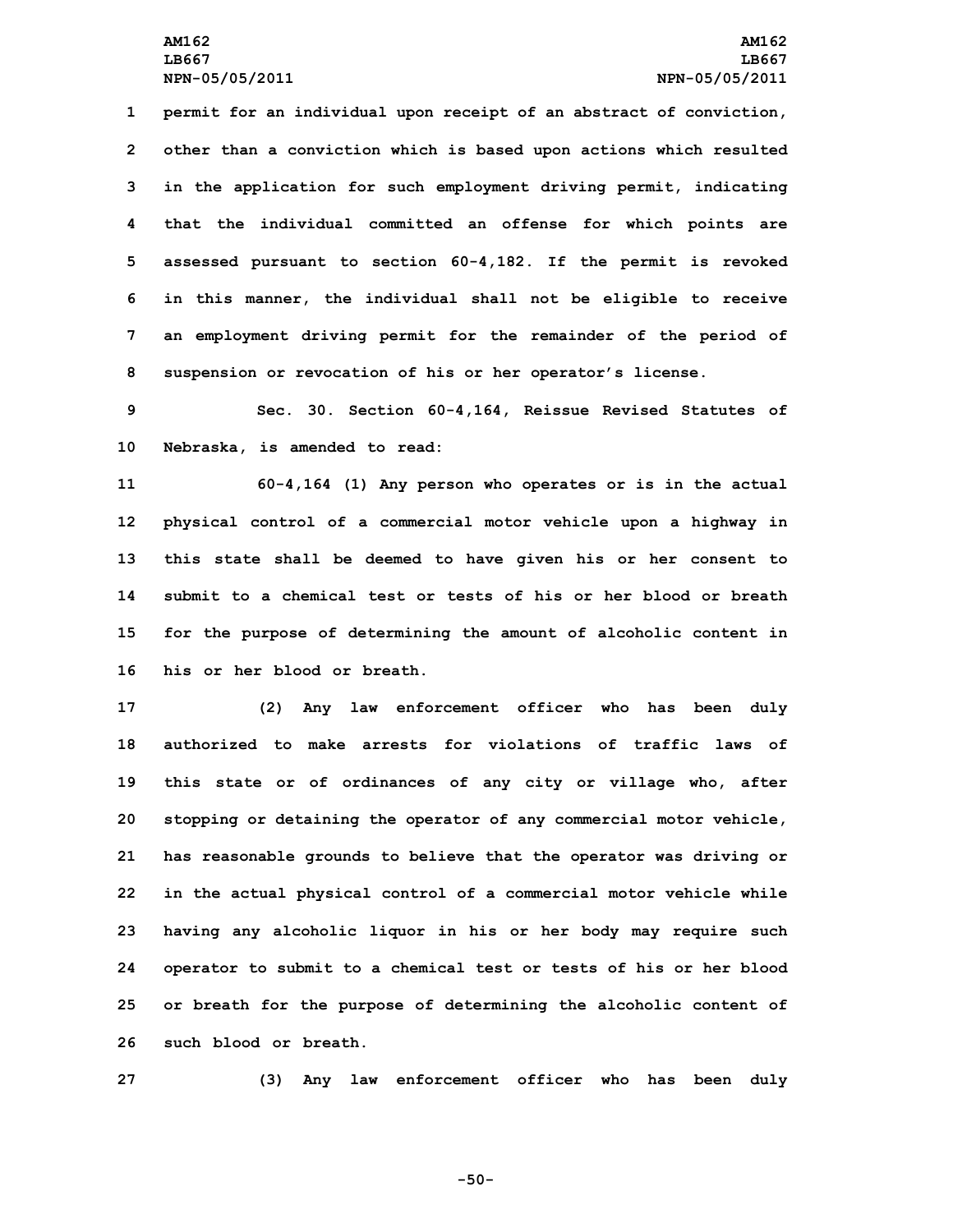**permit for an individual upon receipt of an abstract of conviction, other than <sup>a</sup> conviction which is based upon actions which resulted in the application for such employment driving permit, indicating that the individual committed an offense for which points are assessed pursuant to section 60-4,182. If the permit is revoked in this manner, the individual shall not be eligible to receive an employment driving permit for the remainder of the period of suspension or revocation of his or her operator's license.**

**9 Sec. 30. Section 60-4,164, Reissue Revised Statutes of 10 Nebraska, is amended to read:**

 **60-4,164 (1) Any person who operates or is in the actual physical control of <sup>a</sup> commercial motor vehicle upon <sup>a</sup> highway in this state shall be deemed to have given his or her consent to submit to a chemical test or tests of his or her blood or breath for the purpose of determining the amount of alcoholic content in his or her blood or breath.**

 **(2) Any law enforcement officer who has been duly authorized to make arrests for violations of traffic laws of this state or of ordinances of any city or village who, after stopping or detaining the operator of any commercial motor vehicle, has reasonable grounds to believe that the operator was driving or in the actual physical control of <sup>a</sup> commercial motor vehicle while having any alcoholic liquor in his or her body may require such operator to submit to <sup>a</sup> chemical test or tests of his or her blood or breath for the purpose of determining the alcoholic content of such blood or breath.**

**27 (3) Any law enforcement officer who has been duly**

**-50-**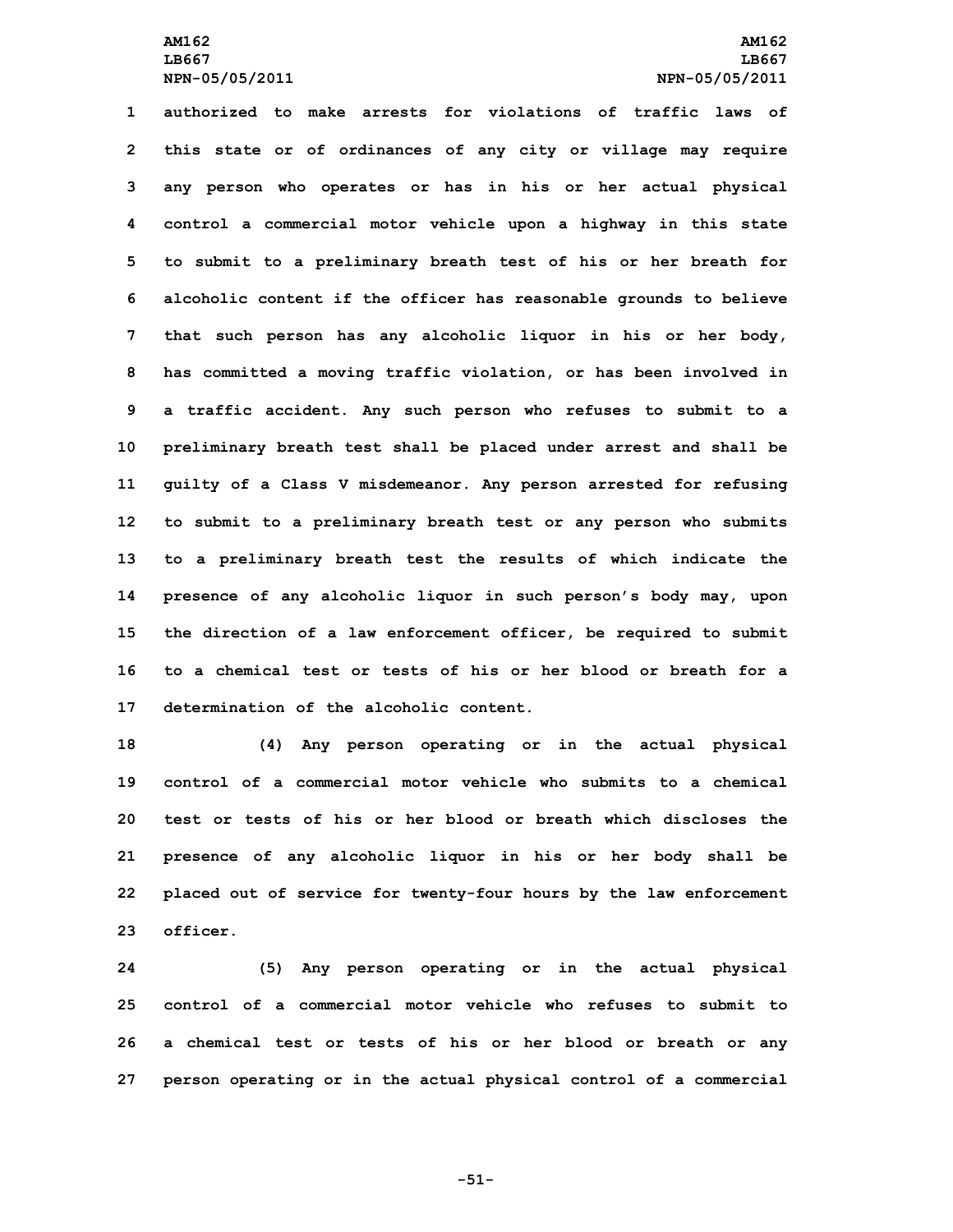**authorized to make arrests for violations of traffic laws of this state or of ordinances of any city or village may require any person who operates or has in his or her actual physical control <sup>a</sup> commercial motor vehicle upon <sup>a</sup> highway in this state to submit to <sup>a</sup> preliminary breath test of his or her breath for alcoholic content if the officer has reasonable grounds to believe that such person has any alcoholic liquor in his or her body, has committed <sup>a</sup> moving traffic violation, or has been involved in <sup>a</sup> traffic accident. Any such person who refuses to submit to <sup>a</sup> preliminary breath test shall be placed under arrest and shall be guilty of <sup>a</sup> Class <sup>V</sup> misdemeanor. Any person arrested for refusing to submit to <sup>a</sup> preliminary breath test or any person who submits to <sup>a</sup> preliminary breath test the results of which indicate the presence of any alcoholic liquor in such person's body may, upon the direction of <sup>a</sup> law enforcement officer, be required to submit to a chemical test or tests of his or her blood or breath for a determination of the alcoholic content.**

 **(4) Any person operating or in the actual physical control of a commercial motor vehicle who submits to a chemical test or tests of his or her blood or breath which discloses the presence of any alcoholic liquor in his or her body shall be placed out of service for twenty-four hours by the law enforcement 23 officer.**

 **(5) Any person operating or in the actual physical control of a commercial motor vehicle who refuses to submit to <sup>a</sup> chemical test or tests of his or her blood or breath or any person operating or in the actual physical control of <sup>a</sup> commercial**

**-51-**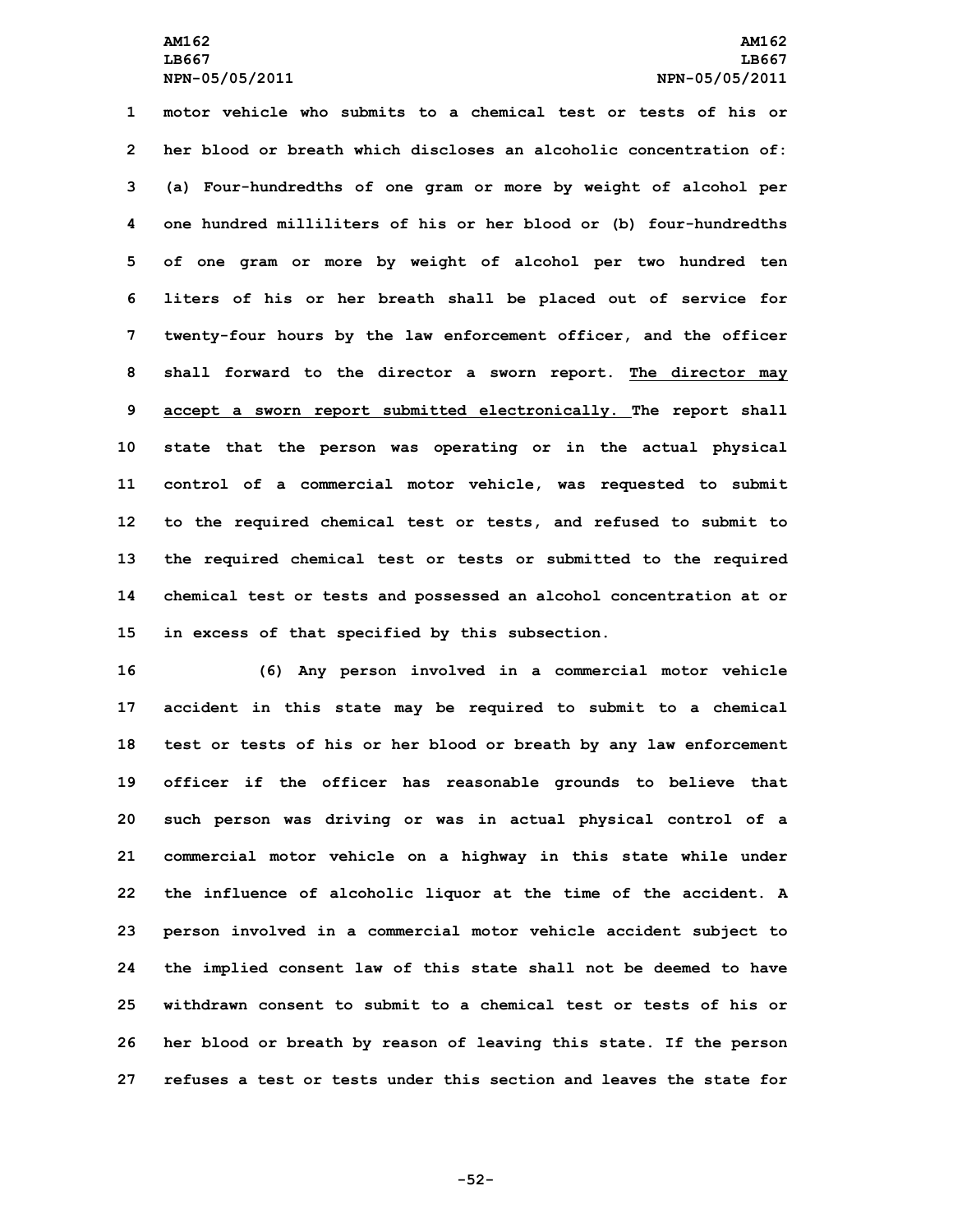**motor vehicle who submits to a chemical test or tests of his or her blood or breath which discloses an alcoholic concentration of: (a) Four-hundredths of one gram or more by weight of alcohol per one hundred milliliters of his or her blood or (b) four-hundredths of one gram or more by weight of alcohol per two hundred ten liters of his or her breath shall be placed out of service for twenty-four hours by the law enforcement officer, and the officer shall forward to the director <sup>a</sup> sworn report. The director may accept <sup>a</sup> sworn report submitted electronically. The report shall state that the person was operating or in the actual physical control of <sup>a</sup> commercial motor vehicle, was requested to submit to the required chemical test or tests, and refused to submit to the required chemical test or tests or submitted to the required chemical test or tests and possessed an alcohol concentration at or in excess of that specified by this subsection.**

 **(6) Any person involved in <sup>a</sup> commercial motor vehicle accident in this state may be required to submit to <sup>a</sup> chemical test or tests of his or her blood or breath by any law enforcement officer if the officer has reasonable grounds to believe that such person was driving or was in actual physical control of <sup>a</sup> commercial motor vehicle on <sup>a</sup> highway in this state while under the influence of alcoholic liquor at the time of the accident. <sup>A</sup> person involved in <sup>a</sup> commercial motor vehicle accident subject to the implied consent law of this state shall not be deemed to have withdrawn consent to submit to a chemical test or tests of his or her blood or breath by reason of leaving this state. If the person refuses a test or tests under this section and leaves the state for**

**-52-**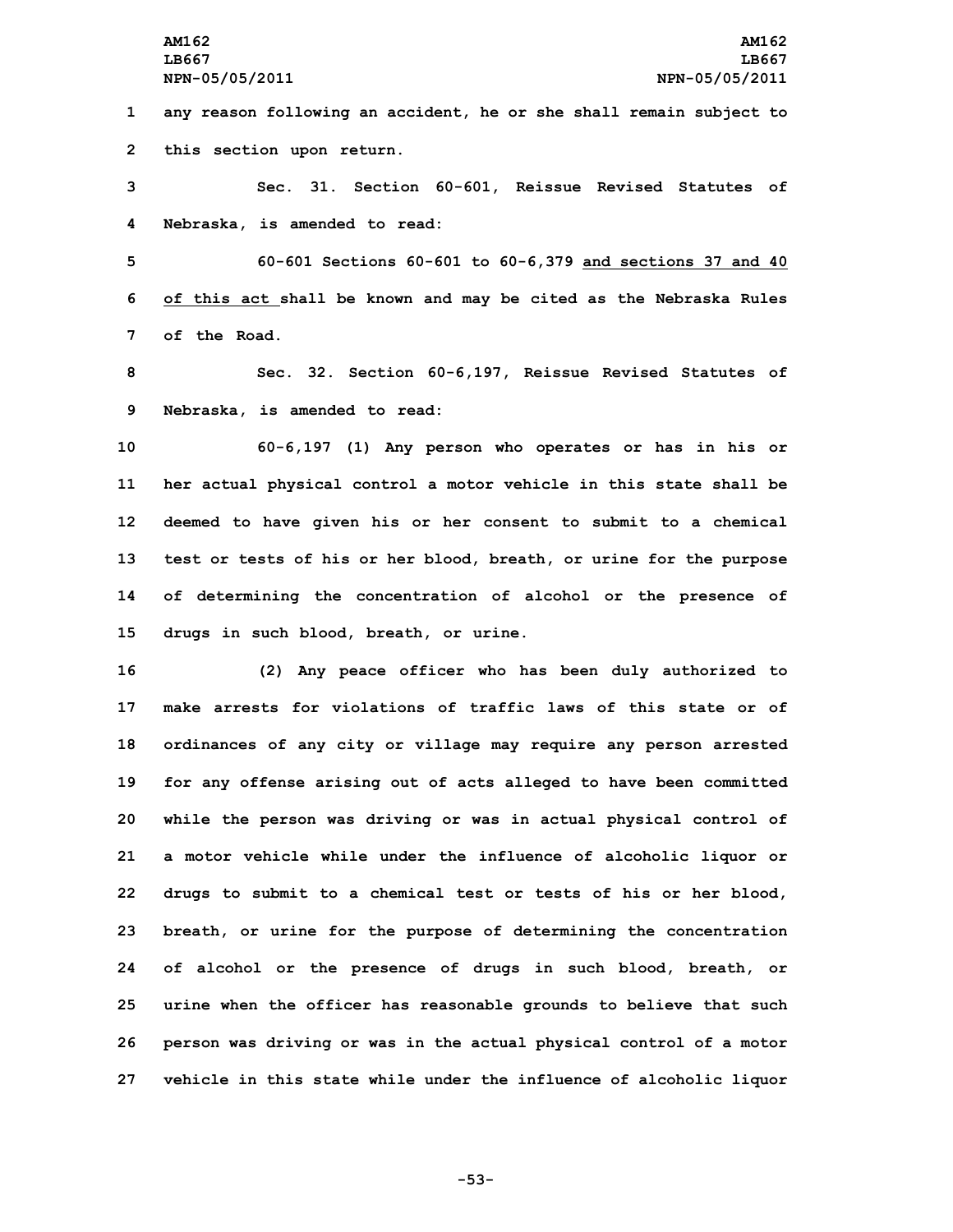**1 any reason following an accident, he or she shall remain subject to 2 this section upon return.**

**3 Sec. 31. Section 60-601, Reissue Revised Statutes of 4 Nebraska, is amended to read:**

**5 60-601 Sections 60-601 to 60-6,379 and sections 37 and 40 6 of this act shall be known and may be cited as the Nebraska Rules 7 of the Road.**

**8 Sec. 32. Section 60-6,197, Reissue Revised Statutes of 9 Nebraska, is amended to read:**

 **60-6,197 (1) Any person who operates or has in his or her actual physical control <sup>a</sup> motor vehicle in this state shall be deemed to have given his or her consent to submit to <sup>a</sup> chemical test or tests of his or her blood, breath, or urine for the purpose of determining the concentration of alcohol or the presence of drugs in such blood, breath, or urine.**

 **(2) Any peace officer who has been duly authorized to make arrests for violations of traffic laws of this state or of ordinances of any city or village may require any person arrested for any offense arising out of acts alleged to have been committed while the person was driving or was in actual physical control of <sup>a</sup> motor vehicle while under the influence of alcoholic liquor or drugs to submit to <sup>a</sup> chemical test or tests of his or her blood, breath, or urine for the purpose of determining the concentration of alcohol or the presence of drugs in such blood, breath, or urine when the officer has reasonable grounds to believe that such person was driving or was in the actual physical control of <sup>a</sup> motor vehicle in this state while under the influence of alcoholic liquor**

**-53-**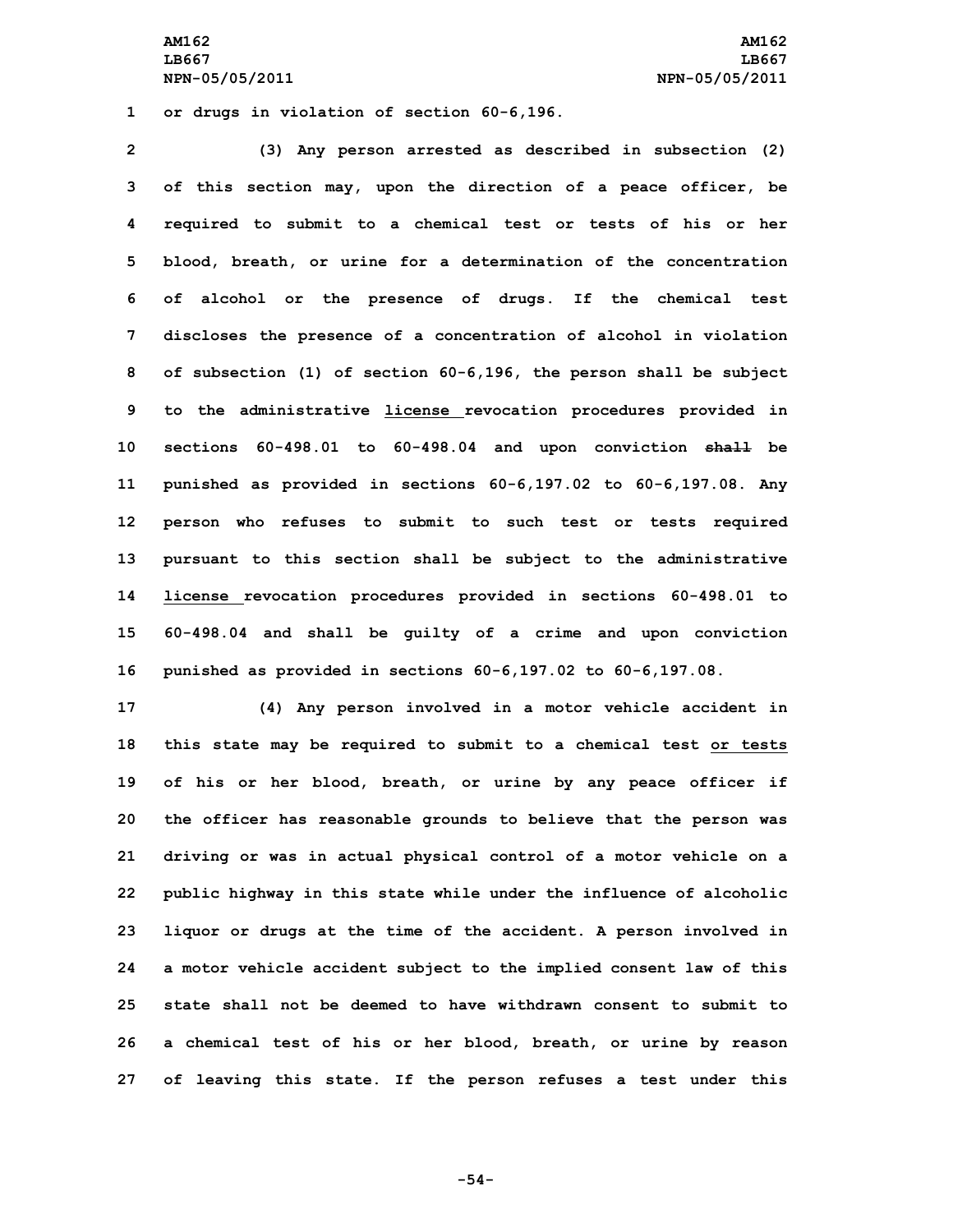**AM162 AM162 LB667 LB667 NPN-05/05/2011 NPN-05/05/2011**

**1 or drugs in violation of section 60-6,196.**

 **(3) Any person arrested as described in subsection (2) of this section may, upon the direction of <sup>a</sup> peace officer, be required to submit to <sup>a</sup> chemical test or tests of his or her blood, breath, or urine for <sup>a</sup> determination of the concentration of alcohol or the presence of drugs. If the chemical test discloses the presence of <sup>a</sup> concentration of alcohol in violation of subsection (1) of section 60-6,196, the person shall be subject to the administrative license revocation procedures provided in sections 60-498.01 to 60-498.04 and upon conviction shall be punished as provided in sections 60-6,197.02 to 60-6,197.08. Any person who refuses to submit to such test or tests required pursuant to this section shall be subject to the administrative license revocation procedures provided in sections 60-498.01 to 60-498.04 and shall be guilty of <sup>a</sup> crime and upon conviction punished as provided in sections 60-6,197.02 to 60-6,197.08.**

 **(4) Any person involved in <sup>a</sup> motor vehicle accident in this state may be required to submit to <sup>a</sup> chemical test or tests of his or her blood, breath, or urine by any peace officer if the officer has reasonable grounds to believe that the person was driving or was in actual physical control of <sup>a</sup> motor vehicle on <sup>a</sup> public highway in this state while under the influence of alcoholic liquor or drugs at the time of the accident. <sup>A</sup> person involved in <sup>a</sup> motor vehicle accident subject to the implied consent law of this state shall not be deemed to have withdrawn consent to submit to <sup>a</sup> chemical test of his or her blood, breath, or urine by reason of leaving this state. If the person refuses <sup>a</sup> test under this**

**-54-**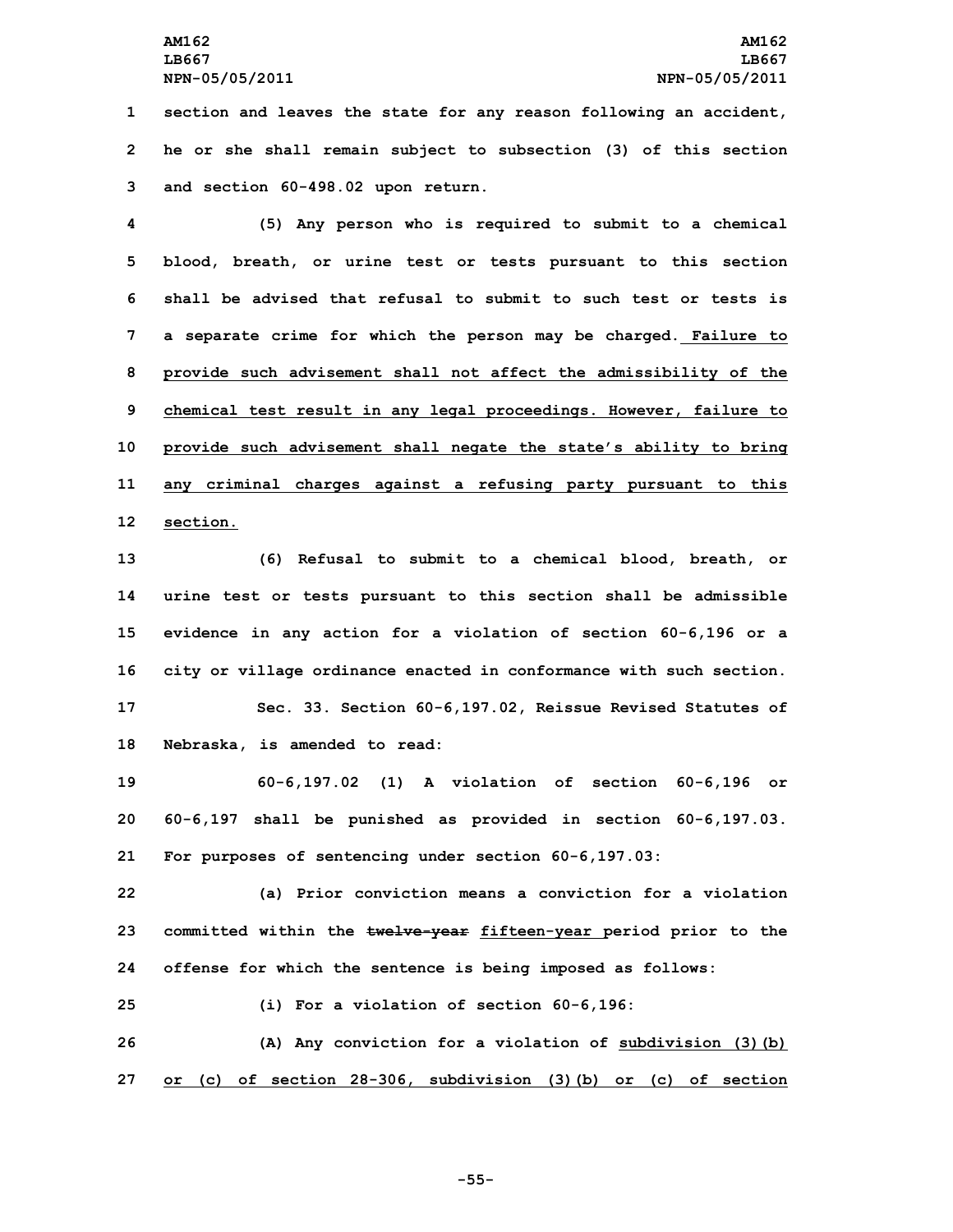**1 section and leaves the state for any reason following an accident, 2 he or she shall remain subject to subsection (3) of this section 3 and section 60-498.02 upon return.**

 **(5) Any person who is required to submit to <sup>a</sup> chemical blood, breath, or urine test or tests pursuant to this section shall be advised that refusal to submit to such test or tests is <sup>a</sup> separate crime for which the person may be charged. Failure to provide such advisement shall not affect the admissibility of the chemical test result in any legal proceedings. However, failure to provide such advisement shall negate the state's ability to bring any criminal charges against <sup>a</sup> refusing party pursuant to this 12 section.**

 **(6) Refusal to submit to <sup>a</sup> chemical blood, breath, or urine test or tests pursuant to this section shall be admissible evidence in any action for <sup>a</sup> violation of section 60-6,196 or <sup>a</sup> city or village ordinance enacted in conformance with such section. Sec. 33. Section 60-6,197.02, Reissue Revised Statutes of Nebraska, is amended to read:**

**19 60-6,197.02 (1) A violation of section 60-6,196 or 20 60-6,197 shall be punished as provided in section 60-6,197.03. 21 For purposes of sentencing under section 60-6,197.03:**

**22 (a) Prior conviction means <sup>a</sup> conviction for <sup>a</sup> violation 23 committed within the twelve-year fifteen-year period prior to the 24 offense for which the sentence is being imposed as follows:**

**25 (i) For <sup>a</sup> violation of section 60-6,196:**

**26 (A) Any conviction for <sup>a</sup> violation of subdivision (3)(b) 27 or (c) of section 28-306, subdivision (3)(b) or (c) of section**

**-55-**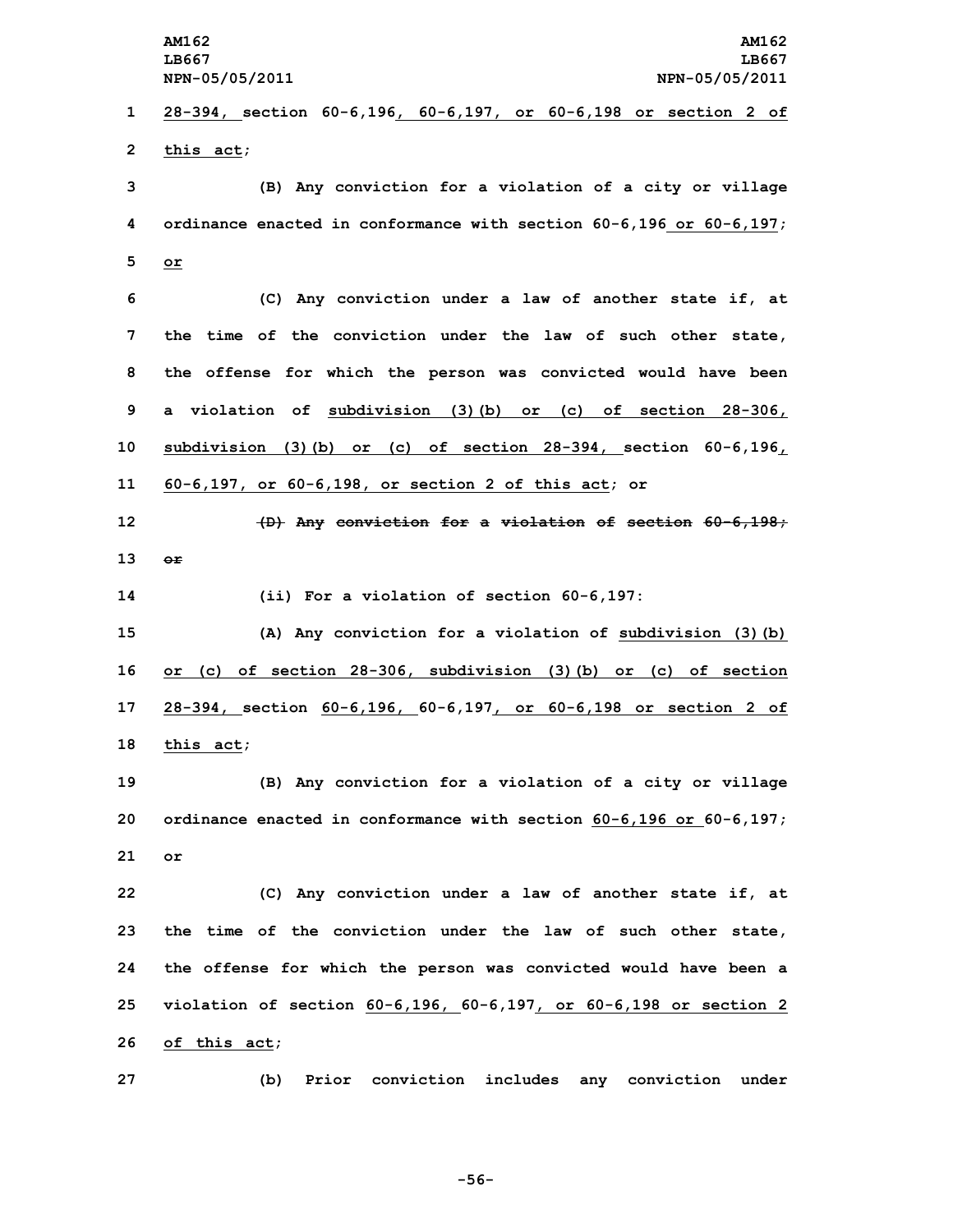**AM162 AM162 LB667 LB667 NPN-05/05/2011 NPN-05/05/2011 28-394, section 60-6,196, 60-6,197, or 60-6,198 or section 2 of this act; (B) Any conviction for <sup>a</sup> violation of <sup>a</sup> city or village ordinance enacted in conformance with section 60-6,196 or 60-6,197; 5 or (C) Any conviction under <sup>a</sup> law of another state if, at the time of the conviction under the law of such other state, the offense for which the person was convicted would have been <sup>a</sup> violation of subdivision (3)(b) or (c) of section 28-306, subdivision (3)(b) or (c) of section 28-394, section 60-6,196, 60-6,197, or 60-6,198, or section 2 of this act; or (D) Any conviction for <sup>a</sup> violation of section 60-6,198; 13 or (ii) For <sup>a</sup> violation of section 60-6,197: (A) Any conviction for <sup>a</sup> violation of subdivision (3)(b) or (c) of section 28-306, subdivision (3)(b) or (c) of section 28-394, section 60-6,196, 60-6,197, or 60-6,198 or section 2 of this act; (B) Any conviction for <sup>a</sup> violation of <sup>a</sup> city or village ordinance enacted in conformance with section 60-6,196 or 60-6,197; 21 or (C) Any conviction under <sup>a</sup> law of another state if, at the time of the conviction under the law of such other state, the offense for which the person was convicted would have been <sup>a</sup> violation of section 60-6,196, 60-6,197, or 60-6,198 or section 2 of this act; (b) Prior conviction includes any conviction under**

**-56-**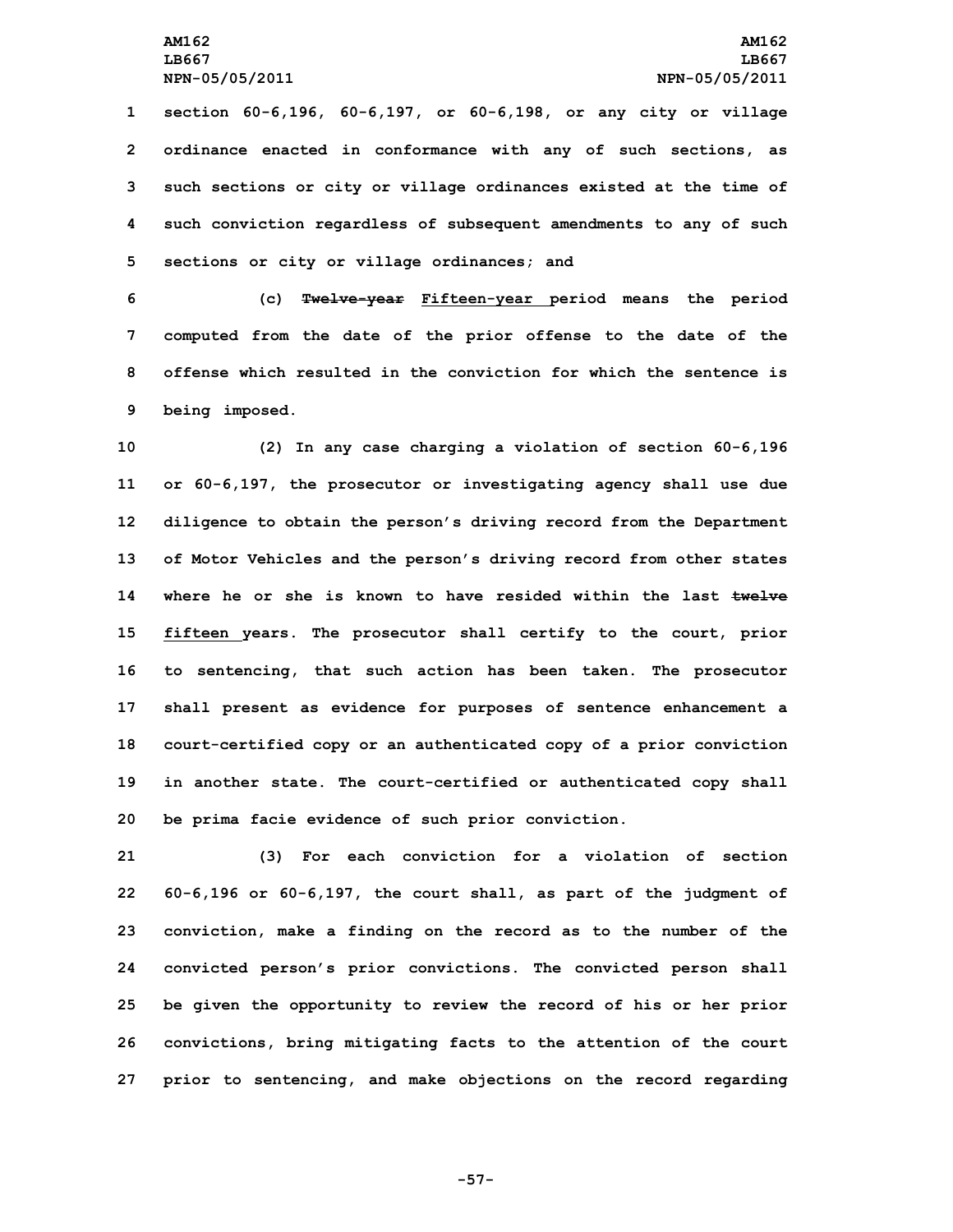**section 60-6,196, 60-6,197, or 60-6,198, or any city or village ordinance enacted in conformance with any of such sections, as such sections or city or village ordinances existed at the time of such conviction regardless of subsequent amendments to any of such sections or city or village ordinances; and**

 **(c) Twelve-year Fifteen-year period means the period computed from the date of the prior offense to the date of the offense which resulted in the conviction for which the sentence is being imposed.**

 **(2) In any case charging <sup>a</sup> violation of section 60-6,196 or 60-6,197, the prosecutor or investigating agency shall use due diligence to obtain the person's driving record from the Department of Motor Vehicles and the person's driving record from other states where he or she is known to have resided within the last twelve fifteen years. The prosecutor shall certify to the court, prior to sentencing, that such action has been taken. The prosecutor shall present as evidence for purposes of sentence enhancement <sup>a</sup> court-certified copy or an authenticated copy of <sup>a</sup> prior conviction in another state. The court-certified or authenticated copy shall be prima facie evidence of such prior conviction.**

 **(3) For each conviction for <sup>a</sup> violation of section 60-6,196 or 60-6,197, the court shall, as part of the judgment of conviction, make <sup>a</sup> finding on the record as to the number of the convicted person's prior convictions. The convicted person shall be given the opportunity to review the record of his or her prior convictions, bring mitigating facts to the attention of the court prior to sentencing, and make objections on the record regarding**

**-57-**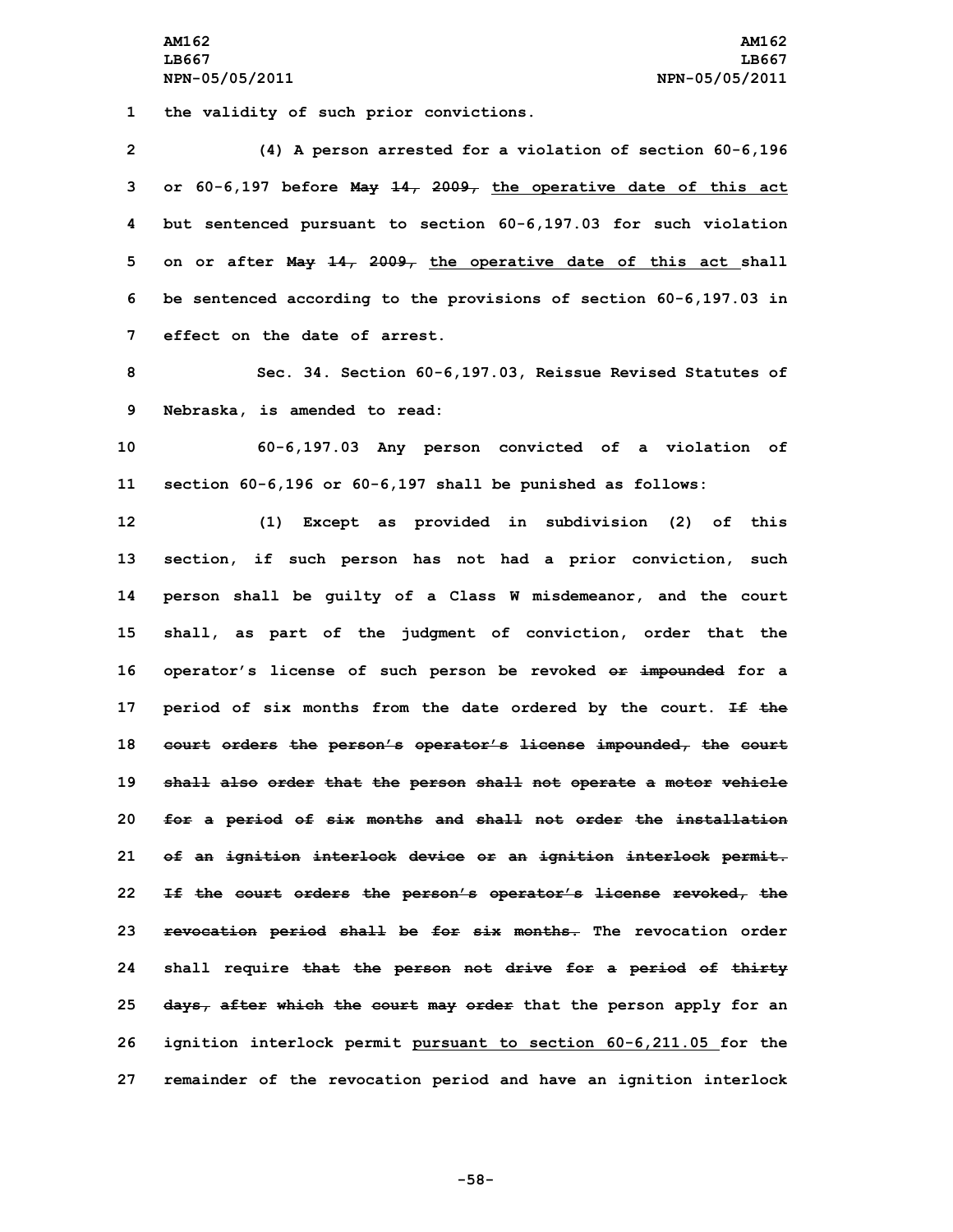**1 the validity of such prior convictions.**

 **(4) <sup>A</sup> person arrested for <sup>a</sup> violation of section 60-6,196 or 60-6,197 before May 14, 2009, the operative date of this act but sentenced pursuant to section 60-6,197.03 for such violation on or after May 14, 2009, the operative date of this act shall be sentenced according to the provisions of section 60-6,197.03 in effect on the date of arrest.**

**8 Sec. 34. Section 60-6,197.03, Reissue Revised Statutes of 9 Nebraska, is amended to read:**

**10 60-6,197.03 Any person convicted of <sup>a</sup> violation of 11 section 60-6,196 or 60-6,197 shall be punished as follows:**

 **(1) Except as provided in subdivision (2) of this section, if such person has not had <sup>a</sup> prior conviction, such person shall be guilty of <sup>a</sup> Class <sup>W</sup> misdemeanor, and the court shall, as part of the judgment of conviction, order that the operator's license of such person be revoked or impounded for <sup>a</sup> period of six months from the date ordered by the court. If the court orders the person's operator's license impounded, the court shall also order that the person shall not operate <sup>a</sup> motor vehicle for <sup>a</sup> period of six months and shall not order the installation of an ignition interlock device or an ignition interlock permit. If the court orders the person's operator's license revoked, the revocation period shall be for six months. The revocation order shall require that the person not drive for <sup>a</sup> period of thirty days, after which the court may order that the person apply for an ignition interlock permit pursuant to section 60-6,211.05 for the remainder of the revocation period and have an ignition interlock**

**-58-**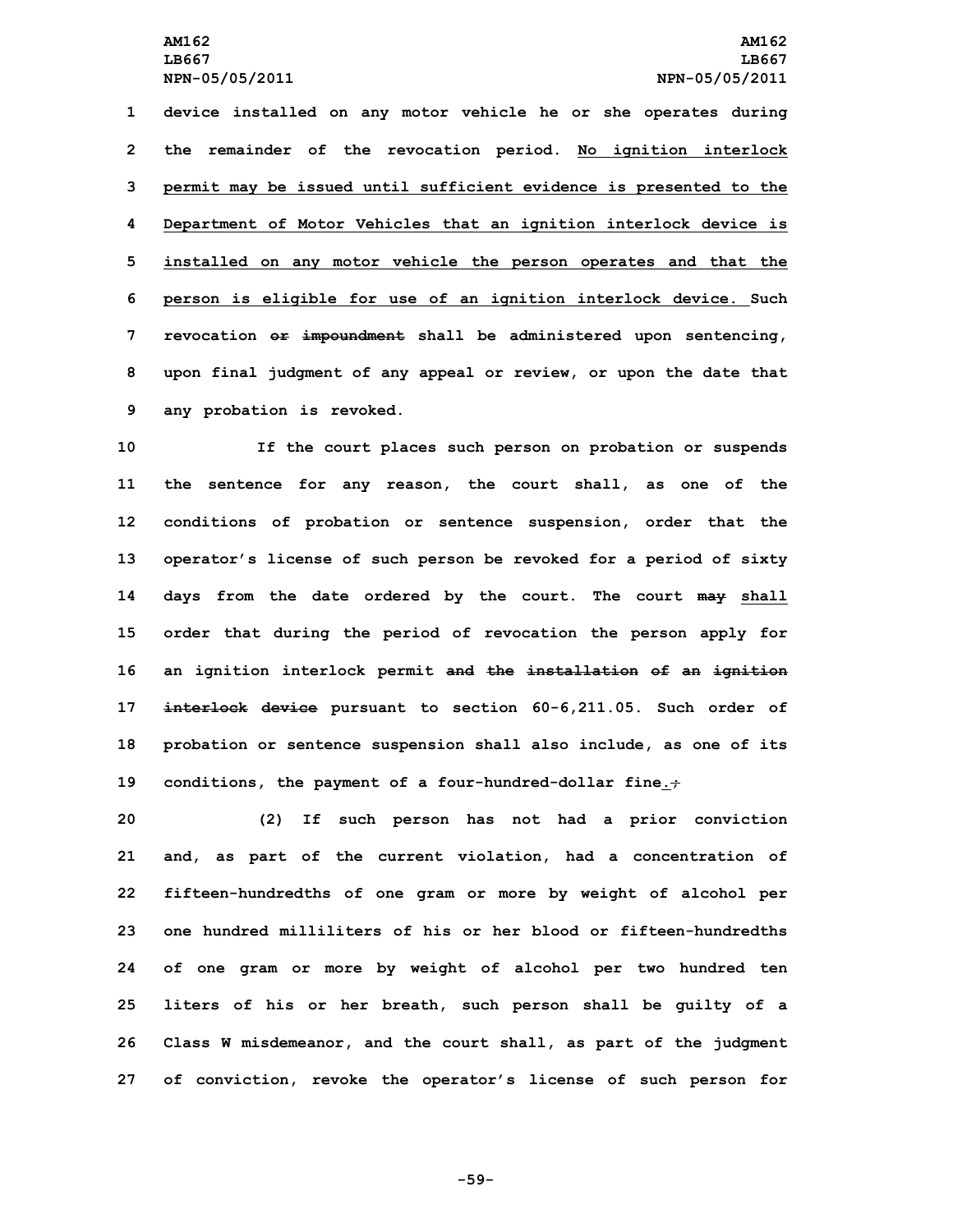**device installed on any motor vehicle he or she operates during the remainder of the revocation period. No ignition interlock permit may be issued until sufficient evidence is presented to the Department of Motor Vehicles that an ignition interlock device is installed on any motor vehicle the person operates and that the person is eligible for use of an ignition interlock device. Such revocation or impoundment shall be administered upon sentencing, upon final judgment of any appeal or review, or upon the date that any probation is revoked.**

 **If the court places such person on probation or suspends the sentence for any reason, the court shall, as one of the conditions of probation or sentence suspension, order that the operator's license of such person be revoked for <sup>a</sup> period of sixty days from the date ordered by the court. The court may shall order that during the period of revocation the person apply for an ignition interlock permit and the installation of an ignition interlock device pursuant to section 60-6,211.05. Such order of probation or sentence suspension shall also include, as one of its conditions, the payment of <sup>a</sup> four-hundred-dollar fine.;**

 **(2) If such person has not had <sup>a</sup> prior conviction and, as part of the current violation, had <sup>a</sup> concentration of fifteen-hundredths of one gram or more by weight of alcohol per one hundred milliliters of his or her blood or fifteen-hundredths of one gram or more by weight of alcohol per two hundred ten liters of his or her breath, such person shall be guilty of <sup>a</sup> Class <sup>W</sup> misdemeanor, and the court shall, as part of the judgment of conviction, revoke the operator's license of such person for**

**-59-**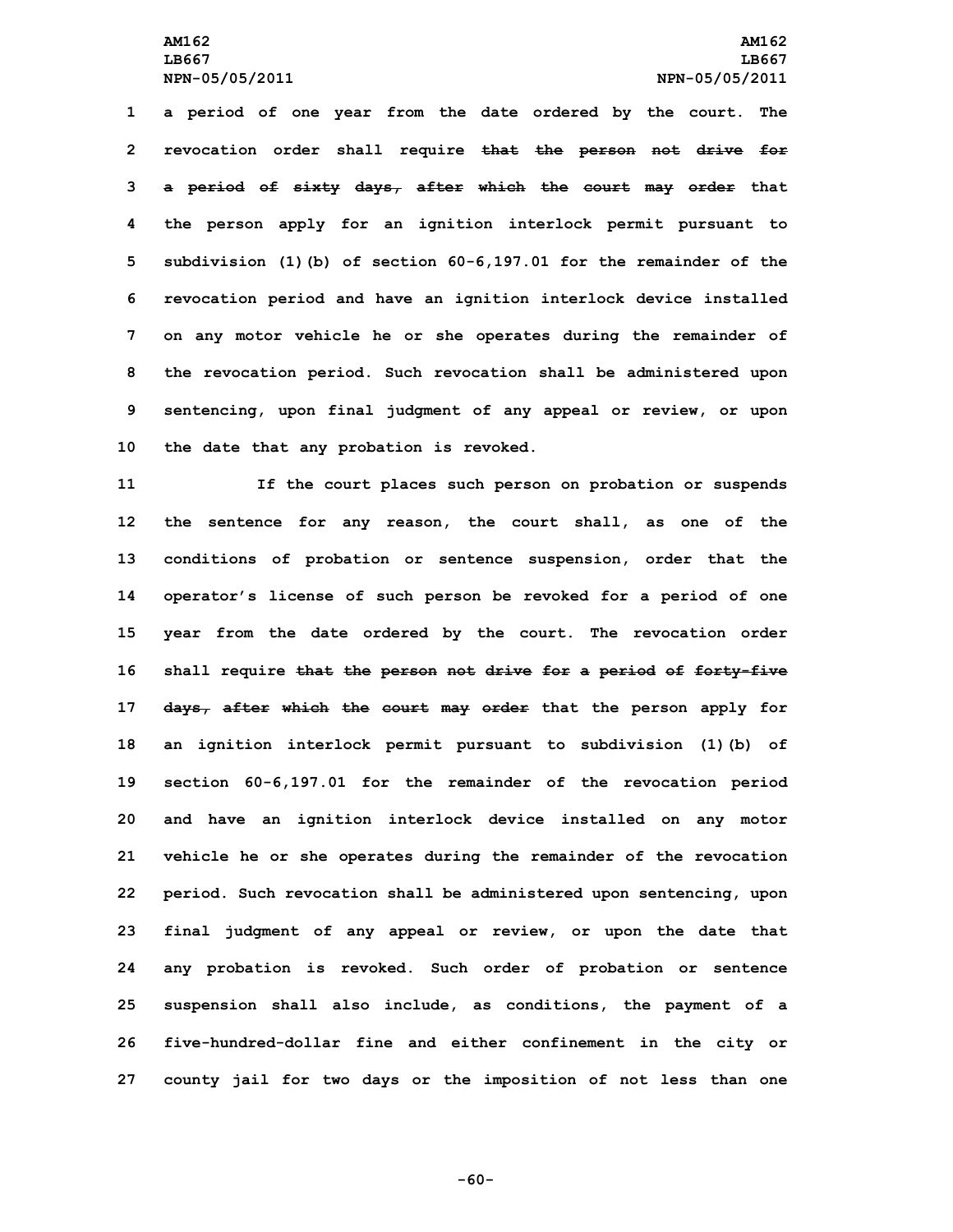**<sup>a</sup> period of one year from the date ordered by the court. The revocation order shall require that the person not drive for <sup>a</sup> period of sixty days, after which the court may order that the person apply for an ignition interlock permit pursuant to subdivision (1)(b) of section 60-6,197.01 for the remainder of the revocation period and have an ignition interlock device installed on any motor vehicle he or she operates during the remainder of the revocation period. Such revocation shall be administered upon sentencing, upon final judgment of any appeal or review, or upon the date that any probation is revoked.**

 **If the court places such person on probation or suspends the sentence for any reason, the court shall, as one of the conditions of probation or sentence suspension, order that the operator's license of such person be revoked for <sup>a</sup> period of one year from the date ordered by the court. The revocation order shall require that the person not drive for <sup>a</sup> period of forty-five days, after which the court may order that the person apply for an ignition interlock permit pursuant to subdivision (1)(b) of section 60-6,197.01 for the remainder of the revocation period and have an ignition interlock device installed on any motor vehicle he or she operates during the remainder of the revocation period. Such revocation shall be administered upon sentencing, upon final judgment of any appeal or review, or upon the date that any probation is revoked. Such order of probation or sentence suspension shall also include, as conditions, the payment of <sup>a</sup> five-hundred-dollar fine and either confinement in the city or county jail for two days or the imposition of not less than one**

**-60-**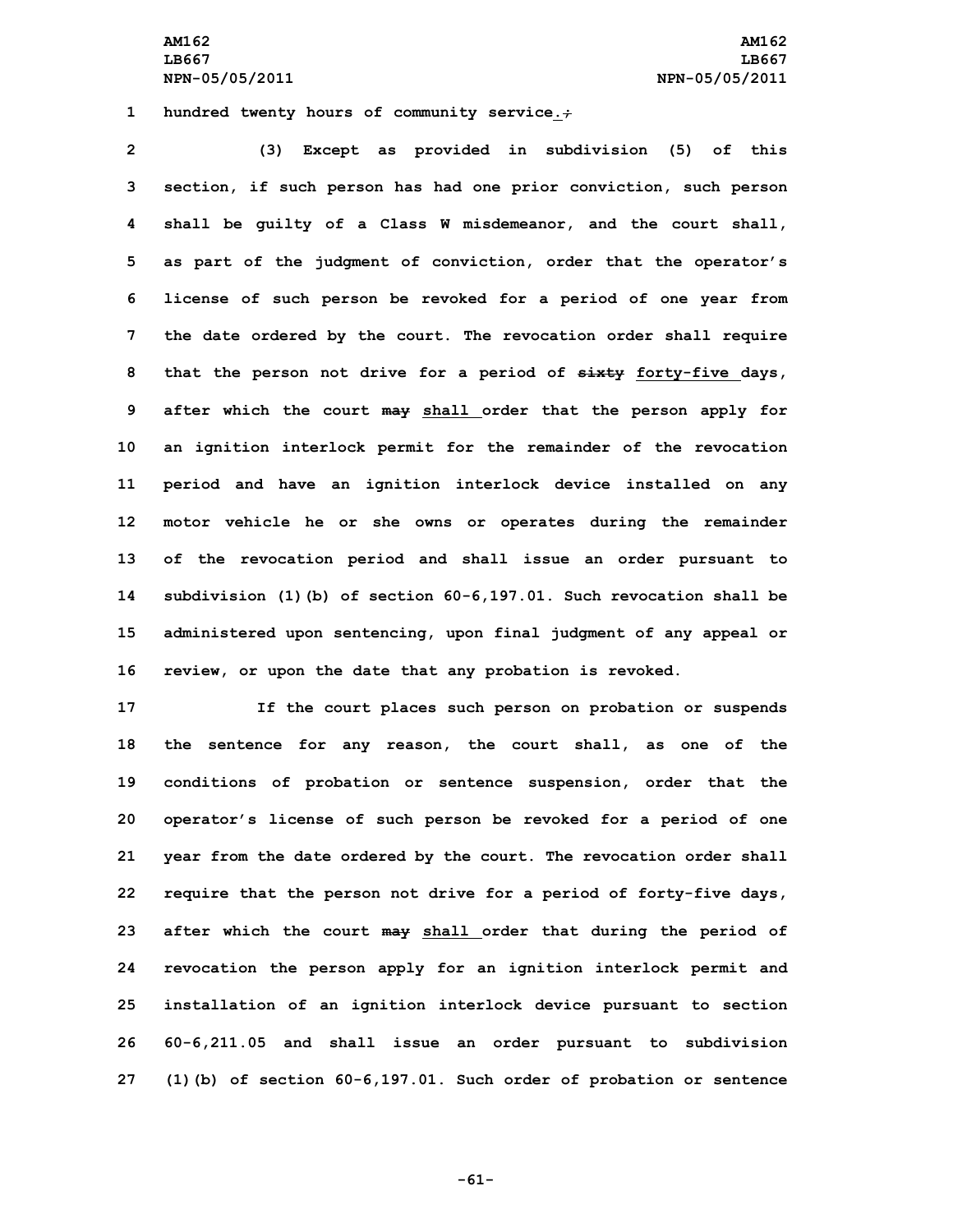**AM162 AM162 LB667 LB667 NPN-05/05/2011 NPN-05/05/2011**

**1 hundred twenty hours of community service.;**

 **(3) Except as provided in subdivision (5) of this section, if such person has had one prior conviction, such person shall be guilty of <sup>a</sup> Class W misdemeanor, and the court shall, as part of the judgment of conviction, order that the operator's license of such person be revoked for <sup>a</sup> period of one year from the date ordered by the court. The revocation order shall require that the person not drive for <sup>a</sup> period of sixty forty-five days, after which the court may shall order that the person apply for an ignition interlock permit for the remainder of the revocation period and have an ignition interlock device installed on any motor vehicle he or she owns or operates during the remainder of the revocation period and shall issue an order pursuant to subdivision (1)(b) of section 60-6,197.01. Such revocation shall be administered upon sentencing, upon final judgment of any appeal or review, or upon the date that any probation is revoked.**

 **If the court places such person on probation or suspends the sentence for any reason, the court shall, as one of the conditions of probation or sentence suspension, order that the operator's license of such person be revoked for <sup>a</sup> period of one year from the date ordered by the court. The revocation order shall require that the person not drive for <sup>a</sup> period of forty-five days, after which the court may shall order that during the period of revocation the person apply for an ignition interlock permit and installation of an ignition interlock device pursuant to section 60-6,211.05 and shall issue an order pursuant to subdivision (1)(b) of section 60-6,197.01. Such order of probation or sentence**

**-61-**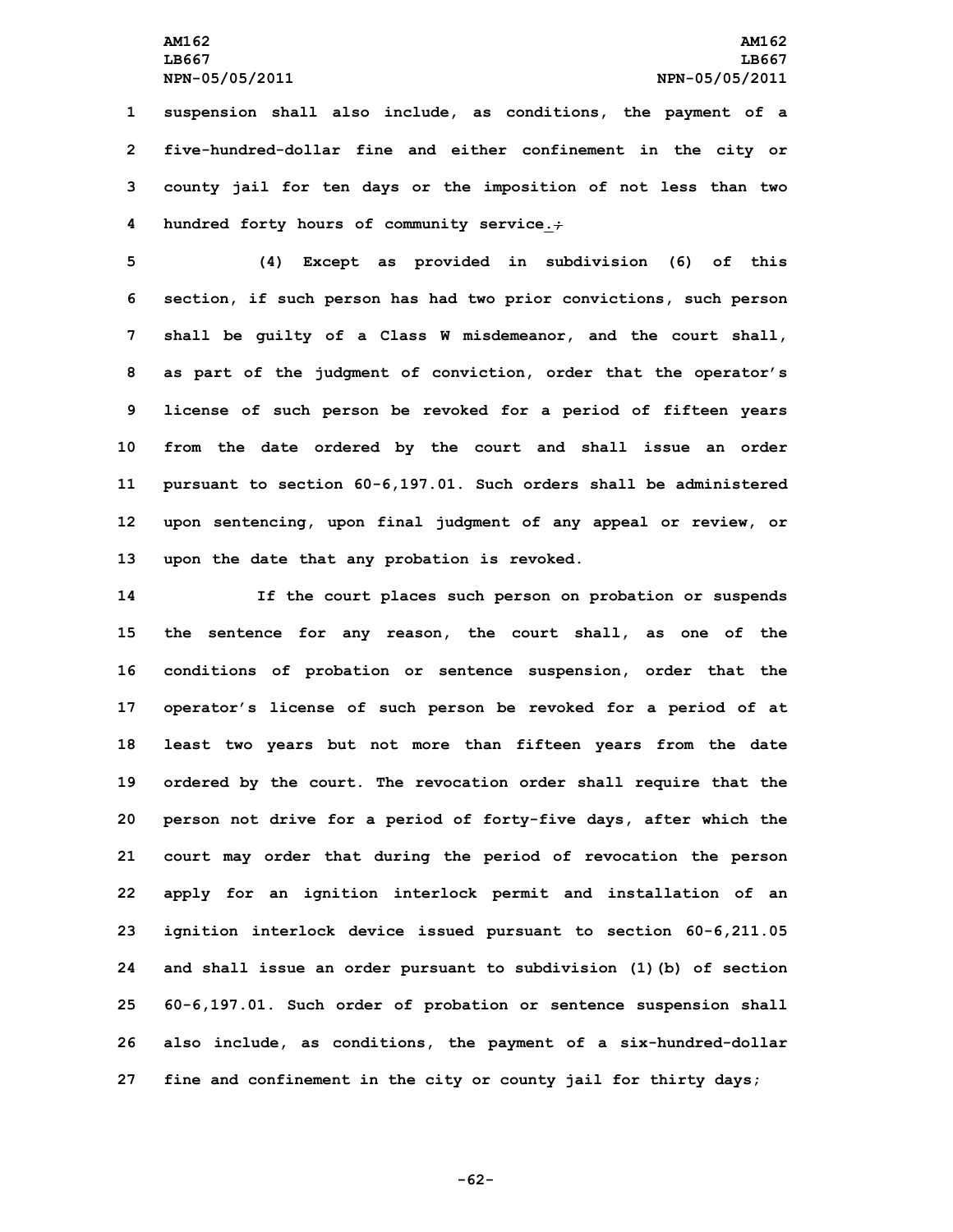**suspension shall also include, as conditions, the payment of <sup>a</sup> five-hundred-dollar fine and either confinement in the city or county jail for ten days or the imposition of not less than two hundred forty hours of community service.;**

 **(4) Except as provided in subdivision (6) of this section, if such person has had two prior convictions, such person shall be guilty of <sup>a</sup> Class W misdemeanor, and the court shall, as part of the judgment of conviction, order that the operator's license of such person be revoked for <sup>a</sup> period of fifteen years from the date ordered by the court and shall issue an order pursuant to section 60-6,197.01. Such orders shall be administered upon sentencing, upon final judgment of any appeal or review, or upon the date that any probation is revoked.**

 **If the court places such person on probation or suspends the sentence for any reason, the court shall, as one of the conditions of probation or sentence suspension, order that the operator's license of such person be revoked for <sup>a</sup> period of at least two years but not more than fifteen years from the date ordered by the court. The revocation order shall require that the person not drive for <sup>a</sup> period of forty-five days, after which the court may order that during the period of revocation the person apply for an ignition interlock permit and installation of an ignition interlock device issued pursuant to section 60-6,211.05 and shall issue an order pursuant to subdivision (1)(b) of section 60-6,197.01. Such order of probation or sentence suspension shall also include, as conditions, the payment of <sup>a</sup> six-hundred-dollar fine and confinement in the city or county jail for thirty days;**

**-62-**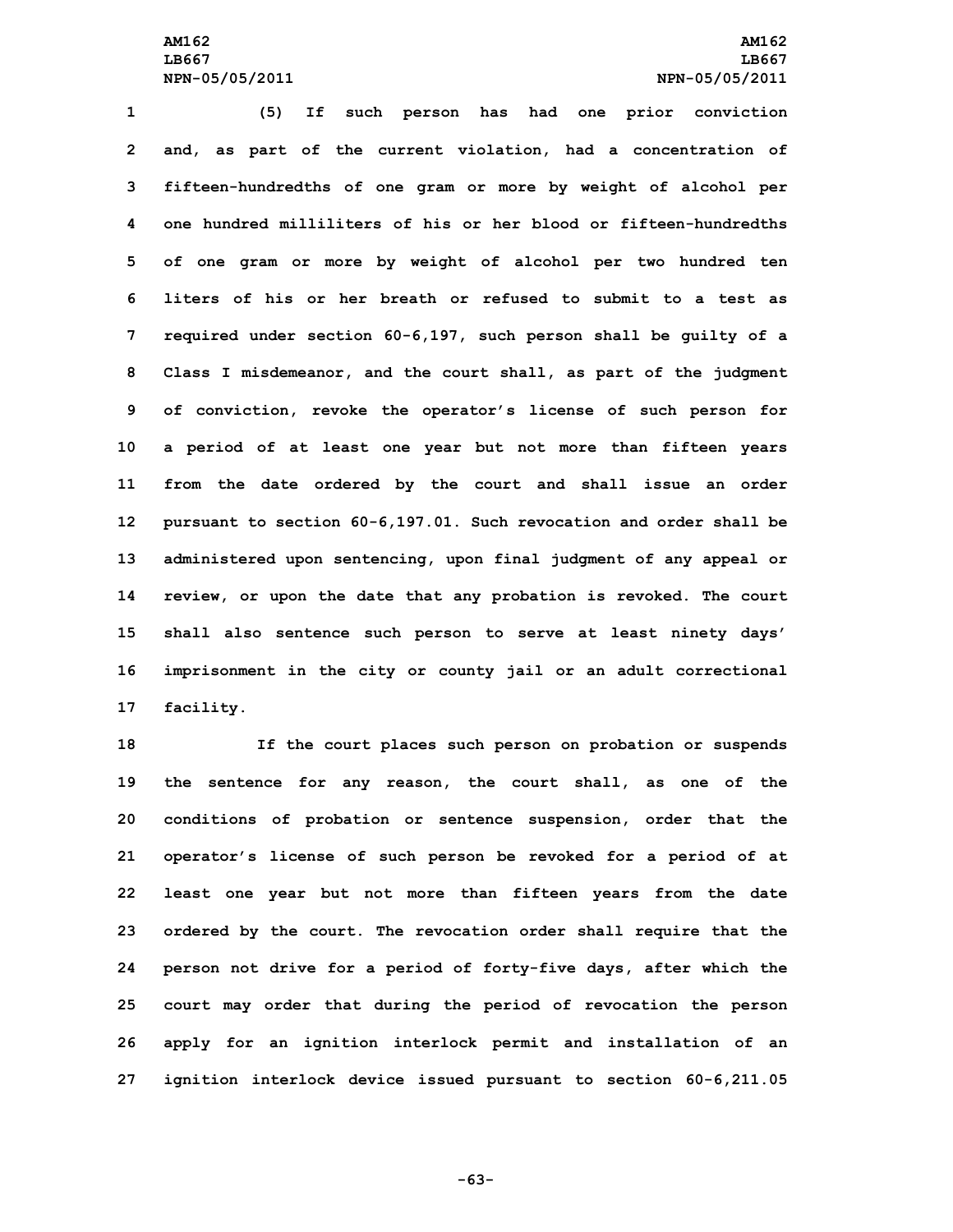**(5) If such person has had one prior conviction and, as part of the current violation, had <sup>a</sup> concentration of fifteen-hundredths of one gram or more by weight of alcohol per one hundred milliliters of his or her blood or fifteen-hundredths of one gram or more by weight of alcohol per two hundred ten liters of his or her breath or refused to submit to a test as required under section 60-6,197, such person shall be guilty of <sup>a</sup> Class <sup>I</sup> misdemeanor, and the court shall, as part of the judgment of conviction, revoke the operator's license of such person for <sup>a</sup> period of at least one year but not more than fifteen years from the date ordered by the court and shall issue an order pursuant to section 60-6,197.01. Such revocation and order shall be administered upon sentencing, upon final judgment of any appeal or review, or upon the date that any probation is revoked. The court shall also sentence such person to serve at least ninety days' imprisonment in the city or county jail or an adult correctional facility.**

 **If the court places such person on probation or suspends the sentence for any reason, the court shall, as one of the conditions of probation or sentence suspension, order that the operator's license of such person be revoked for <sup>a</sup> period of at least one year but not more than fifteen years from the date ordered by the court. The revocation order shall require that the person not drive for <sup>a</sup> period of forty-five days, after which the court may order that during the period of revocation the person apply for an ignition interlock permit and installation of an ignition interlock device issued pursuant to section 60-6,211.05**

**-63-**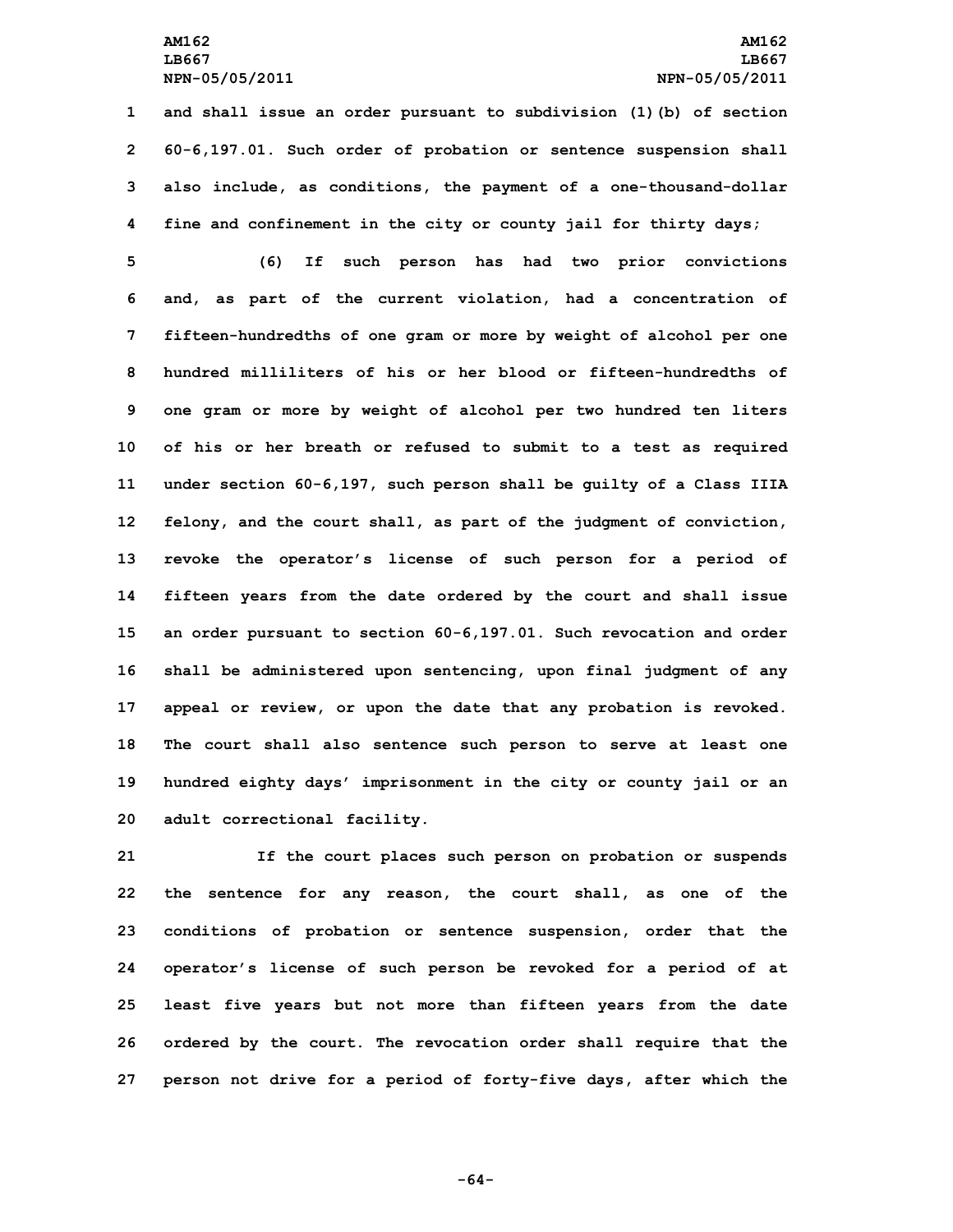**and shall issue an order pursuant to subdivision (1)(b) of section 60-6,197.01. Such order of probation or sentence suspension shall also include, as conditions, the payment of <sup>a</sup> one-thousand-dollar fine and confinement in the city or county jail for thirty days;**

 **(6) If such person has had two prior convictions and, as part of the current violation, had <sup>a</sup> concentration of fifteen-hundredths of one gram or more by weight of alcohol per one hundred milliliters of his or her blood or fifteen-hundredths of one gram or more by weight of alcohol per two hundred ten liters of his or her breath or refused to submit to <sup>a</sup> test as required under section 60-6,197, such person shall be guilty of <sup>a</sup> Class IIIA felony, and the court shall, as part of the judgment of conviction, revoke the operator's license of such person for <sup>a</sup> period of fifteen years from the date ordered by the court and shall issue an order pursuant to section 60-6,197.01. Such revocation and order shall be administered upon sentencing, upon final judgment of any appeal or review, or upon the date that any probation is revoked. The court shall also sentence such person to serve at least one hundred eighty days' imprisonment in the city or county jail or an adult correctional facility.**

 **If the court places such person on probation or suspends the sentence for any reason, the court shall, as one of the conditions of probation or sentence suspension, order that the operator's license of such person be revoked for <sup>a</sup> period of at least five years but not more than fifteen years from the date ordered by the court. The revocation order shall require that the person not drive for <sup>a</sup> period of forty-five days, after which the**

**-64-**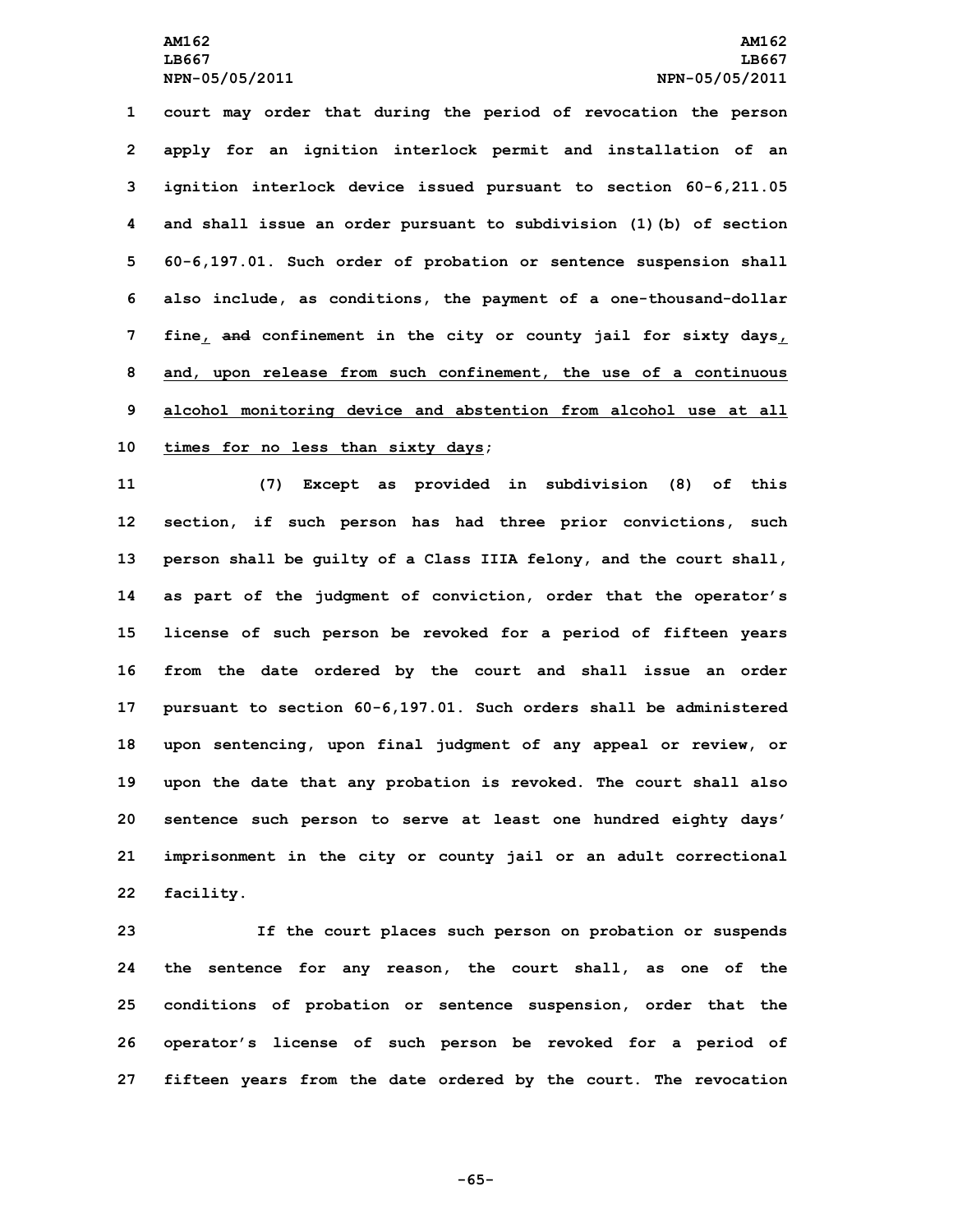**court may order that during the period of revocation the person apply for an ignition interlock permit and installation of an ignition interlock device issued pursuant to section 60-6,211.05 and shall issue an order pursuant to subdivision (1)(b) of section 60-6,197.01. Such order of probation or sentence suspension shall also include, as conditions, the payment of <sup>a</sup> one-thousand-dollar fine, and confinement in the city or county jail for sixty days, and, upon release from such confinement, the use of <sup>a</sup> continuous alcohol monitoring device and abstention from alcohol use at all times for no less than sixty days;**

 **(7) Except as provided in subdivision (8) of this section, if such person has had three prior convictions, such person shall be guilty of <sup>a</sup> Class IIIA felony, and the court shall, as part of the judgment of conviction, order that the operator's license of such person be revoked for <sup>a</sup> period of fifteen years from the date ordered by the court and shall issue an order pursuant to section 60-6,197.01. Such orders shall be administered upon sentencing, upon final judgment of any appeal or review, or upon the date that any probation is revoked. The court shall also sentence such person to serve at least one hundred eighty days' imprisonment in the city or county jail or an adult correctional facility.**

 **If the court places such person on probation or suspends the sentence for any reason, the court shall, as one of the conditions of probation or sentence suspension, order that the operator's license of such person be revoked for <sup>a</sup> period of fifteen years from the date ordered by the court. The revocation**

**-65-**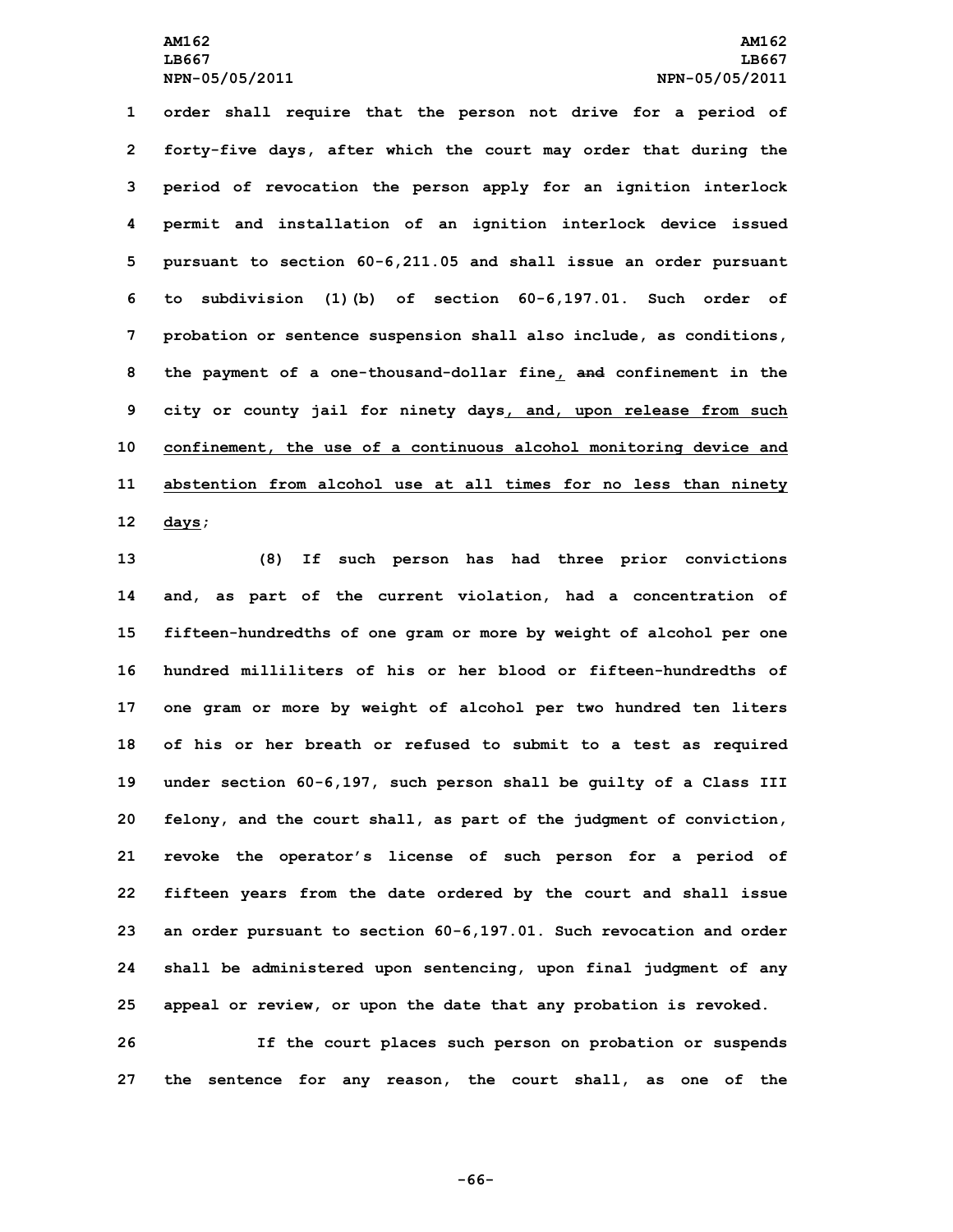**order shall require that the person not drive for <sup>a</sup> period of forty-five days, after which the court may order that during the period of revocation the person apply for an ignition interlock permit and installation of an ignition interlock device issued pursuant to section 60-6,211.05 and shall issue an order pursuant to subdivision (1)(b) of section 60-6,197.01. Such order of probation or sentence suspension shall also include, as conditions, the payment of <sup>a</sup> one-thousand-dollar fine, and confinement in the city or county jail for ninety days, and, upon release from such confinement, the use of <sup>a</sup> continuous alcohol monitoring device and abstention from alcohol use at all times for no less than ninety 12 days;**

 **(8) If such person has had three prior convictions and, as part of the current violation, had <sup>a</sup> concentration of fifteen-hundredths of one gram or more by weight of alcohol per one hundred milliliters of his or her blood or fifteen-hundredths of one gram or more by weight of alcohol per two hundred ten liters of his or her breath or refused to submit to <sup>a</sup> test as required under section 60-6,197, such person shall be guilty of <sup>a</sup> Class III felony, and the court shall, as part of the judgment of conviction, revoke the operator's license of such person for <sup>a</sup> period of fifteen years from the date ordered by the court and shall issue an order pursuant to section 60-6,197.01. Such revocation and order shall be administered upon sentencing, upon final judgment of any appeal or review, or upon the date that any probation is revoked.**

**26 If the court places such person on probation or suspends 27 the sentence for any reason, the court shall, as one of the**

**-66-**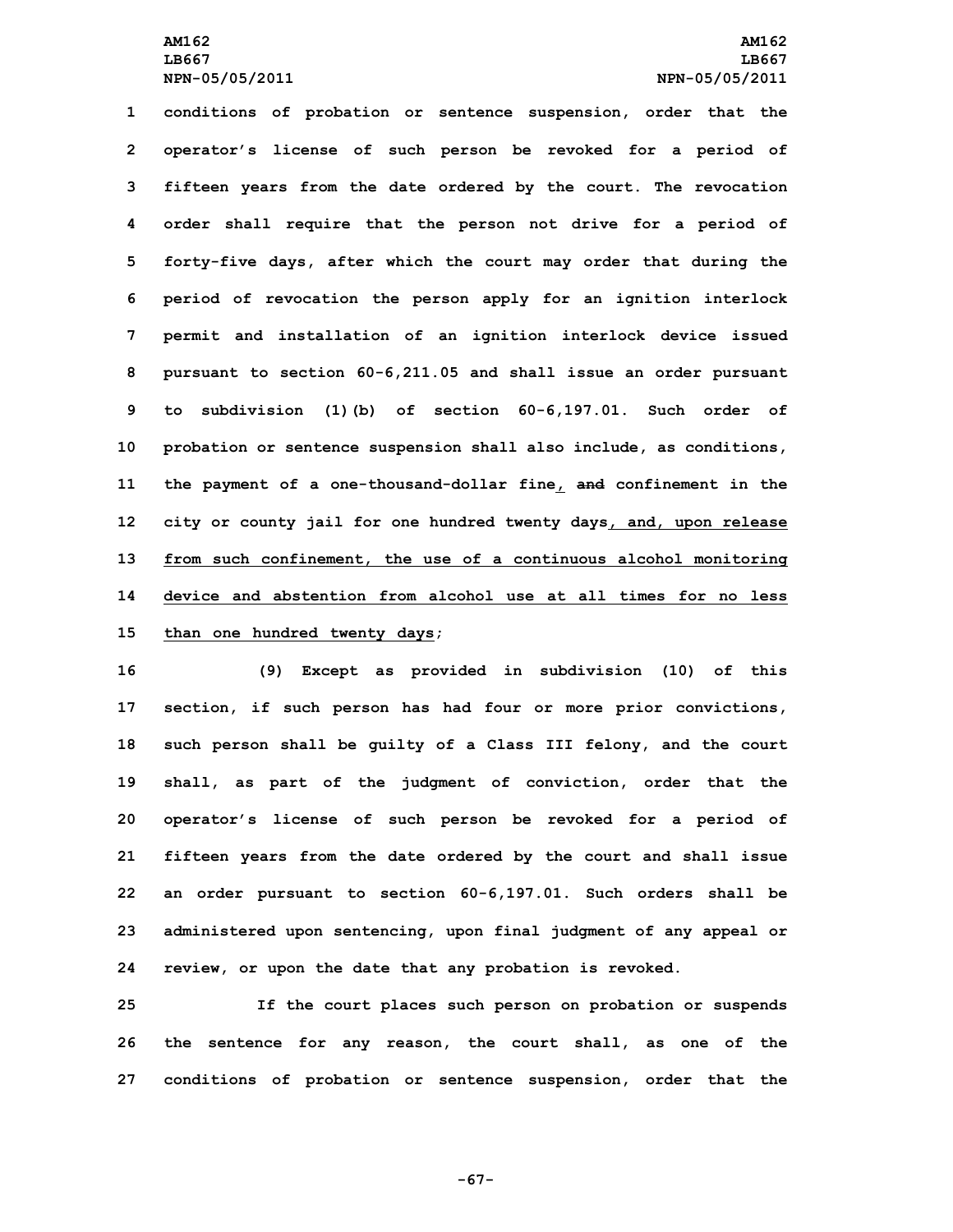## **AM162 AM162 LB667 LB667 NPN-05/05/2011 NPN-05/05/2011**

 **conditions of probation or sentence suspension, order that the operator's license of such person be revoked for <sup>a</sup> period of fifteen years from the date ordered by the court. The revocation order shall require that the person not drive for <sup>a</sup> period of forty-five days, after which the court may order that during the period of revocation the person apply for an ignition interlock permit and installation of an ignition interlock device issued pursuant to section 60-6,211.05 and shall issue an order pursuant to subdivision (1)(b) of section 60-6,197.01. Such order of probation or sentence suspension shall also include, as conditions, the payment of <sup>a</sup> one-thousand-dollar fine, and confinement in the city or county jail for one hundred twenty days, and, upon release from such confinement, the use of <sup>a</sup> continuous alcohol monitoring device and abstention from alcohol use at all times for no less than one hundred twenty days;**

 **(9) Except as provided in subdivision (10) of this section, if such person has had four or more prior convictions, such person shall be guilty of <sup>a</sup> Class III felony, and the court shall, as part of the judgment of conviction, order that the operator's license of such person be revoked for <sup>a</sup> period of fifteen years from the date ordered by the court and shall issue an order pursuant to section 60-6,197.01. Such orders shall be administered upon sentencing, upon final judgment of any appeal or review, or upon the date that any probation is revoked.**

**25 If the court places such person on probation or suspends 26 the sentence for any reason, the court shall, as one of the 27 conditions of probation or sentence suspension, order that the**

**-67-**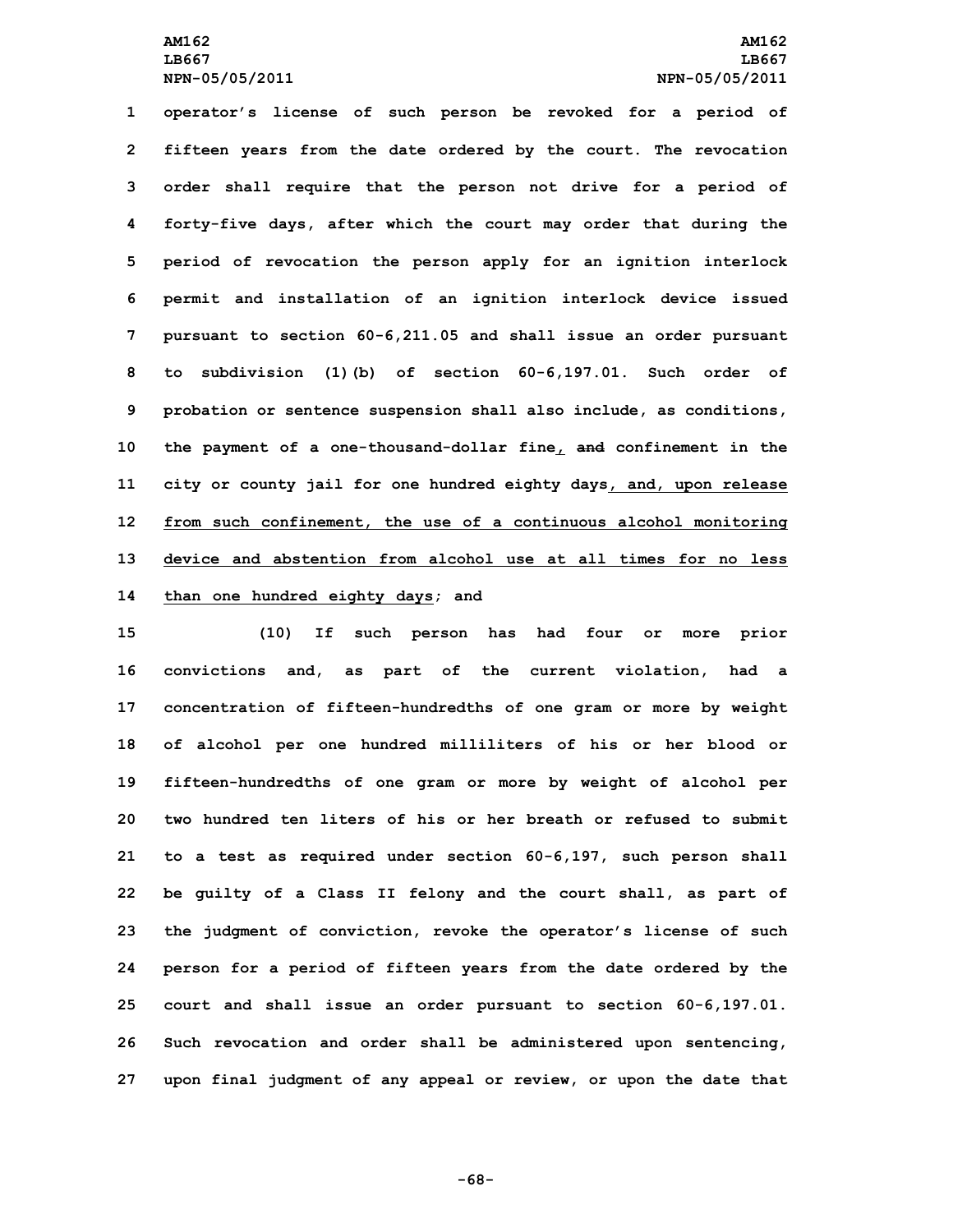**operator's license of such person be revoked for <sup>a</sup> period of fifteen years from the date ordered by the court. The revocation order shall require that the person not drive for <sup>a</sup> period of forty-five days, after which the court may order that during the period of revocation the person apply for an ignition interlock permit and installation of an ignition interlock device issued pursuant to section 60-6,211.05 and shall issue an order pursuant to subdivision (1)(b) of section 60-6,197.01. Such order of probation or sentence suspension shall also include, as conditions, the payment of <sup>a</sup> one-thousand-dollar fine, and confinement in the city or county jail for one hundred eighty days, and, upon release from such confinement, the use of <sup>a</sup> continuous alcohol monitoring device and abstention from alcohol use at all times for no less than one hundred eighty days; and**

 **(10) If such person has had four or more prior convictions and, as part of the current violation, had <sup>a</sup> concentration of fifteen-hundredths of one gram or more by weight of alcohol per one hundred milliliters of his or her blood or fifteen-hundredths of one gram or more by weight of alcohol per two hundred ten liters of his or her breath or refused to submit to <sup>a</sup> test as required under section 60-6,197, such person shall be guilty of <sup>a</sup> Class II felony and the court shall, as part of the judgment of conviction, revoke the operator's license of such person for <sup>a</sup> period of fifteen years from the date ordered by the court and shall issue an order pursuant to section 60-6,197.01. Such revocation and order shall be administered upon sentencing, upon final judgment of any appeal or review, or upon the date that**

**-68-**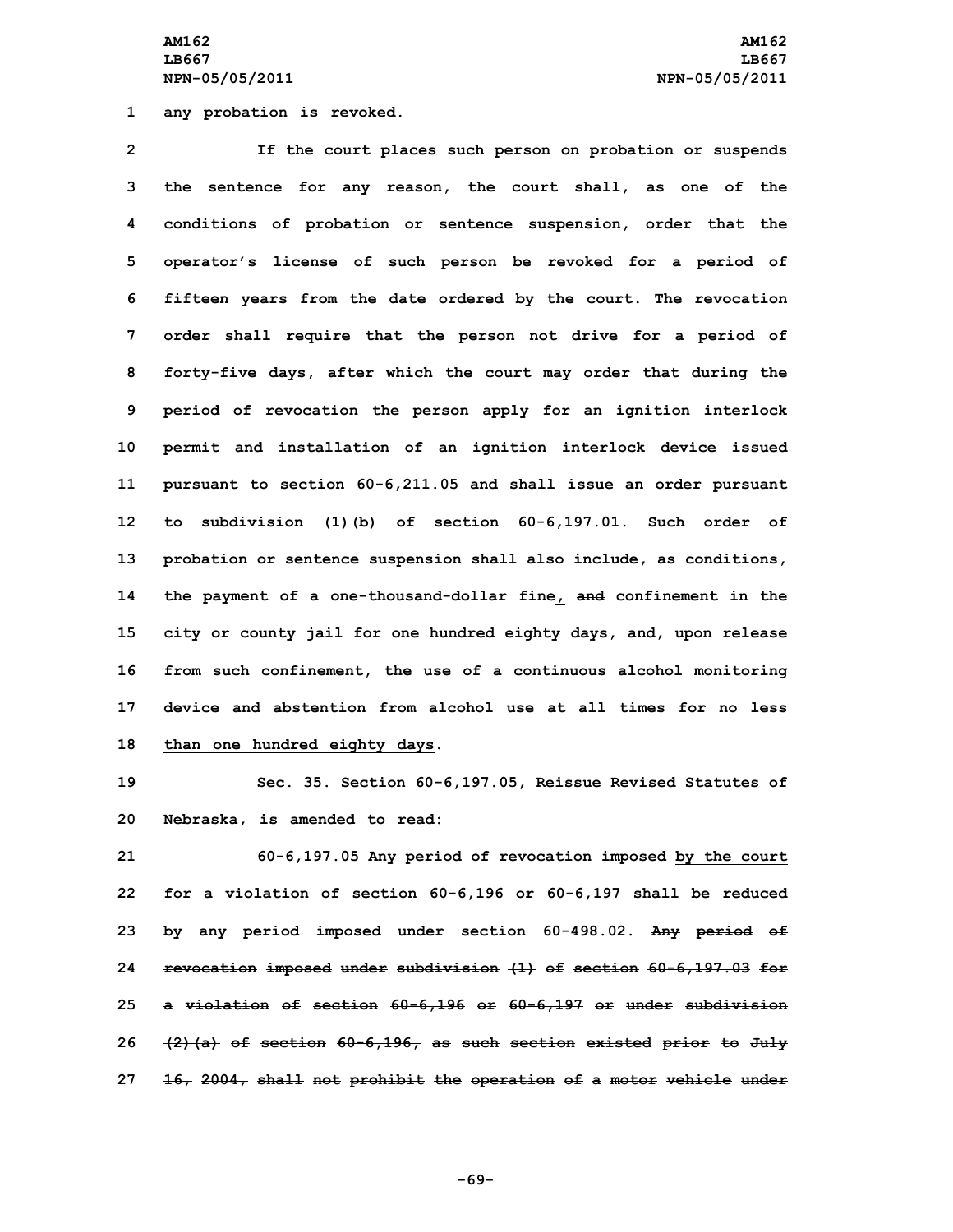**AM162 AM162 LB667 LB667 NPN-05/05/2011 NPN-05/05/2011**

**1 any probation is revoked.**

 **If the court places such person on probation or suspends the sentence for any reason, the court shall, as one of the conditions of probation or sentence suspension, order that the operator's license of such person be revoked for <sup>a</sup> period of fifteen years from the date ordered by the court. The revocation order shall require that the person not drive for <sup>a</sup> period of forty-five days, after which the court may order that during the period of revocation the person apply for an ignition interlock permit and installation of an ignition interlock device issued pursuant to section 60-6,211.05 and shall issue an order pursuant to subdivision (1)(b) of section 60-6,197.01. Such order of probation or sentence suspension shall also include, as conditions, the payment of <sup>a</sup> one-thousand-dollar fine, and confinement in the city or county jail for one hundred eighty days, and, upon release from such confinement, the use of <sup>a</sup> continuous alcohol monitoring device and abstention from alcohol use at all times for no less than one hundred eighty days.**

**19 Sec. 35. Section 60-6,197.05, Reissue Revised Statutes of 20 Nebraska, is amended to read:**

 **60-6,197.05 Any period of revocation imposed by the court for <sup>a</sup> violation of section 60-6,196 or 60-6,197 shall be reduced by any period imposed under section 60-498.02. Any period of revocation imposed under subdivision (1) of section 60-6,197.03 for <sup>a</sup> violation of section 60-6,196 or 60-6,197 or under subdivision (2)(a) of section 60-6,196, as such section existed prior to July 16, 2004, shall not prohibit the operation of <sup>a</sup> motor vehicle under**

**-69-**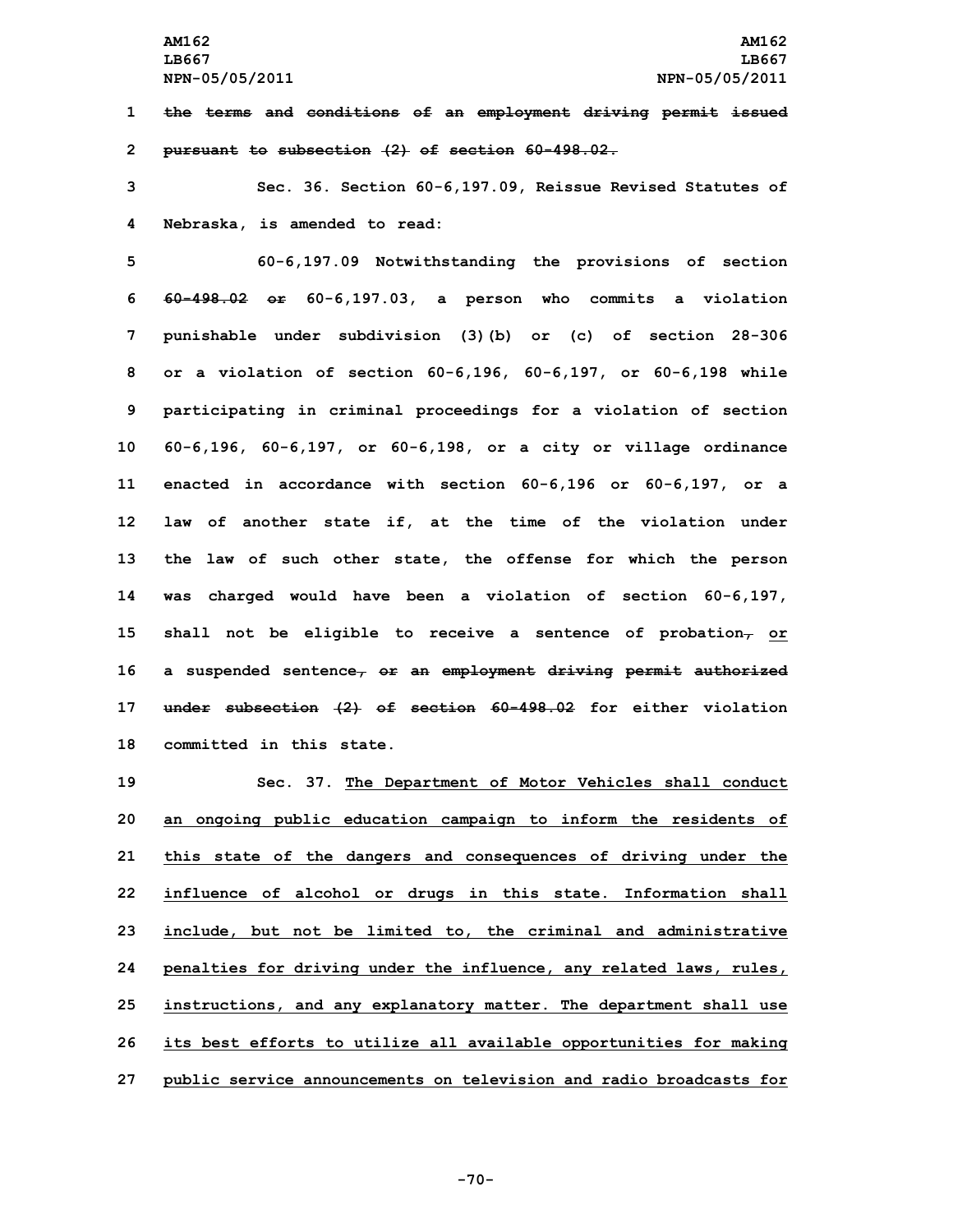**1 the terms and conditions of an employment driving permit issued 2 pursuant to subsection (2) of section 60-498.02.**

**3 Sec. 36. Section 60-6,197.09, Reissue Revised Statutes of 4 Nebraska, is amended to read:**

 **60-6,197.09 Notwithstanding the provisions of section 60-498.02 or 60-6,197.03, <sup>a</sup> person who commits <sup>a</sup> violation punishable under subdivision (3)(b) or (c) of section 28-306 or <sup>a</sup> violation of section 60-6,196, 60-6,197, or 60-6,198 while participating in criminal proceedings for <sup>a</sup> violation of section 60-6,196, 60-6,197, or 60-6,198, or <sup>a</sup> city or village ordinance enacted in accordance with section 60-6,196 or 60-6,197, or <sup>a</sup> law of another state if, at the time of the violation under the law of such other state, the offense for which the person was charged would have been <sup>a</sup> violation of section 60-6,197, shall not be eligible to receive <sup>a</sup> sentence of probation, or <sup>a</sup> suspended sentence, or an employment driving permit authorized under subsection (2) of section 60-498.02 for either violation committed in this state.**

 **Sec. 37. The Department of Motor Vehicles shall conduct an ongoing public education campaign to inform the residents of this state of the dangers and consequences of driving under the influence of alcohol or drugs in this state. Information shall include, but not be limited to, the criminal and administrative penalties for driving under the influence, any related laws, rules, instructions, and any explanatory matter. The department shall use its best efforts to utilize all available opportunities for making public service announcements on television and radio broadcasts for**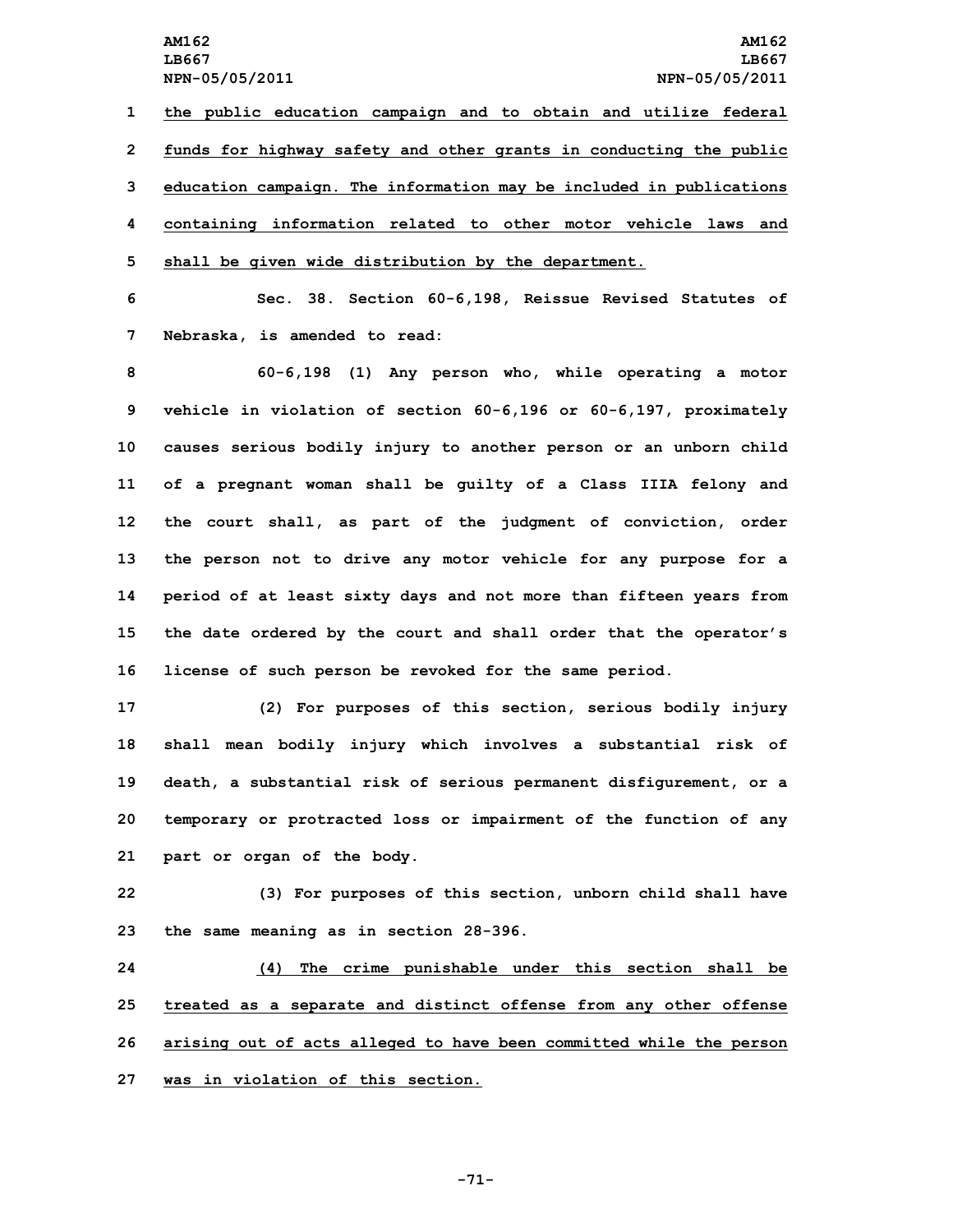**the public education campaign and to obtain and utilize federal funds for highway safety and other grants in conducting the public education campaign. The information may be included in publications containing information related to other motor vehicle laws and shall be given wide distribution by the department.**

**6 Sec. 38. Section 60-6,198, Reissue Revised Statutes of 7 Nebraska, is amended to read:**

 **60-6,198 (1) Any person who, while operating <sup>a</sup> motor vehicle in violation of section 60-6,196 or 60-6,197, proximately causes serious bodily injury to another person or an unborn child of <sup>a</sup> pregnant woman shall be guilty of <sup>a</sup> Class IIIA felony and the court shall, as part of the judgment of conviction, order the person not to drive any motor vehicle for any purpose for <sup>a</sup> period of at least sixty days and not more than fifteen years from the date ordered by the court and shall order that the operator's license of such person be revoked for the same period.**

 **(2) For purposes of this section, serious bodily injury shall mean bodily injury which involves <sup>a</sup> substantial risk of death, <sup>a</sup> substantial risk of serious permanent disfigurement, or <sup>a</sup> temporary or protracted loss or impairment of the function of any part or organ of the body.**

**22 (3) For purposes of this section, unborn child shall have 23 the same meaning as in section 28-396.**

 **(4) The crime punishable under this section shall be treated as <sup>a</sup> separate and distinct offense from any other offense arising out of acts alleged to have been committed while the person was in violation of this section.**

**-71-**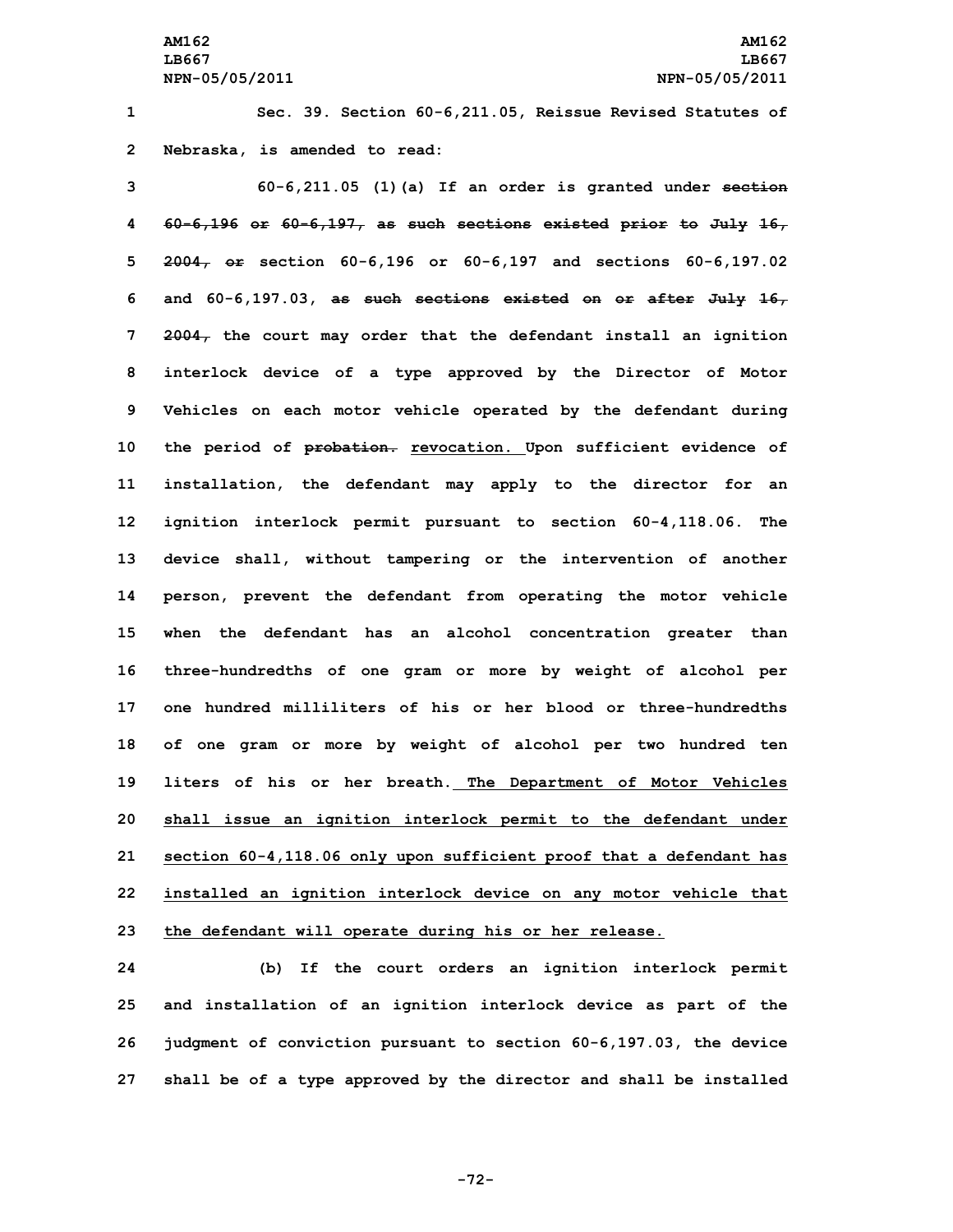**1 Sec. 39. Section 60-6,211.05, Reissue Revised Statutes of 2 Nebraska, is amended to read:**

 **60-6,211.05 (1)(a) If an order is granted under section 60-6,196 or 60-6,197, as such sections existed prior to July 16, 2004, or section 60-6,196 or 60-6,197 and sections 60-6,197.02 and 60-6,197.03, as such sections existed on or after July 16, 2004, the court may order that the defendant install an ignition interlock device of <sup>a</sup> type approved by the Director of Motor Vehicles on each motor vehicle operated by the defendant during the period of probation. revocation. Upon sufficient evidence of installation, the defendant may apply to the director for an ignition interlock permit pursuant to section 60-4,118.06. The device shall, without tampering or the intervention of another person, prevent the defendant from operating the motor vehicle when the defendant has an alcohol concentration greater than three-hundredths of one gram or more by weight of alcohol per one hundred milliliters of his or her blood or three-hundredths of one gram or more by weight of alcohol per two hundred ten liters of his or her breath. The Department of Motor Vehicles shall issue an ignition interlock permit to the defendant under section 60-4,118.06 only upon sufficient proof that <sup>a</sup> defendant has installed an ignition interlock device on any motor vehicle that the defendant will operate during his or her release.**

 **(b) If the court orders an ignition interlock permit and installation of an ignition interlock device as part of the judgment of conviction pursuant to section 60-6,197.03, the device shall be of <sup>a</sup> type approved by the director and shall be installed**

**-72-**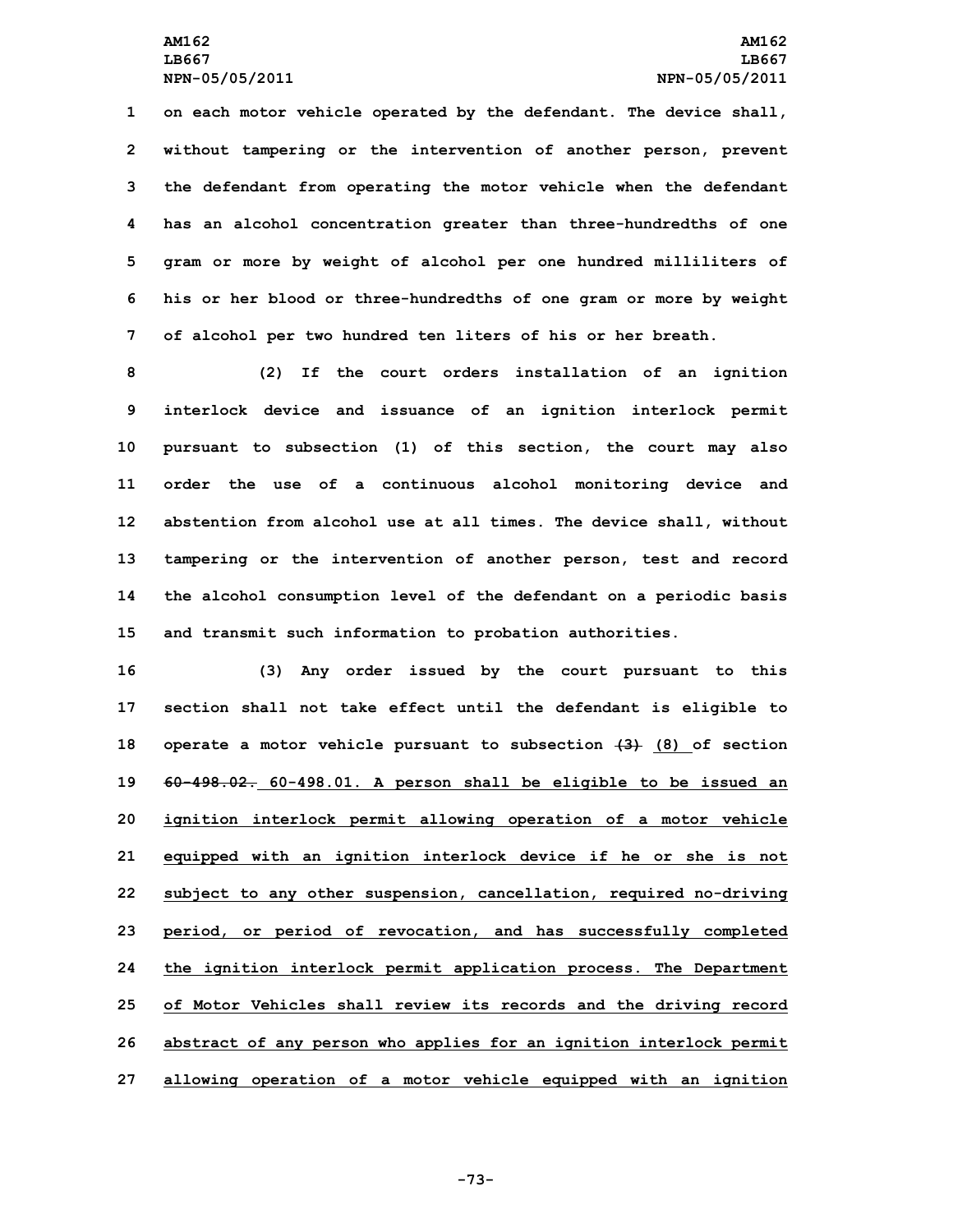**on each motor vehicle operated by the defendant. The device shall, without tampering or the intervention of another person, prevent the defendant from operating the motor vehicle when the defendant has an alcohol concentration greater than three-hundredths of one gram or more by weight of alcohol per one hundred milliliters of his or her blood or three-hundredths of one gram or more by weight of alcohol per two hundred ten liters of his or her breath.**

 **(2) If the court orders installation of an ignition interlock device and issuance of an ignition interlock permit pursuant to subsection (1) of this section, the court may also order the use of <sup>a</sup> continuous alcohol monitoring device and abstention from alcohol use at all times. The device shall, without tampering or the intervention of another person, test and record the alcohol consumption level of the defendant on <sup>a</sup> periodic basis and transmit such information to probation authorities.**

 **(3) Any order issued by the court pursuant to this section shall not take effect until the defendant is eligible to operate <sup>a</sup> motor vehicle pursuant to subsection (3) (8) of section 60-498.02. 60-498.01. <sup>A</sup> person shall be eligible to be issued an ignition interlock permit allowing operation of <sup>a</sup> motor vehicle equipped with an ignition interlock device if he or she is not subject to any other suspension, cancellation, required no-driving period, or period of revocation, and has successfully completed the ignition interlock permit application process. The Department of Motor Vehicles shall review its records and the driving record abstract of any person who applies for an ignition interlock permit allowing operation of <sup>a</sup> motor vehicle equipped with an ignition**

**-73-**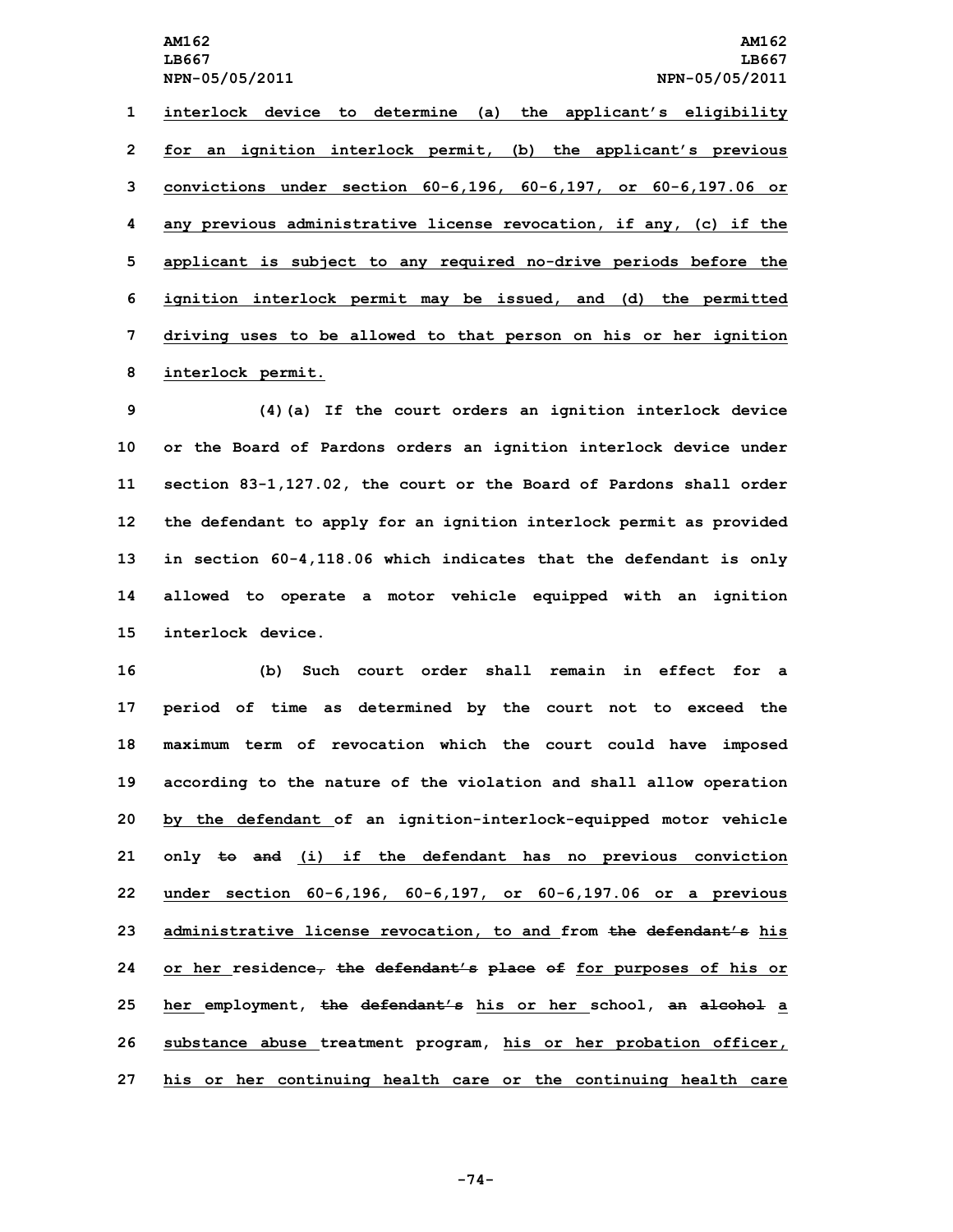**interlock device to determine (a) the applicant's eligibility for an ignition interlock permit, (b) the applicant's previous convictions under section 60-6,196, 60-6,197, or 60-6,197.06 or any previous administrative license revocation, if any, (c) if the applicant is subject to any required no-drive periods before the ignition interlock permit may be issued, and (d) the permitted driving uses to be allowed to that person on his or her ignition interlock permit.**

 **(4)(a) If the court orders an ignition interlock device or the Board of Pardons orders an ignition interlock device under section 83-1,127.02, the court or the Board of Pardons shall order the defendant to apply for an ignition interlock permit as provided in section 60-4,118.06 which indicates that the defendant is only allowed to operate <sup>a</sup> motor vehicle equipped with an ignition interlock device.**

 **(b) Such court order shall remain in effect for <sup>a</sup> period of time as determined by the court not to exceed the maximum term of revocation which the court could have imposed according to the nature of the violation and shall allow operation by the defendant of an ignition-interlock-equipped motor vehicle only to and (i) if the defendant has no previous conviction under section 60-6,196, 60-6,197, or 60-6,197.06 or <sup>a</sup> previous administrative license revocation, to and from the defendant's his or her residence, the defendant's place of for purposes of his or her employment, the defendant's his or her school, an alcohol <sup>a</sup> substance abuse treatment program, his or her probation officer, his or her continuing health care or the continuing health care**

**-74-**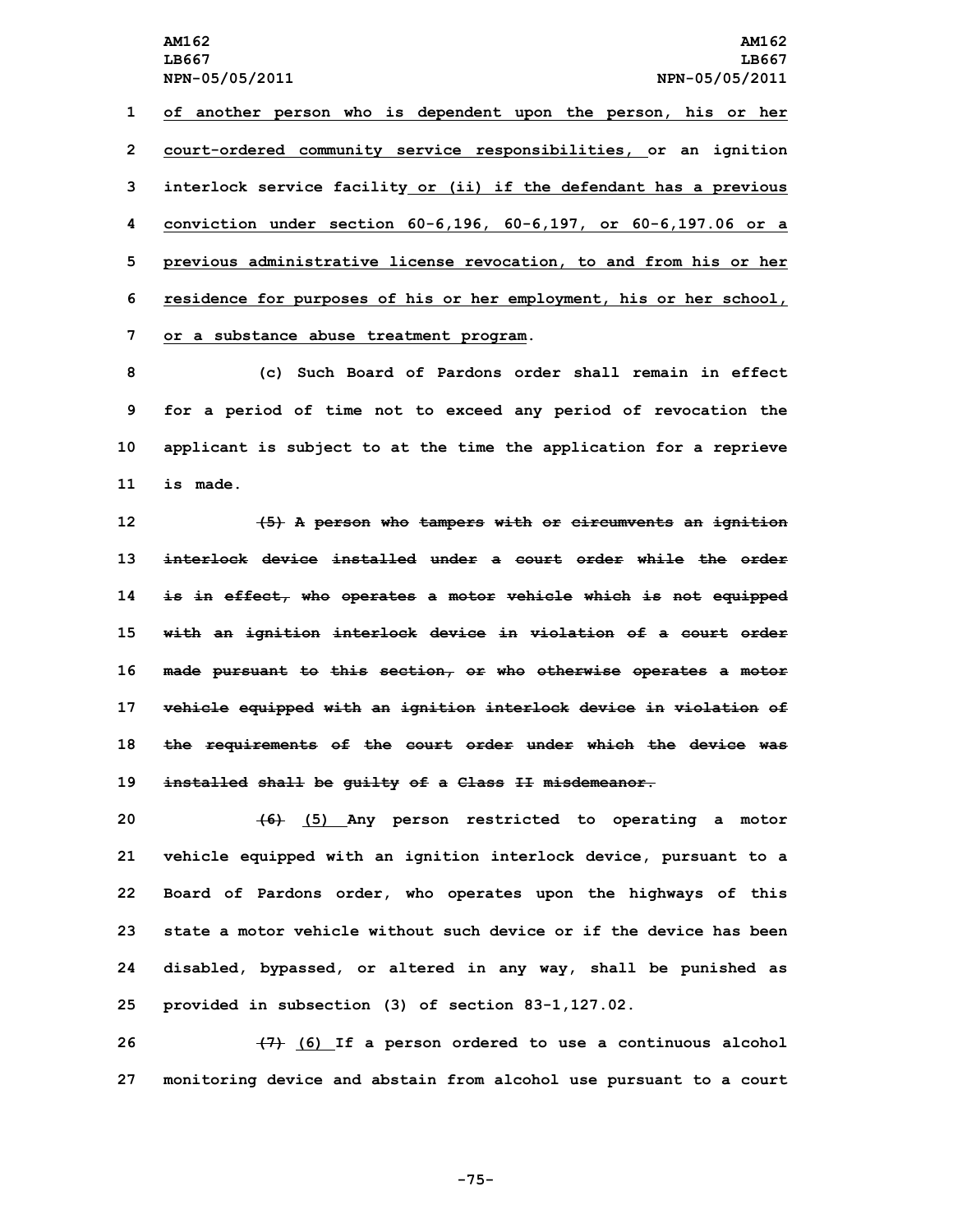**of another person who is dependent upon the person, his or her court-ordered community service responsibilities, or an ignition interlock service facility or (ii) if the defendant has <sup>a</sup> previous conviction under section 60-6,196, 60-6,197, or 60-6,197.06 or <sup>a</sup> previous administrative license revocation, to and from his or her residence for purposes of his or her employment, his or her school, or <sup>a</sup> substance abuse treatment program.**

 **(c) Such Board of Pardons order shall remain in effect for <sup>a</sup> period of time not to exceed any period of revocation the applicant is subject to at the time the application for <sup>a</sup> reprieve 11 is made.**

 **(5) <sup>A</sup> person who tampers with or circumvents an ignition interlock device installed under a court order while the order is in effect, who operates <sup>a</sup> motor vehicle which is not equipped with an ignition interlock device in violation of <sup>a</sup> court order made pursuant to this section, or who otherwise operates <sup>a</sup> motor vehicle equipped with an ignition interlock device in violation of the requirements of the court order under which the device was installed shall be guilty of <sup>a</sup> Class II misdemeanor.**

 **(6) (5) Any person restricted to operating <sup>a</sup> motor vehicle equipped with an ignition interlock device, pursuant to <sup>a</sup> Board of Pardons order, who operates upon the highways of this state a motor vehicle without such device or if the device has been disabled, bypassed, or altered in any way, shall be punished as provided in subsection (3) of section 83-1,127.02.**

**26 (7) (6) If <sup>a</sup> person ordered to use <sup>a</sup> continuous alcohol 27 monitoring device and abstain from alcohol use pursuant to <sup>a</sup> court**

**-75-**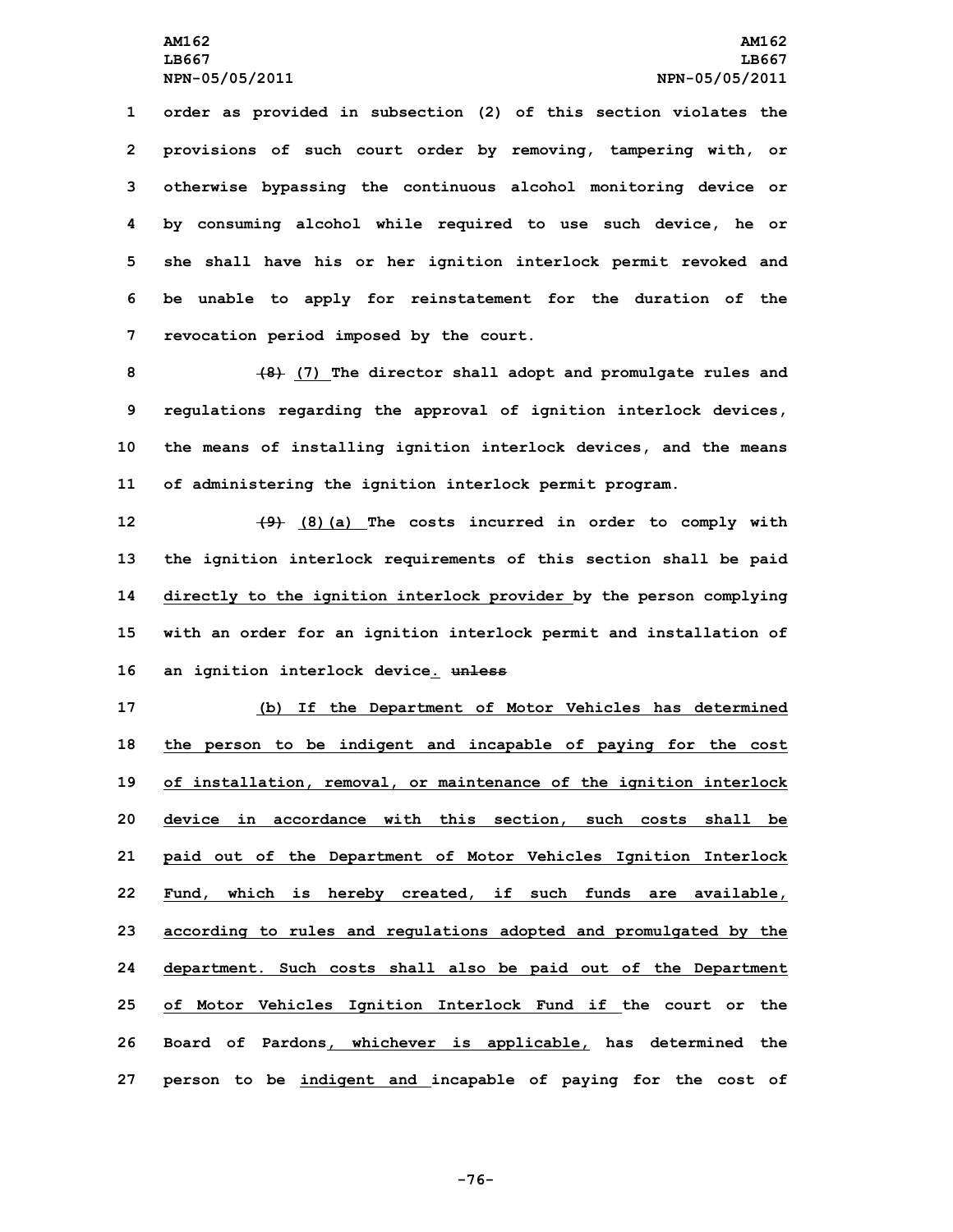**order as provided in subsection (2) of this section violates the provisions of such court order by removing, tampering with, or otherwise bypassing the continuous alcohol monitoring device or by consuming alcohol while required to use such device, he or she shall have his or her ignition interlock permit revoked and be unable to apply for reinstatement for the duration of the revocation period imposed by the court.**

 **(8) (7) The director shall adopt and promulgate rules and regulations regarding the approval of ignition interlock devices, the means of installing ignition interlock devices, and the means of administering the ignition interlock permit program.**

 **(9) (8)(a) The costs incurred in order to comply with the ignition interlock requirements of this section shall be paid directly to the ignition interlock provider by the person complying with an order for an ignition interlock permit and installation of an ignition interlock device. unless**

 **(b) If the Department of Motor Vehicles has determined the person to be indigent and incapable of paying for the cost of installation, removal, or maintenance of the ignition interlock device in accordance with this section, such costs shall be paid out of the Department of Motor Vehicles Ignition Interlock Fund, which is hereby created, if such funds are available, according to rules and regulations adopted and promulgated by the department. Such costs shall also be paid out of the Department of Motor Vehicles Ignition Interlock Fund if the court or the Board of Pardons, whichever is applicable, has determined the person to be indigent and incapable of paying for the cost of**

**-76-**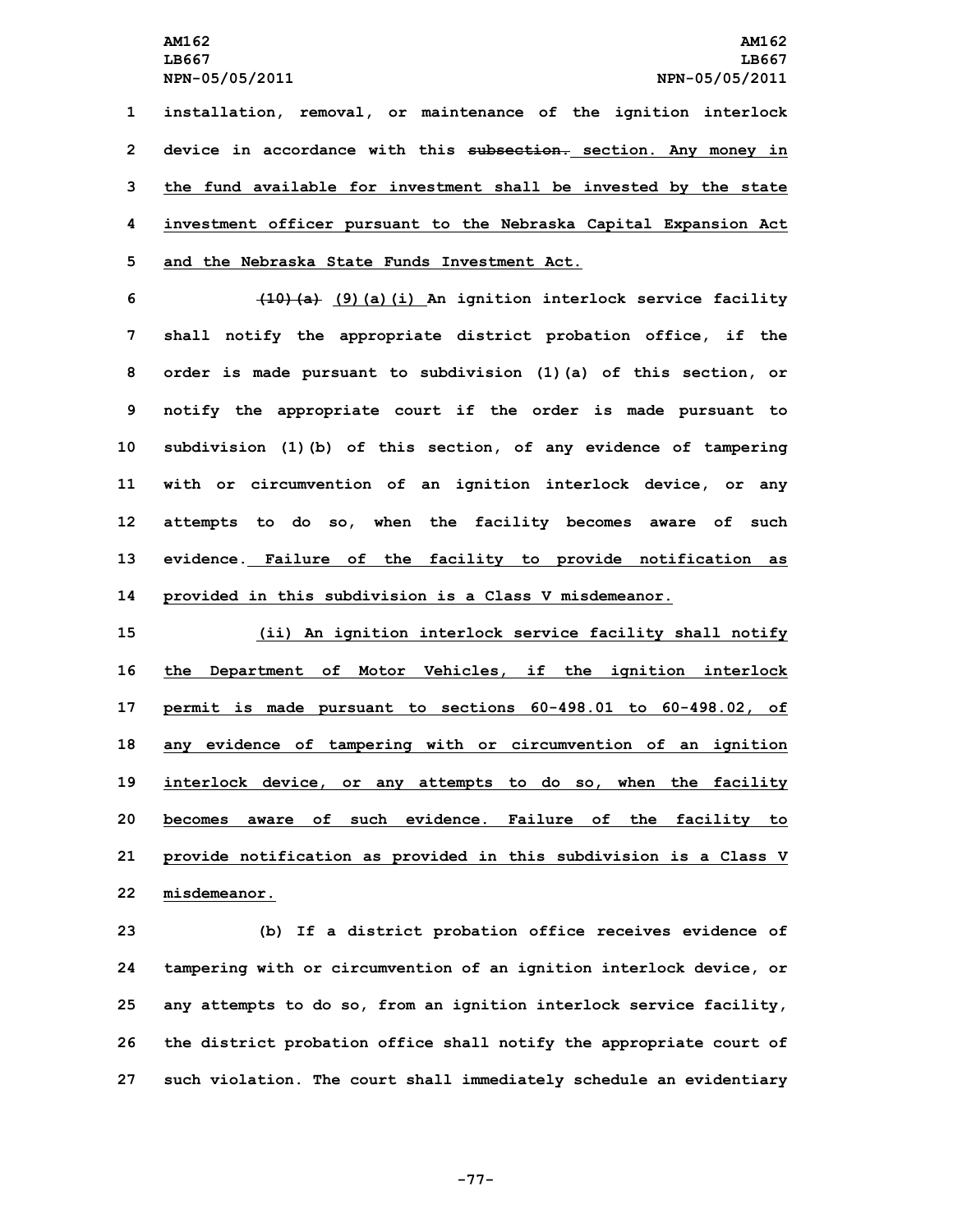**installation, removal, or maintenance of the ignition interlock device in accordance with this subsection. section. Any money in the fund available for investment shall be invested by the state investment officer pursuant to the Nebraska Capital Expansion Act and the Nebraska State Funds Investment Act.**

 **(10)(a) (9)(a)(i) An ignition interlock service facility shall notify the appropriate district probation office, if the order is made pursuant to subdivision (1)(a) of this section, or notify the appropriate court if the order is made pursuant to subdivision (1)(b) of this section, of any evidence of tampering with or circumvention of an ignition interlock device, or any attempts to do so, when the facility becomes aware of such evidence. Failure of the facility to provide notification as provided in this subdivision is <sup>a</sup> Class <sup>V</sup> misdemeanor.**

 **(ii) An ignition interlock service facility shall notify the Department of Motor Vehicles, if the ignition interlock permit is made pursuant to sections 60-498.01 to 60-498.02, of any evidence of tampering with or circumvention of an ignition interlock device, or any attempts to do so, when the facility becomes aware of such evidence. Failure of the facility to provide notification as provided in this subdivision is <sup>a</sup> Class <sup>V</sup> misdemeanor.**

 **(b) If <sup>a</sup> district probation office receives evidence of tampering with or circumvention of an ignition interlock device, or any attempts to do so, from an ignition interlock service facility, the district probation office shall notify the appropriate court of such violation. The court shall immediately schedule an evidentiary**

**-77-**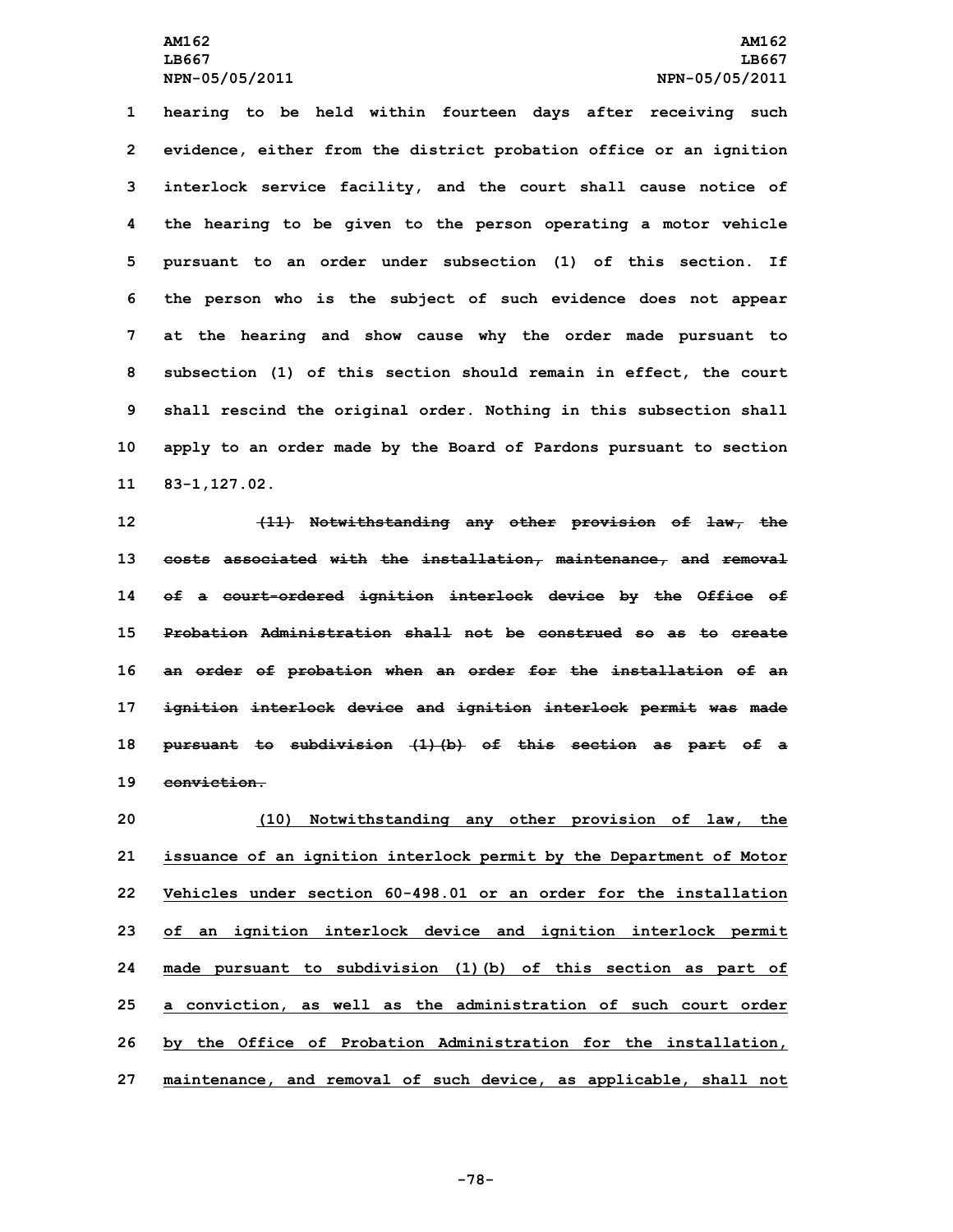**hearing to be held within fourteen days after receiving such evidence, either from the district probation office or an ignition interlock service facility, and the court shall cause notice of the hearing to be given to the person operating <sup>a</sup> motor vehicle pursuant to an order under subsection (1) of this section. If the person who is the subject of such evidence does not appear at the hearing and show cause why the order made pursuant to subsection (1) of this section should remain in effect, the court shall rescind the original order. Nothing in this subsection shall apply to an order made by the Board of Pardons pursuant to section 83-1,127.02.**

 **(11) Notwithstanding any other provision of law, the costs associated with the installation, maintenance, and removal of <sup>a</sup> court-ordered ignition interlock device by the Office of Probation Administration shall not be construed so as to create an order of probation when an order for the installation of an ignition interlock device and ignition interlock permit was made pursuant to subdivision (1)(b) of this section as part of <sup>a</sup> conviction.**

 **(10) Notwithstanding any other provision of law, the issuance of an ignition interlock permit by the Department of Motor Vehicles under section 60-498.01 or an order for the installation of an ignition interlock device and ignition interlock permit made pursuant to subdivision (1)(b) of this section as part of <sup>a</sup> conviction, as well as the administration of such court order by the Office of Probation Administration for the installation, maintenance, and removal of such device, as applicable, shall not**

**-78-**